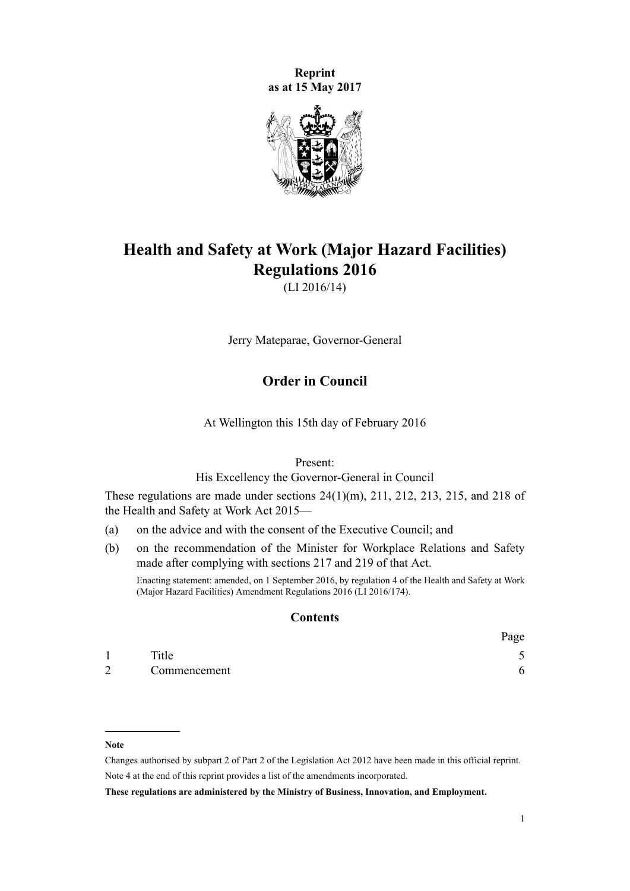**Reprint as at 15 May 2017**



# **Health and Safety at Work (Major Hazard Facilities) Regulations 2016**

(LI 2016/14)

Jerry Mateparae, Governor-General

# **Order in Council**

At Wellington this 15th day of February 2016

Present:

His Excellency the Governor-General in Council

These regulations are made under [sections 24\(1\)\(m\),](http://prd-lgnz-nlb.prd.pco.net.nz/pdflink.aspx?id=DLM5976877) [211](http://prd-lgnz-nlb.prd.pco.net.nz/pdflink.aspx?id=DLM5977214), [212,](http://prd-lgnz-nlb.prd.pco.net.nz/pdflink.aspx?id=DLM5977215) [213,](http://prd-lgnz-nlb.prd.pco.net.nz/pdflink.aspx?id=DLM5977216) [215,](http://prd-lgnz-nlb.prd.pco.net.nz/pdflink.aspx?id=DLM6544173) and [218](http://prd-lgnz-nlb.prd.pco.net.nz/pdflink.aspx?id=DLM5977220) of the Health and Safety at Work Act 2015—

- (a) on the advice and with the consent of the Executive Council; and
- (b) on the recommendation of the Minister for Workplace Relations and Safety made after complying with sections [217](http://prd-lgnz-nlb.prd.pco.net.nz/pdflink.aspx?id=DLM5977219) and [219](http://prd-lgnz-nlb.prd.pco.net.nz/pdflink.aspx?id=DLM5977221) of that Act.

Enacting statement: amended, on 1 September 2016, by [regulation 4](http://prd-lgnz-nlb.prd.pco.net.nz/pdflink.aspx?id=DLM6907708) of the Health and Safety at Work (Major Hazard Facilities) Amendment Regulations 2016 (LI 2016/174).

#### **Contents**

|                |              | Page |
|----------------|--------------|------|
|                | Title        |      |
| $\overline{2}$ | Commencement |      |

**Note**

Changes authorised by [subpart 2](http://prd-lgnz-nlb.prd.pco.net.nz/pdflink.aspx?id=DLM2998524) of Part 2 of the Legislation Act 2012 have been made in this official reprint. Note 4 at the end of this reprint provides a list of the amendments incorporated.

**These regulations are administered by the Ministry of Business, Innovation, and Employment.**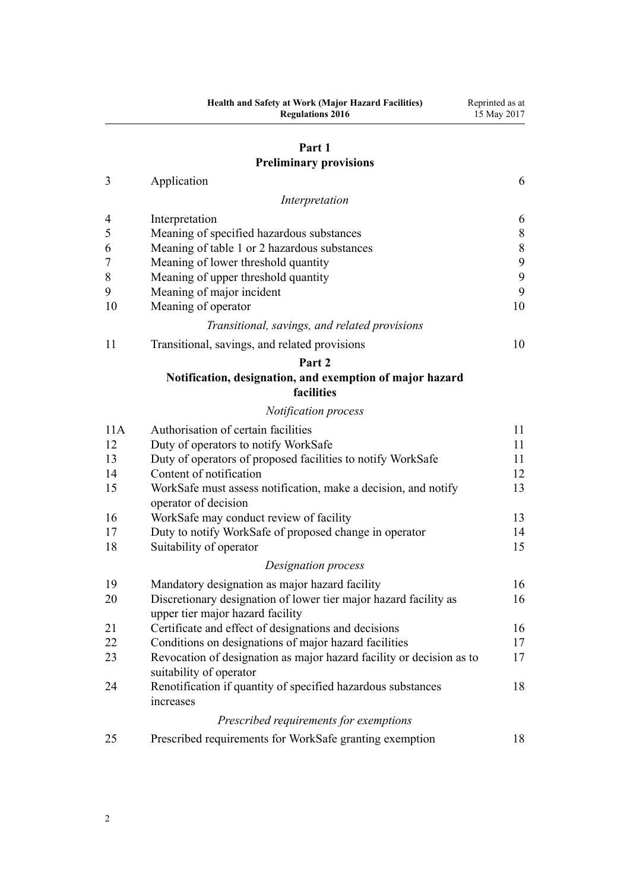# **[Part 1](#page-5-0) [Preliminary provisions](#page-5-0)**

| Application |  |
|-------------|--|
|             |  |

|                | Interpretation                                                                                       |       |
|----------------|------------------------------------------------------------------------------------------------------|-------|
| 4              | Interpretation                                                                                       | 6     |
| 5              | Meaning of specified hazardous substances                                                            | $8\,$ |
| 6              | Meaning of table 1 or 2 hazardous substances                                                         | $8\,$ |
| $\overline{7}$ | Meaning of lower threshold quantity                                                                  | 9     |
| 8              | Meaning of upper threshold quantity                                                                  | 9     |
| 9              | Meaning of major incident                                                                            | 9     |
| 10             | Meaning of operator                                                                                  | 10    |
|                | Transitional, savings, and related provisions                                                        |       |
| 11             | Transitional, savings, and related provisions                                                        | 10    |
|                | Part 2                                                                                               |       |
|                | Notification, designation, and exemption of major hazard<br>facilities                               |       |
|                | Notification process                                                                                 |       |
| 11A            | Authorisation of certain facilities                                                                  | 11    |
| 12             | Duty of operators to notify WorkSafe                                                                 | 11    |
| 13             | Duty of operators of proposed facilities to notify WorkSafe                                          | 11    |
| 14             | Content of notification                                                                              | 12    |
| 15             | WorkSafe must assess notification, make a decision, and notify                                       | 13    |
|                | operator of decision                                                                                 | 13    |
| 16             | WorkSafe may conduct review of facility                                                              | 14    |
| 17<br>18       | Duty to notify WorkSafe of proposed change in operator<br>Suitability of operator                    | 15    |
|                |                                                                                                      |       |
|                | Designation process                                                                                  |       |
| 19             | Mandatory designation as major hazard facility                                                       | 16    |
| 20             | Discretionary designation of lower tier major hazard facility as<br>upper tier major hazard facility | 16    |
| 21             | Certificate and effect of designations and decisions                                                 | 16    |
| 22             | Conditions on designations of major hazard facilities                                                | 17    |
| 23             | Revocation of designation as major hazard facility or decision as to                                 | 17    |
|                | suitability of operator                                                                              |       |
| 24             | Renotification if quantity of specified hazardous substances                                         | 18    |
|                | increases                                                                                            |       |
|                | Prescribed requirements for exemptions                                                               |       |

[25](#page-17-0) [Prescribed requirements for WorkSafe granting exemption](#page-17-0) [18](#page-17-0)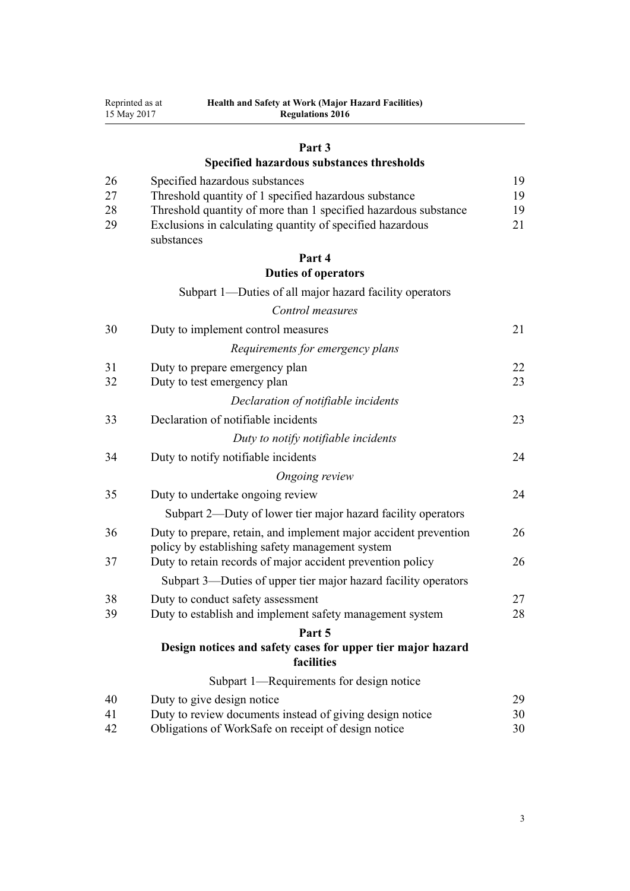| 15 May 2017<br><b>Regulations 2016</b> |                                                                                                                                            |          |
|----------------------------------------|--------------------------------------------------------------------------------------------------------------------------------------------|----------|
|                                        | Part 3                                                                                                                                     |          |
|                                        | Specified hazardous substances thresholds                                                                                                  |          |
| 26                                     | Specified hazardous substances                                                                                                             | 19       |
| 27                                     | Threshold quantity of 1 specified hazardous substance                                                                                      | 19       |
| 28<br>29                               | Threshold quantity of more than 1 specified hazardous substance<br>Exclusions in calculating quantity of specified hazardous<br>substances | 19<br>21 |
|                                        | Part 4                                                                                                                                     |          |
|                                        | <b>Duties of operators</b>                                                                                                                 |          |
|                                        | Subpart 1—Duties of all major hazard facility operators                                                                                    |          |
|                                        | Control measures                                                                                                                           |          |
| 30                                     | Duty to implement control measures                                                                                                         | 21       |
|                                        | Requirements for emergency plans                                                                                                           |          |
| 31                                     | Duty to prepare emergency plan                                                                                                             | 22       |
| 32                                     | Duty to test emergency plan                                                                                                                | 23       |
|                                        | Declaration of notifiable incidents                                                                                                        |          |
| 33                                     | Declaration of notifiable incidents                                                                                                        | 23       |
|                                        | Duty to notify notifiable incidents                                                                                                        |          |
| 34                                     | Duty to notify notifiable incidents                                                                                                        | 24       |
|                                        | Ongoing review                                                                                                                             |          |
| 35                                     | Duty to undertake ongoing review                                                                                                           | 24       |
|                                        | Subpart 2—Duty of lower tier major hazard facility operators                                                                               |          |
| 36                                     | Duty to prepare, retain, and implement major accident prevention<br>policy by establishing safety management system                        | 26       |
| 37                                     | Duty to retain records of major accident prevention policy                                                                                 | 26       |
|                                        | Subpart 3—Duties of upper tier major hazard facility operators                                                                             |          |
| 38                                     | Duty to conduct safety assessment                                                                                                          | 27       |
| 39                                     | Duty to establish and implement safety management system                                                                                   | 28       |
|                                        | Part 5                                                                                                                                     |          |
|                                        | Design notices and safety cases for upper tier major hazard<br>facilities                                                                  |          |
|                                        | Subpart 1—Requirements for design notice                                                                                                   |          |
| 40                                     | Duty to give design notice                                                                                                                 | 29       |
| 41                                     | Duty to review documents instead of giving design notice                                                                                   | 30       |
| 42                                     | Obligations of WorkSafe on receipt of design notice                                                                                        | 30       |

**Health and Safety at Work (Major Hazard Facilities)**

Reprinted as at

3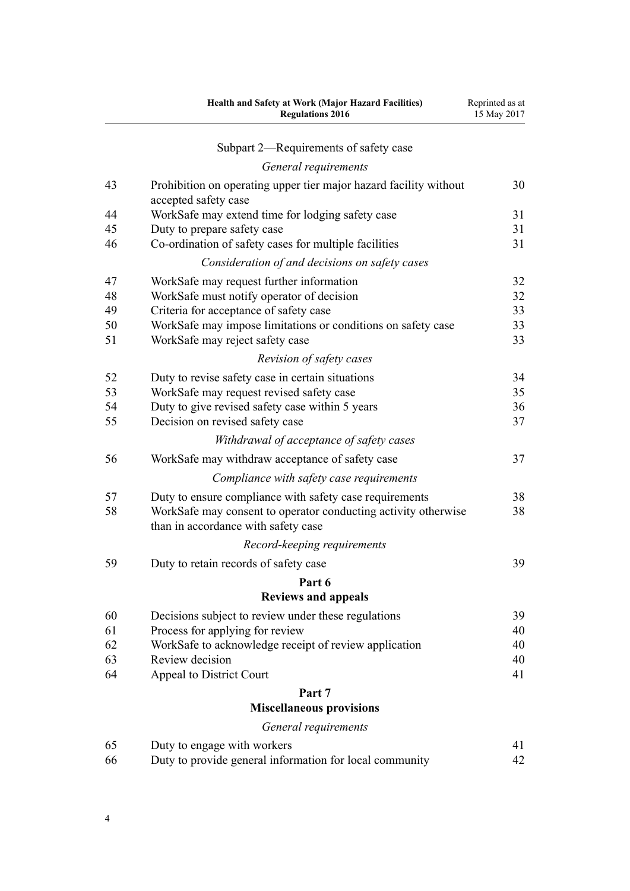|    | Health and Safety at Work (Major Hazard Facilities)<br><b>Regulations 2016</b>                        | Reprinted as at<br>15 May 2017 |
|----|-------------------------------------------------------------------------------------------------------|--------------------------------|
|    | Subpart 2—Requirements of safety case                                                                 |                                |
|    | General requirements                                                                                  |                                |
| 43 | Prohibition on operating upper tier major hazard facility without<br>accepted safety case             | 30                             |
| 44 | WorkSafe may extend time for lodging safety case                                                      | 31                             |
| 45 | Duty to prepare safety case                                                                           | 31                             |
| 46 | Co-ordination of safety cases for multiple facilities                                                 | 31                             |
|    | Consideration of and decisions on safety cases                                                        |                                |
| 47 | WorkSafe may request further information                                                              | 32                             |
| 48 | WorkSafe must notify operator of decision                                                             | 32                             |
| 49 | Criteria for acceptance of safety case                                                                | 33                             |
| 50 | WorkSafe may impose limitations or conditions on safety case                                          | 33                             |
| 51 | WorkSafe may reject safety case                                                                       | 33                             |
|    | Revision of safety cases                                                                              |                                |
| 52 | Duty to revise safety case in certain situations                                                      | 34                             |
| 53 | WorkSafe may request revised safety case                                                              | 35                             |
| 54 | Duty to give revised safety case within 5 years                                                       | 36                             |
| 55 | Decision on revised safety case                                                                       | 37                             |
|    | Withdrawal of acceptance of safety cases                                                              |                                |
| 56 | WorkSafe may withdraw acceptance of safety case                                                       | 37                             |
|    | Compliance with safety case requirements                                                              |                                |
| 57 | Duty to ensure compliance with safety case requirements                                               | 38                             |
| 58 | WorkSafe may consent to operator conducting activity otherwise<br>than in accordance with safety case | 38                             |
|    | Record-keeping requirements                                                                           |                                |
| 59 | Duty to retain records of safety case                                                                 | 39                             |
|    | Part 6                                                                                                |                                |
|    | <b>Reviews and appeals</b>                                                                            |                                |
| 60 | Decisions subject to review under these regulations                                                   | 39                             |
| 61 | Process for applying for review                                                                       | 40                             |
| 62 | WorkSafe to acknowledge receipt of review application                                                 | 40                             |
| 63 | Review decision                                                                                       | 40                             |
| 64 | Appeal to District Court                                                                              | 41                             |
|    | Part 7                                                                                                |                                |
|    | <b>Miscellaneous provisions</b>                                                                       |                                |
|    | General requirements                                                                                  |                                |
| 65 | Duty to engage with workers                                                                           | 41                             |
| 66 | Duty to provide general information for local community                                               | 42                             |

4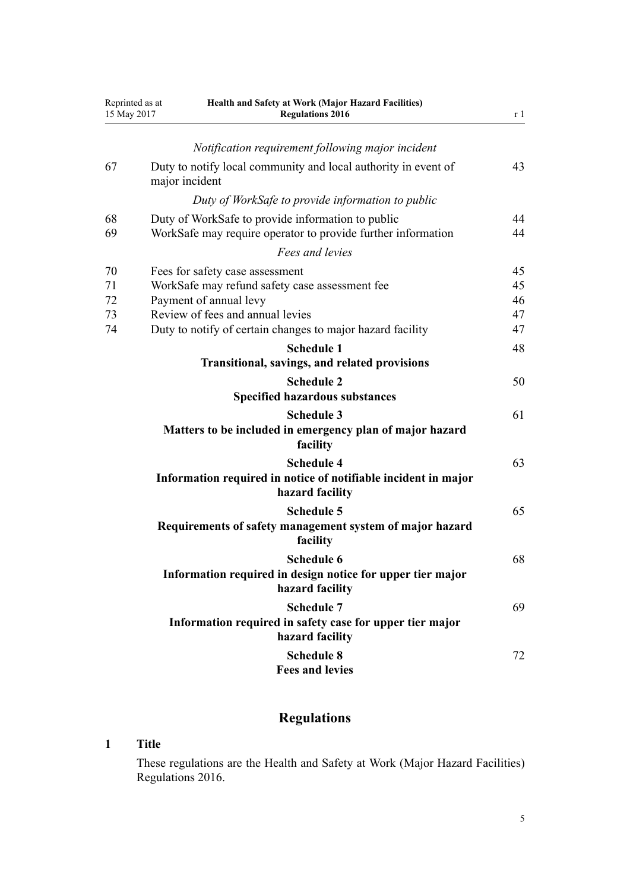<span id="page-4-0"></span>

| Reprinted as at<br>15 May 2017 |                                             | Health and Safety at Work (Major Hazard Facilities)<br><b>Regulations 2016</b>                                                                                                                                |                            |  |
|--------------------------------|---------------------------------------------|---------------------------------------------------------------------------------------------------------------------------------------------------------------------------------------------------------------|----------------------------|--|
|                                |                                             | Notification requirement following major incident                                                                                                                                                             |                            |  |
| 67                             |                                             | Duty to notify local community and local authority in event of<br>major incident                                                                                                                              | 43                         |  |
|                                |                                             | Duty of WorkSafe to provide information to public                                                                                                                                                             |                            |  |
| 68<br>69                       |                                             | Duty of WorkSafe to provide information to public<br>WorkSafe may require operator to provide further information                                                                                             | 44<br>44                   |  |
|                                |                                             | Fees and levies                                                                                                                                                                                               |                            |  |
| 70<br>71<br>72<br>73<br>74     |                                             | Fees for safety case assessment<br>WorkSafe may refund safety case assessment fee<br>Payment of annual levy<br>Review of fees and annual levies<br>Duty to notify of certain changes to major hazard facility | 45<br>45<br>46<br>47<br>47 |  |
|                                |                                             | <b>Schedule 1</b><br>Transitional, savings, and related provisions                                                                                                                                            | 48                         |  |
|                                |                                             | <b>Schedule 2</b><br><b>Specified hazardous substances</b>                                                                                                                                                    | 50                         |  |
|                                |                                             | <b>Schedule 3</b><br>Matters to be included in emergency plan of major hazard<br>facility                                                                                                                     | 61                         |  |
|                                |                                             | <b>Schedule 4</b><br>Information required in notice of notifiable incident in major<br>hazard facility                                                                                                        | 63                         |  |
|                                |                                             | <b>Schedule 5</b><br>Requirements of safety management system of major hazard<br>facility                                                                                                                     | 65                         |  |
|                                |                                             | Schedule 6<br>Information required in design notice for upper tier major<br>hazard facility                                                                                                                   | 68                         |  |
|                                |                                             | <b>Schedule 7</b><br>Information required in safety case for upper tier major<br>hazard facility                                                                                                              | 69                         |  |
|                                | <b>Schedule 8</b><br><b>Fees and levies</b> |                                                                                                                                                                                                               |                            |  |

# **Regulations**

# **1 Title**

These regulations are the Health and Safety at Work (Major Hazard Facilities) Regulations 2016.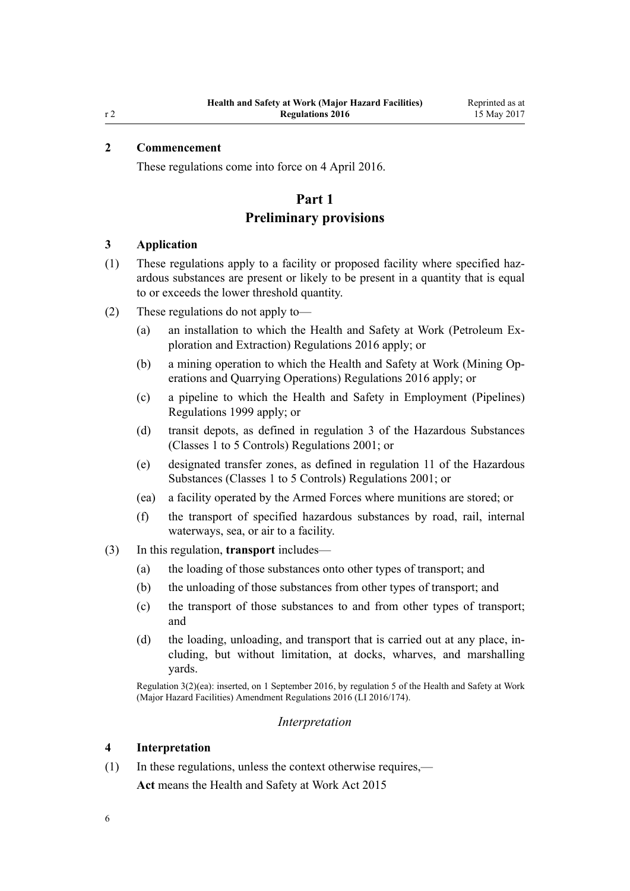# <span id="page-5-0"></span>**2 Commencement**

These regulations come into force on 4 April 2016.

# **Part 1**

# **Preliminary provisions**

#### **3 Application**

- (1) These regulations apply to a facility or proposed facility where specified hazardous substances are present or likely to be present in a quantity that is equal to or exceeds the lower threshold quantity.
- (2) These regulations do not apply to—
	- (a) an installation to which the [Health and Safety at Work \(Petroleum Ex](http://prd-lgnz-nlb.prd.pco.net.nz/pdflink.aspx?id=DLM6728800)[ploration and Extraction\) Regulations 2016](http://prd-lgnz-nlb.prd.pco.net.nz/pdflink.aspx?id=DLM6728800) apply; or
	- (b) a mining operation to which the [Health and Safety at Work \(Mining Op](http://prd-lgnz-nlb.prd.pco.net.nz/pdflink.aspx?id=DLM6732828)[erations and Quarrying Operations\) Regulations 2016](http://prd-lgnz-nlb.prd.pco.net.nz/pdflink.aspx?id=DLM6732828) apply; or
	- (c) a pipeline to which the [Health and Safety in Employment \(Pipelines\)](http://prd-lgnz-nlb.prd.pco.net.nz/pdflink.aspx?id=DLM298847) [Regulations 1999](http://prd-lgnz-nlb.prd.pco.net.nz/pdflink.aspx?id=DLM298847) apply; or
	- (d) transit depots, as defined in [regulation 3](http://prd-lgnz-nlb.prd.pco.net.nz/pdflink.aspx?id=DLM36301) of the Hazardous Substances (Classes 1 to 5 Controls) Regulations 2001; or
	- (e) designated transfer zones, as defined in [regulation 11](http://prd-lgnz-nlb.prd.pco.net.nz/pdflink.aspx?id=DLM36382) of the Hazardous Substances (Classes 1 to 5 Controls) Regulations 2001; or
	- (ea) a facility operated by the Armed Forces where munitions are stored; or
	- (f) the transport of specified hazardous substances by road, rail, internal waterways, sea, or air to a facility.
- (3) In this regulation, **transport** includes—
	- (a) the loading of those substances onto other types of transport; and
	- (b) the unloading of those substances from other types of transport; and
	- (c) the transport of those substances to and from other types of transport; and
	- (d) the loading, unloading, and transport that is carried out at any place, including, but without limitation, at docks, wharves, and marshalling yards.

Regulation 3(2)(ea): inserted, on 1 September 2016, by [regulation 5](http://prd-lgnz-nlb.prd.pco.net.nz/pdflink.aspx?id=DLM6907709) of the Health and Safety at Work (Major Hazard Facilities) Amendment Regulations 2016 (LI 2016/174).

#### *Interpretation*

#### **4 Interpretation**

(1) In these regulations, unless the context otherwise requires,—

**Act** means the [Health and Safety at Work Act 2015](http://prd-lgnz-nlb.prd.pco.net.nz/pdflink.aspx?id=DLM5976602)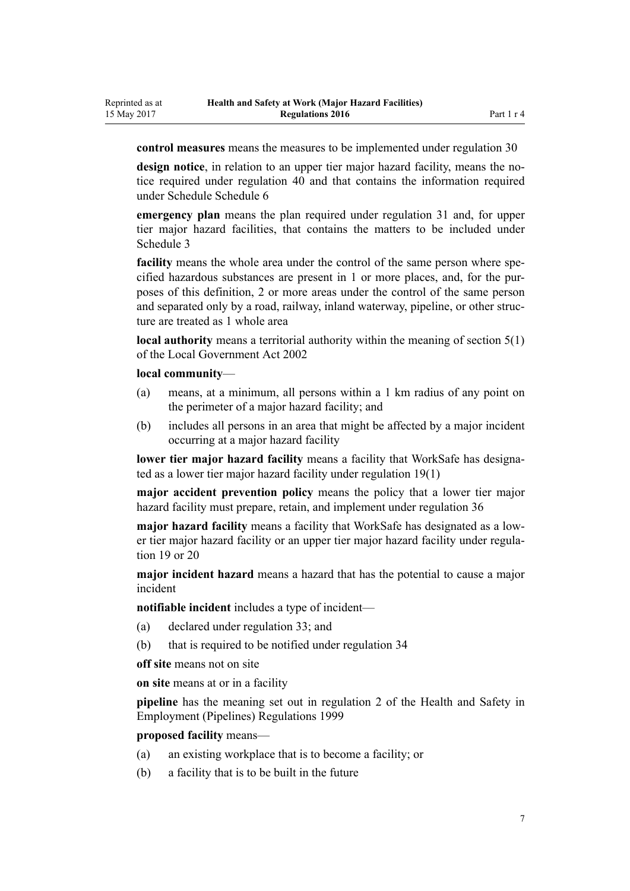**control measures** means the measures to be implemented under [regulation 30](#page-20-0)

**design notice**, in relation to an upper tier major hazard facility, means the notice required under [regulation 40](#page-28-0) and that contains the information required under Schedule [Schedule 6](#page-67-0)

**emergency plan** means the plan required under [regulation 31](#page-21-0) and, for upper tier major hazard facilities, that contains the matters to be included under [Schedule 3](#page-60-0)

**facility** means the whole area under the control of the same person where specified hazardous substances are present in 1 or more places, and, for the purposes of this definition, 2 or more areas under the control of the same person and separated only by a road, railway, inland waterway, pipeline, or other structure are treated as 1 whole area

**local authority** means a territorial authority within the meaning of [section 5\(1\)](http://prd-lgnz-nlb.prd.pco.net.nz/pdflink.aspx?id=DLM170881) of the Local Government Act 2002

# **local community**—

- (a) means, at a minimum, all persons within a 1 km radius of any point on the perimeter of a major hazard facility; and
- (b) includes all persons in an area that might be affected by a major incident occurring at a major hazard facility

**lower tier major hazard facility** means a facility that WorkSafe has designated as a lower tier major hazard facility under [regulation 19\(1\)](#page-15-0)

**major accident prevention policy** means the policy that a lower tier major hazard facility must prepare, retain, and implement under [regulation 36](#page-25-0)

**major hazard facility** means a facility that WorkSafe has designated as a lower tier major hazard facility or an upper tier major hazard facility under [regula](#page-15-0)[tion 19](#page-15-0) or [20](#page-15-0)

**major incident hazard** means a hazard that has the potential to cause a major incident

**notifiable incident** includes a type of incident—

- (a) declared under [regulation 33](#page-22-0); and
- (b) that is required to be notified under [regulation 34](#page-23-0)

**off site** means not on site

**on site** means at or in a facility

**pipeline** has the meaning set out in [regulation 2](http://prd-lgnz-nlb.prd.pco.net.nz/pdflink.aspx?id=DLM298853) of the Health and Safety in Employment (Pipelines) Regulations 1999

**proposed facility** means—

- (a) an existing workplace that is to become a facility; or
- (b) a facility that is to be built in the future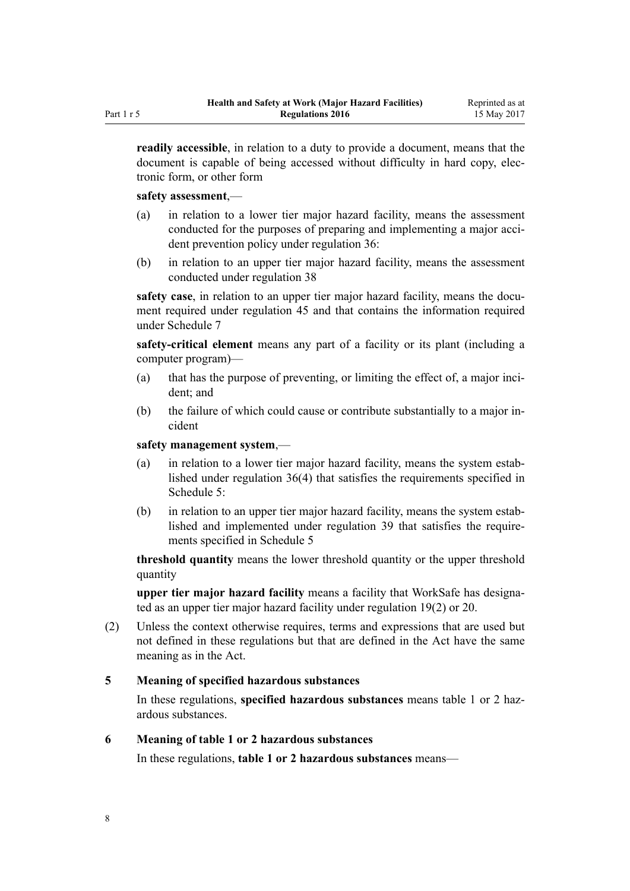<span id="page-7-0"></span>**readily accessible**, in relation to a duty to provide a document, means that the document is capable of being accessed without difficulty in hard copy, electronic form, or other form

#### **safety assessment**,—

- (a) in relation to a lower tier major hazard facility, means the assessment conducted for the purposes of preparing and implementing a major accident prevention policy under [regulation 36:](#page-25-0)
- (b) in relation to an upper tier major hazard facility, means the assessment conducted under [regulation 38](#page-26-0)

**safety case**, in relation to an upper tier major hazard facility, means the document required under [regulation 45](#page-30-0) and that contains the information required under [Schedule 7](#page-68-0)

**safety-critical element** means any part of a facility or its plant (including a computer program)—

- (a) that has the purpose of preventing, or limiting the effect of, a major incident; and
- (b) the failure of which could cause or contribute substantially to a major incident

**safety management system**,—

- (a) in relation to a lower tier major hazard facility, means the system established under [regulation 36\(4\)](#page-25-0) that satisfies the requirements specified in [Schedule 5:](#page-64-0)
- (b) in relation to an upper tier major hazard facility, means the system established and implemented under [regulation 39](#page-27-0) that satisfies the requirements specified in [Schedule 5](#page-64-0)

**threshold quantity** means the lower threshold quantity or the upper threshold quantity

**upper tier major hazard facility** means a facility that WorkSafe has designated as an upper tier major hazard facility under [regulation 19\(2\)](#page-15-0) or [20.](#page-15-0)

(2) Unless the context otherwise requires, terms and expressions that are used but not defined in these regulations but that are defined in the Act have the same meaning as in the Act.

#### **5 Meaning of specified hazardous substances**

In these regulations, **specified hazardous substances** means table 1 or 2 hazardous substances.

#### **6 Meaning of table 1 or 2 hazardous substances**

In these regulations, **table 1 or 2 hazardous substances** means—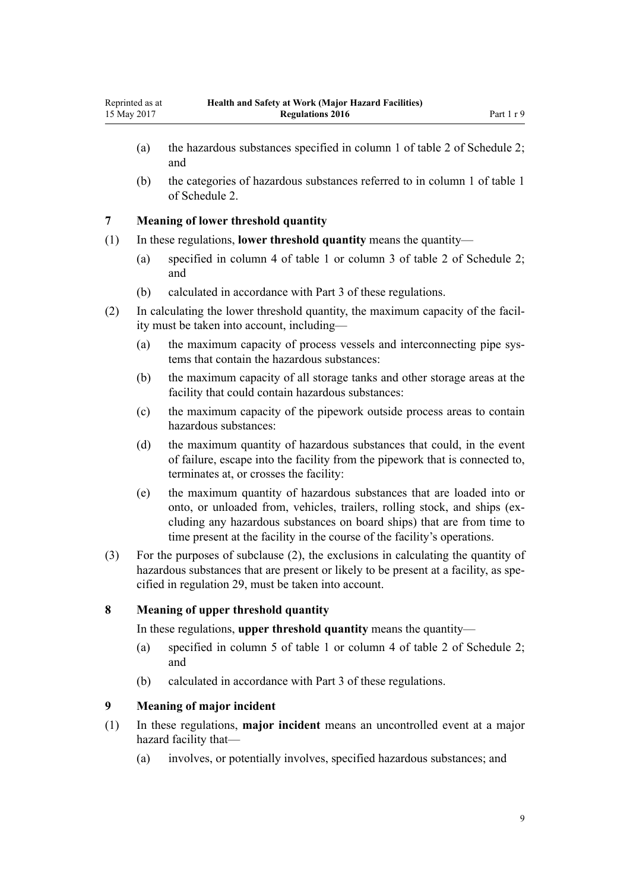- <span id="page-8-0"></span>(a) the hazardous substances specified in column 1 of table 2 of [Schedule 2;](#page-49-0) and
- (b) the categories of hazardous substances referred to in column 1 of table 1 of [Schedule 2](#page-49-0).

#### **7 Meaning of lower threshold quantity**

- (1) In these regulations, **lower threshold quantity** means the quantity—
	- (a) specified in column 4 of table 1 or column 3 of table 2 of [Schedule 2;](#page-49-0) and
	- (b) calculated in accordance with [Part 3](#page-18-0) of these regulations.
- (2) In calculating the lower threshold quantity, the maximum capacity of the facility must be taken into account, including—
	- (a) the maximum capacity of process vessels and interconnecting pipe systems that contain the hazardous substances:
	- (b) the maximum capacity of all storage tanks and other storage areas at the facility that could contain hazardous substances:
	- (c) the maximum capacity of the pipework outside process areas to contain hazardous substances:
	- (d) the maximum quantity of hazardous substances that could, in the event of failure, escape into the facility from the pipework that is connected to, terminates at, or crosses the facility:
	- (e) the maximum quantity of hazardous substances that are loaded into or onto, or unloaded from, vehicles, trailers, rolling stock, and ships (excluding any hazardous substances on board ships) that are from time to time present at the facility in the course of the facility's operations.
- (3) For the purposes of subclause (2), the exclusions in calculating the quantity of hazardous substances that are present or likely to be present at a facility, as specified in [regulation 29](#page-20-0), must be taken into account.

# **8 Meaning of upper threshold quantity**

In these regulations, **upper threshold quantity** means the quantity—

- (a) specified in column 5 of table 1 or column 4 of table 2 of [Schedule 2;](#page-49-0) and
- (b) calculated in accordance with [Part 3](#page-18-0) of these regulations.

# **9 Meaning of major incident**

- (1) In these regulations, **major incident** means an uncontrolled event at a major hazard facility that—
	- (a) involves, or potentially involves, specified hazardous substances; and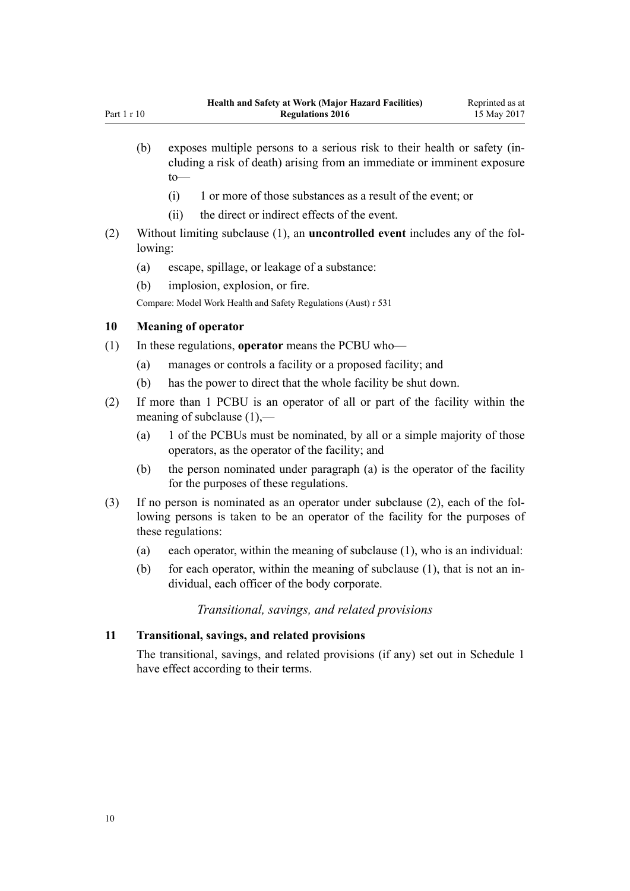- <span id="page-9-0"></span>(b) exposes multiple persons to a serious risk to their health or safety (including a risk of death) arising from an immediate or imminent exposure to—
	- (i) 1 or more of those substances as a result of the event; or
	- (ii) the direct or indirect effects of the event.
- (2) Without limiting subclause (1), an **uncontrolled event** includes any of the following:
	- (a) escape, spillage, or leakage of a substance:
	- (b) implosion, explosion, or fire.

Compare: Model Work Health and Safety Regulations (Aust) r 531

#### **10 Meaning of operator**

- (1) In these regulations, **operator** means the PCBU who—
	- (a) manages or controls a facility or a proposed facility; and
	- (b) has the power to direct that the whole facility be shut down.
- (2) If more than 1 PCBU is an operator of all or part of the facility within the meaning of subclause (1),—
	- (a) 1 of the PCBUs must be nominated, by all or a simple majority of those operators, as the operator of the facility; and
	- (b) the person nominated under paragraph (a) is the operator of the facility for the purposes of these regulations.
- (3) If no person is nominated as an operator under subclause (2), each of the following persons is taken to be an operator of the facility for the purposes of these regulations:
	- (a) each operator, within the meaning of subclause (1), who is an individual:
	- (b) for each operator, within the meaning of subclause (1), that is not an individual, each officer of the body corporate.

# *Transitional, savings, and related provisions*

#### **11 Transitional, savings, and related provisions**

The transitional, savings, and related provisions (if any) set out in [Schedule 1](#page-47-0) have effect according to their terms.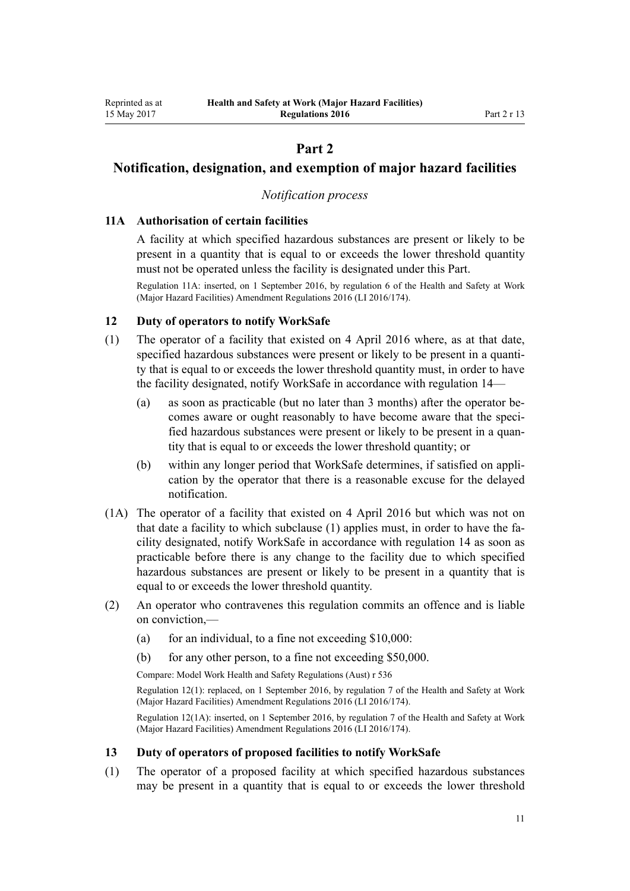# **Part 2**

# <span id="page-10-0"></span>**Notification, designation, and exemption of major hazard facilities**

# *Notification process*

#### **11A Authorisation of certain facilities**

A facility at which specified hazardous substances are present or likely to be present in a quantity that is equal to or exceeds the lower threshold quantity must not be operated unless the facility is designated under this Part.

Regulation 11A: inserted, on 1 September 2016, by [regulation 6](http://prd-lgnz-nlb.prd.pco.net.nz/pdflink.aspx?id=DLM6907710) of the Health and Safety at Work (Major Hazard Facilities) Amendment Regulations 2016 (LI 2016/174).

#### **12 Duty of operators to notify WorkSafe**

- (1) The operator of a facility that existed on 4 April 2016 where, as at that date, specified hazardous substances were present or likely to be present in a quantity that is equal to or exceeds the lower threshold quantity must, in order to have the facility designated, notify WorkSafe in accordance with [regulation 14](#page-11-0)—
	- (a) as soon as practicable (but no later than 3 months) after the operator becomes aware or ought reasonably to have become aware that the specified hazardous substances were present or likely to be present in a quantity that is equal to or exceeds the lower threshold quantity; or
	- (b) within any longer period that WorkSafe determines, if satisfied on application by the operator that there is a reasonable excuse for the delayed notification.
- (1A) The operator of a facility that existed on 4 April 2016 but which was not on that date a facility to which subclause (1) applies must, in order to have the facility designated, notify WorkSafe in accordance with [regulation 14](#page-11-0) as soon as practicable before there is any change to the facility due to which specified hazardous substances are present or likely to be present in a quantity that is equal to or exceeds the lower threshold quantity.
- (2) An operator who contravenes this regulation commits an offence and is liable on conviction,—
	- (a) for an individual, to a fine not exceeding  $$10,000$ :
	- (b) for any other person, to a fine not exceeding \$50,000.

Compare: Model Work Health and Safety Regulations (Aust) r 536

Regulation 12(1): replaced, on 1 September 2016, by [regulation 7](http://prd-lgnz-nlb.prd.pco.net.nz/pdflink.aspx?id=DLM6907712) of the Health and Safety at Work (Major Hazard Facilities) Amendment Regulations 2016 (LI 2016/174).

Regulation 12(1A): inserted, on 1 September 2016, by [regulation 7](http://prd-lgnz-nlb.prd.pco.net.nz/pdflink.aspx?id=DLM6907712) of the Health and Safety at Work (Major Hazard Facilities) Amendment Regulations 2016 (LI 2016/174).

#### **13 Duty of operators of proposed facilities to notify WorkSafe**

(1) The operator of a proposed facility at which specified hazardous substances may be present in a quantity that is equal to or exceeds the lower threshold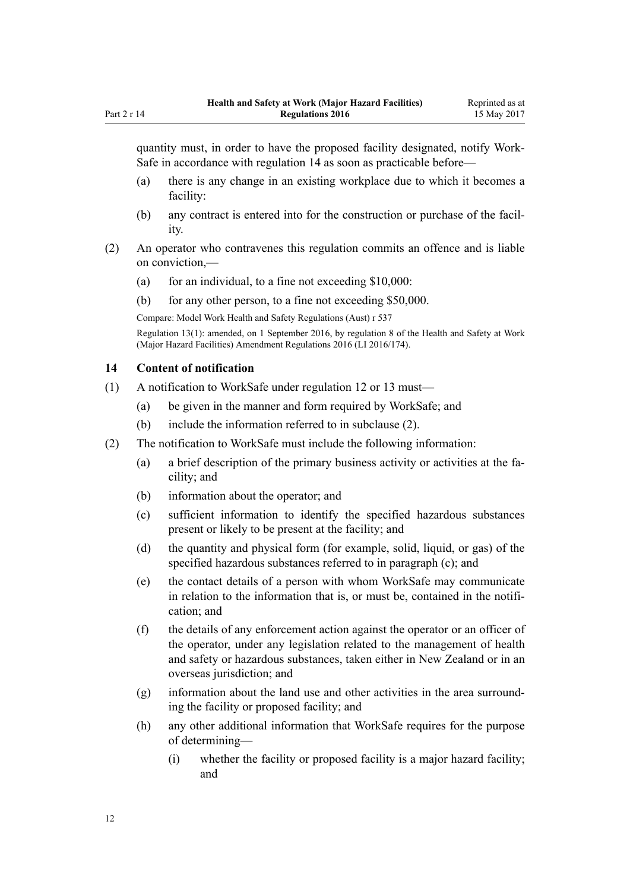<span id="page-11-0"></span>quantity must, in order to have the proposed facility designated, notify Work-Safe in accordance with regulation 14 as soon as practicable before—

- (a) there is any change in an existing workplace due to which it becomes a facility:
- (b) any contract is entered into for the construction or purchase of the facility.
- (2) An operator who contravenes this regulation commits an offence and is liable on conviction,—
	- (a) for an individual, to a fine not exceeding  $$10,000$ :
	- (b) for any other person, to a fine not exceeding \$50,000.

Compare: Model Work Health and Safety Regulations (Aust) r 537

Regulation 13(1): amended, on 1 September 2016, by [regulation 8](http://prd-lgnz-nlb.prd.pco.net.nz/pdflink.aspx?id=DLM6907713) of the Health and Safety at Work (Major Hazard Facilities) Amendment Regulations 2016 (LI 2016/174).

#### **14 Content of notification**

- (1) A notification to WorkSafe under [regulation 12](#page-10-0) or [13](#page-10-0) must—
	- (a) be given in the manner and form required by WorkSafe; and
	- (b) include the information referred to in subclause (2).
- (2) The notification to WorkSafe must include the following information:
	- (a) a brief description of the primary business activity or activities at the facility; and
	- (b) information about the operator; and
	- (c) sufficient information to identify the specified hazardous substances present or likely to be present at the facility; and
	- (d) the quantity and physical form (for example, solid, liquid, or gas) of the specified hazardous substances referred to in paragraph (c); and
	- (e) the contact details of a person with whom WorkSafe may communicate in relation to the information that is, or must be, contained in the notification; and
	- (f) the details of any enforcement action against the operator or an officer of the operator, under any legislation related to the management of health and safety or hazardous substances, taken either in New Zealand or in an overseas jurisdiction; and
	- (g) information about the land use and other activities in the area surrounding the facility or proposed facility; and
	- (h) any other additional information that WorkSafe requires for the purpose of determining—
		- (i) whether the facility or proposed facility is a major hazard facility; and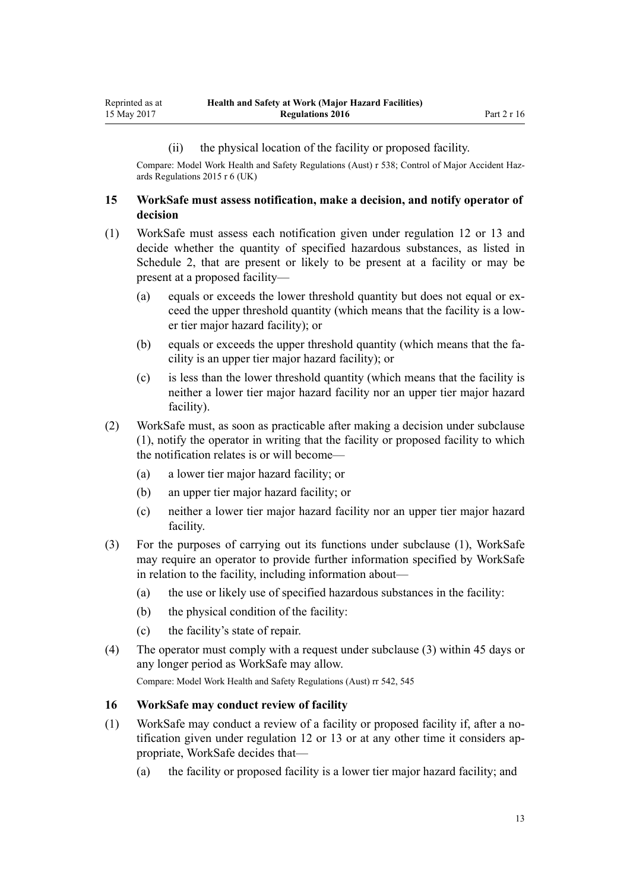#### (ii) the physical location of the facility or proposed facility.

<span id="page-12-0"></span>Compare: Model Work Health and Safety Regulations (Aust) r 538; Control of Major Accident Hazards Regulations 2015 r 6 (UK)

#### **15 WorkSafe must assess notification, make a decision, and notify operator of decision**

- (1) WorkSafe must assess each notification given under [regulation 12](#page-10-0) or [13](#page-10-0) and decide whether the quantity of specified hazardous substances, as listed in [Schedule 2](#page-49-0), that are present or likely to be present at a facility or may be present at a proposed facility—
	- (a) equals or exceeds the lower threshold quantity but does not equal or exceed the upper threshold quantity (which means that the facility is a lower tier major hazard facility); or
	- (b) equals or exceeds the upper threshold quantity (which means that the facility is an upper tier major hazard facility); or
	- (c) is less than the lower threshold quantity (which means that the facility is neither a lower tier major hazard facility nor an upper tier major hazard facility).
- (2) WorkSafe must, as soon as practicable after making a decision under subclause (1), notify the operator in writing that the facility or proposed facility to which the notification relates is or will become—
	- (a) a lower tier major hazard facility; or
	- (b) an upper tier major hazard facility; or
	- (c) neither a lower tier major hazard facility nor an upper tier major hazard facility.
- (3) For the purposes of carrying out its functions under subclause (1), WorkSafe may require an operator to provide further information specified by WorkSafe in relation to the facility, including information about—
	- (a) the use or likely use of specified hazardous substances in the facility:
	- (b) the physical condition of the facility:
	- (c) the facility's state of repair.
- (4) The operator must comply with a request under subclause (3) within 45 days or any longer period as WorkSafe may allow.

Compare: Model Work Health and Safety Regulations (Aust) rr 542, 545

#### **16 WorkSafe may conduct review of facility**

- (1) WorkSafe may conduct a review of a facility or proposed facility if, after a notification given under [regulation 12](#page-10-0) or [13](#page-10-0) or at any other time it considers appropriate, WorkSafe decides that—
	- (a) the facility or proposed facility is a lower tier major hazard facility; and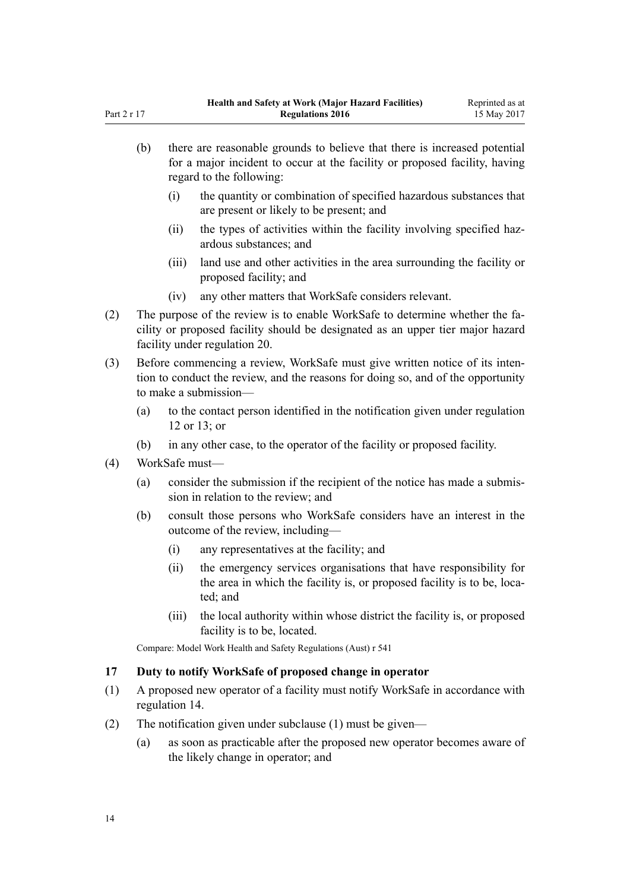|     | (b)            | there are reasonable grounds to believe that there is increased potential<br>for a major incident to occur at the facility or proposed facility, having<br>regard to the following:             |                                                                                                                                                          |  |
|-----|----------------|-------------------------------------------------------------------------------------------------------------------------------------------------------------------------------------------------|----------------------------------------------------------------------------------------------------------------------------------------------------------|--|
|     |                | (i)                                                                                                                                                                                             | the quantity or combination of specified hazardous substances that<br>are present or likely to be present; and                                           |  |
|     |                | (ii)                                                                                                                                                                                            | the types of activities within the facility involving specified haz-<br>ardous substances; and                                                           |  |
|     |                | (iii)                                                                                                                                                                                           | land use and other activities in the area surrounding the facility or<br>proposed facility; and                                                          |  |
|     |                | (iv)                                                                                                                                                                                            | any other matters that WorkSafe considers relevant.                                                                                                      |  |
| (2) |                | The purpose of the review is to enable WorkSafe to determine whether the fa-<br>cility or proposed facility should be designated as an upper tier major hazard<br>facility under regulation 20. |                                                                                                                                                          |  |
| (3) |                | Before commencing a review, WorkSafe must give written notice of its inten-<br>tion to conduct the review, and the reasons for doing so, and of the opportunity<br>to make a submission-        |                                                                                                                                                          |  |
|     | (a)            |                                                                                                                                                                                                 | to the contact person identified in the notification given under regulation<br>12 or 13; or                                                              |  |
|     | (b)            |                                                                                                                                                                                                 | in any other case, to the operator of the facility or proposed facility.                                                                                 |  |
| (4) | WorkSafe must- |                                                                                                                                                                                                 |                                                                                                                                                          |  |
|     | (a)            | consider the submission if the recipient of the notice has made a submis-<br>sion in relation to the review; and                                                                                |                                                                                                                                                          |  |
|     | (b)            |                                                                                                                                                                                                 | consult those persons who WorkSafe considers have an interest in the<br>outcome of the review, including-                                                |  |
|     |                | (i)                                                                                                                                                                                             | any representatives at the facility; and                                                                                                                 |  |
|     |                | (ii)                                                                                                                                                                                            | the emergency services organisations that have responsibility for<br>the area in which the facility is, or proposed facility is to be, loca-<br>ted; and |  |
|     |                | (iii)                                                                                                                                                                                           | the local authority within whose district the facility is, or proposed<br>facility is to be, located.                                                    |  |

Compare: Model Work Health and Safety Regulations (Aust) r 541

### **17 Duty to notify WorkSafe of proposed change in operator**

- (1) A proposed new operator of a facility must notify WorkSafe in accordance with [regulation 14](#page-11-0).
- (2) The notification given under subclause (1) must be given—
	- (a) as soon as practicable after the proposed new operator becomes aware of the likely change in operator; and

<span id="page-13-0"></span>Part 2 r 17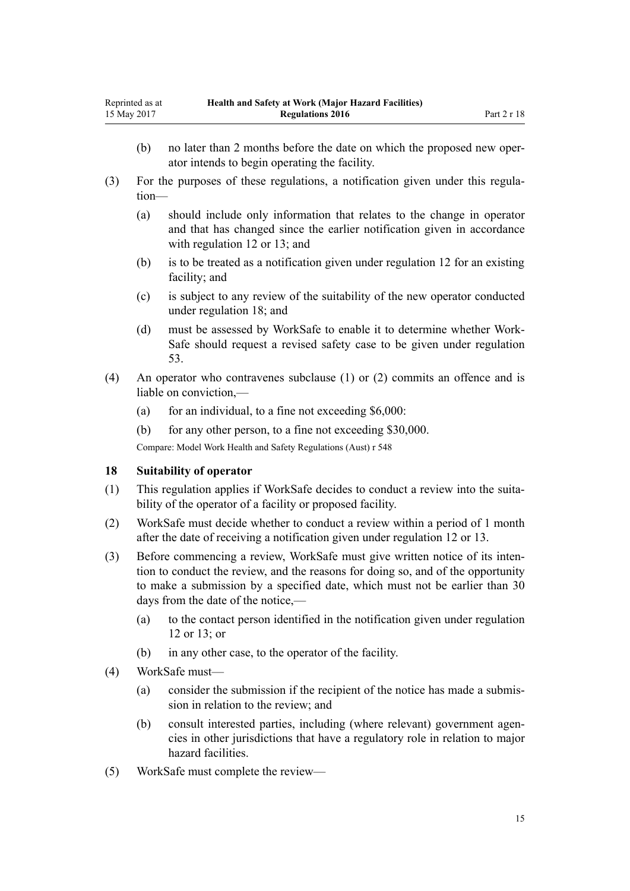- <span id="page-14-0"></span>(b) no later than 2 months before the date on which the proposed new operator intends to begin operating the facility.
- (3) For the purposes of these regulations, a notification given under this regulation—
	- (a) should include only information that relates to the change in operator and that has changed since the earlier notification given in accordance with [regulation 12](#page-10-0) or [13](#page-10-0); and
	- (b) is to be treated as a notification given under [regulation 12](#page-10-0) for an existing facility; and
	- (c) is subject to any review of the suitability of the new operator conducted under regulation 18; and
	- (d) must be assessed by WorkSafe to enable it to determine whether Work-Safe should request a revised safety case to be given under [regulation](#page-34-0) [53.](#page-34-0)
- (4) An operator who contravenes subclause (1) or (2) commits an offence and is liable on conviction,—
	- (a) for an individual, to a fine not exceeding  $$6,000$ :
	- (b) for any other person, to a fine not exceeding \$30,000.

Compare: Model Work Health and Safety Regulations (Aust) r 548

#### **18 Suitability of operator**

- (1) This regulation applies if WorkSafe decides to conduct a review into the suitability of the operator of a facility or proposed facility.
- (2) WorkSafe must decide whether to conduct a review within a period of 1 month after the date of receiving a notification given under [regulation 12](#page-10-0) or [13](#page-10-0).
- (3) Before commencing a review, WorkSafe must give written notice of its intention to conduct the review, and the reasons for doing so, and of the opportunity to make a submission by a specified date, which must not be earlier than 30 days from the date of the notice,—
	- (a) to the contact person identified in the notification given under [regulation](#page-10-0) [12](#page-10-0) or [13;](#page-10-0) or
	- (b) in any other case, to the operator of the facility.
- (4) WorkSafe must—
	- (a) consider the submission if the recipient of the notice has made a submission in relation to the review; and
	- (b) consult interested parties, including (where relevant) government agencies in other jurisdictions that have a regulatory role in relation to major hazard facilities.
- (5) WorkSafe must complete the review—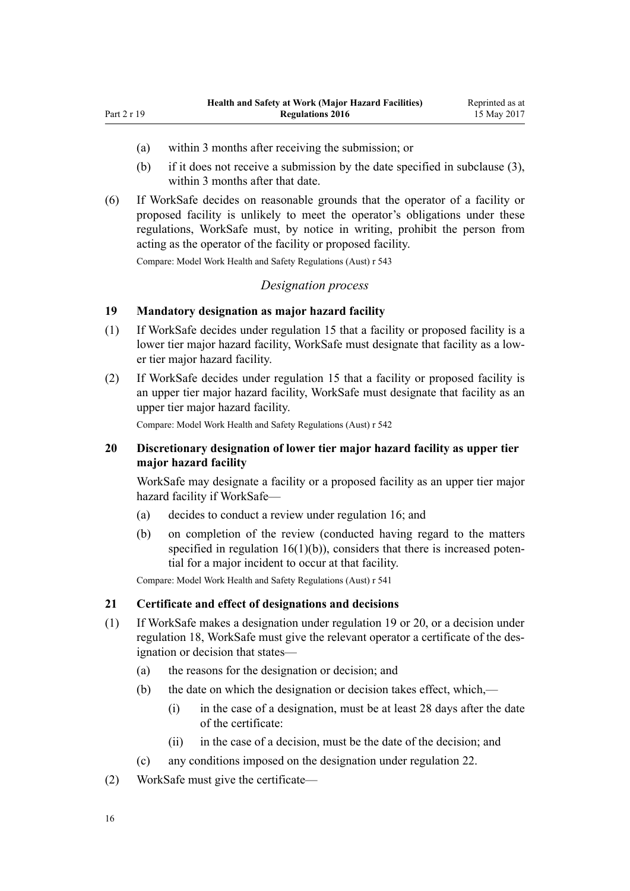(a) within 3 months after receiving the submission; or

<span id="page-15-0"></span>Part 2 r 19

- (b) if it does not receive a submission by the date specified in subclause (3), within 3 months after that date.
- (6) If WorkSafe decides on reasonable grounds that the operator of a facility or proposed facility is unlikely to meet the operator's obligations under these regulations, WorkSafe must, by notice in writing, prohibit the person from acting as the operator of the facility or proposed facility.

Compare: Model Work Health and Safety Regulations (Aust) r 543

#### *Designation process*

# **19 Mandatory designation as major hazard facility**

- (1) If WorkSafe decides under [regulation 15](#page-12-0) that a facility or proposed facility is a lower tier major hazard facility, WorkSafe must designate that facility as a lower tier major hazard facility.
- (2) If WorkSafe decides under [regulation 15](#page-12-0) that a facility or proposed facility is an upper tier major hazard facility, WorkSafe must designate that facility as an upper tier major hazard facility.

Compare: Model Work Health and Safety Regulations (Aust) r 542

#### **20 Discretionary designation of lower tier major hazard facility as upper tier major hazard facility**

WorkSafe may designate a facility or a proposed facility as an upper tier major hazard facility if WorkSafe—

- (a) decides to conduct a review under [regulation 16;](#page-12-0) and
- (b) on completion of the review (conducted having regard to the matters specified in regulation  $16(1)(b)$ , considers that there is increased potential for a major incident to occur at that facility.

Compare: Model Work Health and Safety Regulations (Aust) r 541

#### **21 Certificate and effect of designations and decisions**

- (1) If WorkSafe makes a designation under regulation 19 or 20, or a decision under [regulation 18](#page-14-0), WorkSafe must give the relevant operator a certificate of the designation or decision that states—
	- (a) the reasons for the designation or decision; and
	- (b) the date on which the designation or decision takes effect, which,—
		- (i) in the case of a designation, must be at least 28 days after the date of the certificate:
		- (ii) in the case of a decision, must be the date of the decision; and
	- (c) any conditions imposed on the designation under [regulation 22.](#page-16-0)
- (2) WorkSafe must give the certificate—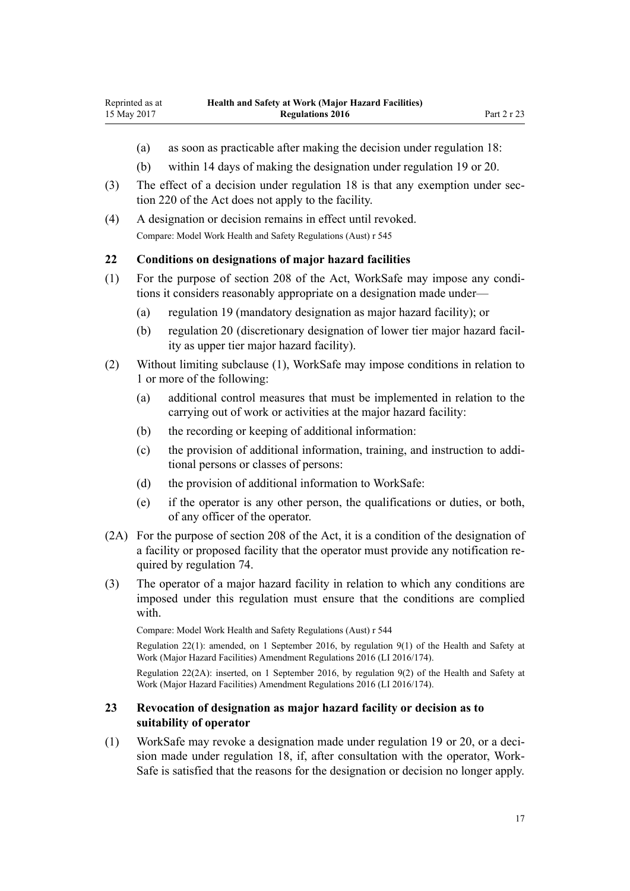- <span id="page-16-0"></span>(a) as soon as practicable after making the decision under [regulation 18:](#page-14-0)
- (b) within 14 days of making the designation under [regulation 19](#page-15-0) or [20](#page-15-0).
- (3) The effect of a decision under [regulation 18](#page-14-0) is that any exemption under [sec](http://prd-lgnz-nlb.prd.pco.net.nz/pdflink.aspx?id=DLM6544175)[tion 220](http://prd-lgnz-nlb.prd.pco.net.nz/pdflink.aspx?id=DLM6544175) of the Act does not apply to the facility.
- (4) A designation or decision remains in effect until revoked. Compare: Model Work Health and Safety Regulations (Aust) r 545

#### **22 Conditions on designations of major hazard facilities**

- (1) For the purpose of [section 208](http://prd-lgnz-nlb.prd.pco.net.nz/pdflink.aspx?id=DLM6544172) of the Act, WorkSafe may impose any conditions it considers reasonably appropriate on a designation made under—
	- (a) [regulation 19](#page-15-0) (mandatory designation as major hazard facility); or
	- (b) [regulation 20](#page-15-0) (discretionary designation of lower tier major hazard facility as upper tier major hazard facility).
- (2) Without limiting subclause (1), WorkSafe may impose conditions in relation to 1 or more of the following:
	- (a) additional control measures that must be implemented in relation to the carrying out of work or activities at the major hazard facility:
	- (b) the recording or keeping of additional information:
	- (c) the provision of additional information, training, and instruction to additional persons or classes of persons:
	- (d) the provision of additional information to WorkSafe:
	- (e) if the operator is any other person, the qualifications or duties, or both, of any officer of the operator.
- (2A) For the purpose of [section 208](http://prd-lgnz-nlb.prd.pco.net.nz/pdflink.aspx?id=DLM6544172) of the Act, it is a condition of the designation of a facility or proposed facility that the operator must provide any notification required by [regulation 74.](#page-46-0)
- (3) The operator of a major hazard facility in relation to which any conditions are imposed under this regulation must ensure that the conditions are complied with.

Compare: Model Work Health and Safety Regulations (Aust) r 544

Regulation 22(1): amended, on 1 September 2016, by [regulation 9\(1\)](http://prd-lgnz-nlb.prd.pco.net.nz/pdflink.aspx?id=DLM6907714) of the Health and Safety at Work (Major Hazard Facilities) Amendment Regulations 2016 (LI 2016/174).

Regulation 22(2A): inserted, on 1 September 2016, by [regulation 9\(2\)](http://prd-lgnz-nlb.prd.pco.net.nz/pdflink.aspx?id=DLM6907714) of the Health and Safety at Work (Major Hazard Facilities) Amendment Regulations 2016 (LI 2016/174).

#### **23 Revocation of designation as major hazard facility or decision as to suitability of operator**

(1) WorkSafe may revoke a designation made under [regulation 19](#page-15-0) or [20](#page-15-0), or a decision made under [regulation 18,](#page-14-0) if, after consultation with the operator, Work-Safe is satisfied that the reasons for the designation or decision no longer apply.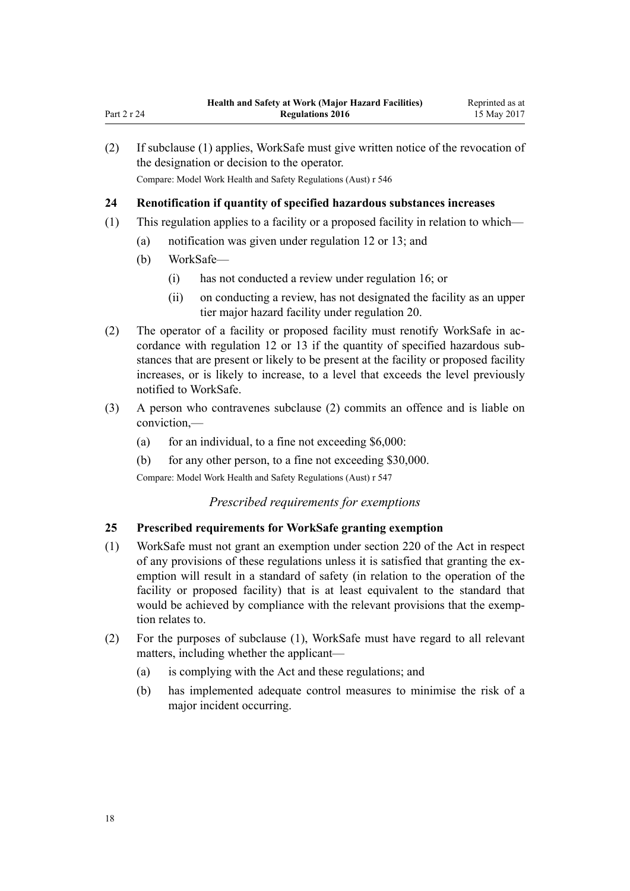| (2) | If subclause (1) applies, WorkSafe must give written notice of the revocation of<br>the designation or decision to the operator.<br>Compare: Model Work Health and Safety Regulations (Aust) r 546 |                                                                                                                                                                                                                                                                                          |  |  |
|-----|----------------------------------------------------------------------------------------------------------------------------------------------------------------------------------------------------|------------------------------------------------------------------------------------------------------------------------------------------------------------------------------------------------------------------------------------------------------------------------------------------|--|--|
| 24  | Renotification if quantity of specified hazardous substances increases                                                                                                                             |                                                                                                                                                                                                                                                                                          |  |  |
| (1) | This regulation applies to a facility or a proposed facility in relation to which—                                                                                                                 |                                                                                                                                                                                                                                                                                          |  |  |
|     | (a)                                                                                                                                                                                                | notification was given under regulation 12 or 13; and                                                                                                                                                                                                                                    |  |  |
|     | (b)                                                                                                                                                                                                | WorkSafe-                                                                                                                                                                                                                                                                                |  |  |
|     |                                                                                                                                                                                                    | has not conducted a review under regulation 16; or<br>(1)                                                                                                                                                                                                                                |  |  |
|     |                                                                                                                                                                                                    | $\mathbf{1}$ , and $\mathbf{1}$ , and $\mathbf{1}$ , and $\mathbf{1}$ , and $\mathbf{1}$ , and $\mathbf{1}$ , and $\mathbf{1}$ , and $\mathbf{1}$ , and $\mathbf{1}$ , and $\mathbf{1}$ , and $\mathbf{1}$ , and $\mathbf{1}$ , and $\mathbf{1}$ , and $\mathbf{1}$ , and $\mathbf{1}$ , |  |  |

- (ii) on conducting a review, has not designated the facility as an upper tier major hazard facility under [regulation 20](#page-15-0).
- (2) The operator of a facility or proposed facility must renotify WorkSafe in accordance with [regulation 12](#page-10-0) or [13](#page-10-0) if the quantity of specified hazardous substances that are present or likely to be present at the facility or proposed facility increases, or is likely to increase, to a level that exceeds the level previously notified to WorkSafe.
- (3) A person who contravenes subclause (2) commits an offence and is liable on conviction,—
	- (a) for an individual, to a fine not exceeding  $$6,000$ :
	- (b) for any other person, to a fine not exceeding \$30,000.

Compare: Model Work Health and Safety Regulations (Aust) r 547

# *Prescribed requirements for exemptions*

# **25 Prescribed requirements for WorkSafe granting exemption**

- (1) WorkSafe must not grant an exemption under [section 220](http://prd-lgnz-nlb.prd.pco.net.nz/pdflink.aspx?id=DLM6544175) of the Act in respect of any provisions of these regulations unless it is satisfied that granting the exemption will result in a standard of safety (in relation to the operation of the facility or proposed facility) that is at least equivalent to the standard that would be achieved by compliance with the relevant provisions that the exemption relates to.
- (2) For the purposes of subclause (1), WorkSafe must have regard to all relevant matters, including whether the applicant—
	- (a) is complying with the Act and these regulations; and
	- (b) has implemented adequate control measures to minimise the risk of a major incident occurring.

<span id="page-17-0"></span>Part 2 r 24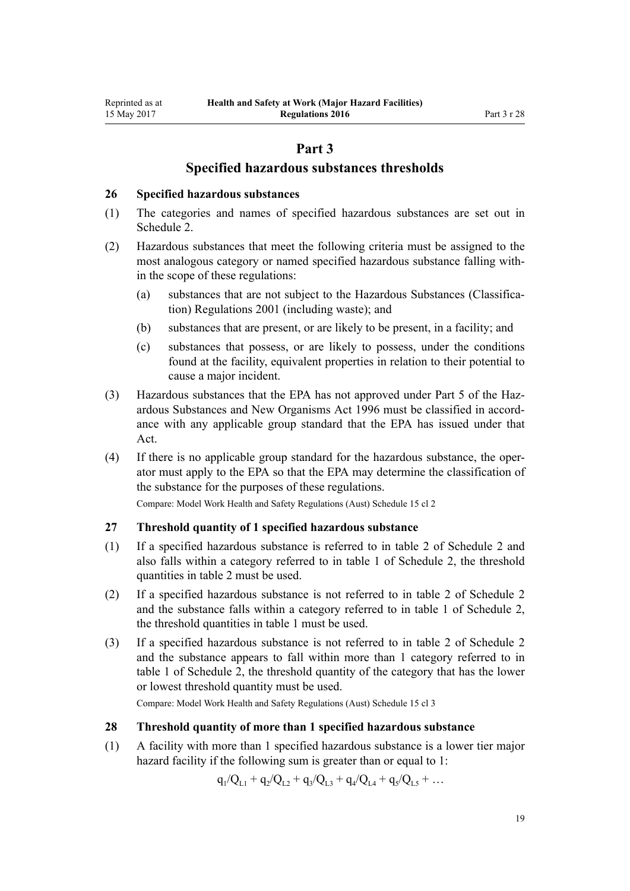# **Part 3**

# **Specified hazardous substances thresholds**

#### <span id="page-18-0"></span>**26 Specified hazardous substances**

- (1) The categories and names of specified hazardous substances are set out in [Schedule 2.](#page-49-0)
- (2) Hazardous substances that meet the following criteria must be assigned to the most analogous category or named specified hazardous substance falling within the scope of these regulations:
	- (a) substances that are not subject to the [Hazardous Substances \(Classifica](http://prd-lgnz-nlb.prd.pco.net.nz/pdflink.aspx?id=DLM33832)[tion\) Regulations 2001](http://prd-lgnz-nlb.prd.pco.net.nz/pdflink.aspx?id=DLM33832) (including waste); and
	- (b) substances that are present, or are likely to be present, in a facility; and
	- (c) substances that possess, or are likely to possess, under the conditions found at the facility, equivalent properties in relation to their potential to cause a major incident.
- (3) Hazardous substances that the EPA has not approved under [Part 5](http://prd-lgnz-nlb.prd.pco.net.nz/pdflink.aspx?id=DLM383157) of the Hazardous Substances and New Organisms Act 1996 must be classified in accordance with any applicable group standard that the EPA has issued under that Act.
- (4) If there is no applicable group standard for the hazardous substance, the operator must apply to the EPA so that the EPA may determine the classification of the substance for the purposes of these regulations.

Compare: Model Work Health and Safety Regulations (Aust) Schedule 15 cl 2

### **27 Threshold quantity of 1 specified hazardous substance**

- (1) If a specified hazardous substance is referred to in table 2 of [Schedule 2](#page-49-0) and also falls within a category referred to in table 1 of Schedule 2, the threshold quantities in table 2 must be used.
- (2) If a specified hazardous substance is not referred to in table 2 of [Schedule 2](#page-49-0) and the substance falls within a category referred to in table 1 of Schedule 2, the threshold quantities in table 1 must be used.
- (3) If a specified hazardous substance is not referred to in table 2 of [Schedule 2](#page-49-0) and the substance appears to fall within more than 1 category referred to in table 1 of Schedule 2, the threshold quantity of the category that has the lower or lowest threshold quantity must be used.

Compare: Model Work Health and Safety Regulations (Aust) Schedule 15 cl 3

#### **28 Threshold quantity of more than 1 specified hazardous substance**

(1) A facility with more than 1 specified hazardous substance is a lower tier major hazard facility if the following sum is greater than or equal to 1:

 $q_1/Q_{L1} + q_2/Q_{L2} + q_3/Q_{L3} + q_4/Q_{L4} + q_5/Q_{L5} + ...$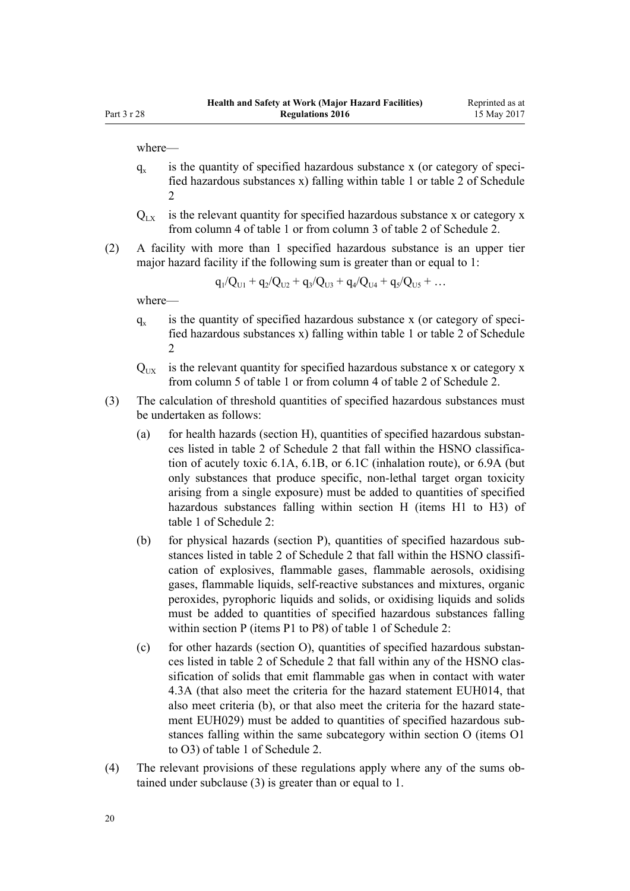where—

- $q_{x}$ is the quantity of specified hazardous substance x (or category of specified hazardous substances x) falling within table 1 or table 2 of [Schedule](#page-49-0) [2](#page-49-0)
- $Q_{\text{tx}}$  is the relevant quantity for specified hazardous substance x or category x from column 4 of table 1 or from column 3 of table 2 of [Schedule 2.](#page-49-0)
- (2) A facility with more than 1 specified hazardous substance is an upper tier major hazard facility if the following sum is greater than or equal to 1:

$$
q_1/Q_{U1} + q_2/Q_{U2} + q_3/Q_{U3} + q_4/Q_{U4} + q_5/Q_{U5} + \dots
$$

where—

- $q_{\rm v}$ is the quantity of specified hazardous substance x (or category of specified hazardous substances x) falling within table 1 or table 2 of [Schedule](#page-49-0)  $\mathfrak{D}$
- $Q_{\text{UV}}$  is the relevant quantity for specified hazardous substance x or category x from column 5 of table 1 or from column 4 of table 2 of [Schedule 2.](#page-49-0)
- (3) The calculation of threshold quantities of specified hazardous substances must be undertaken as follows:
	- (a) for health hazards (section H), quantities of specified hazardous substances listed in table 2 of [Schedule 2](#page-49-0) that fall within the HSNO classification of acutely toxic 6.1A, 6.1B, or 6.1C (inhalation route), or 6.9A (but only substances that produce specific, non-lethal target organ toxicity arising from a single exposure) must be added to quantities of specified hazardous substances falling within section H (items H1 to H3) of table 1 of Schedule 2:
	- (b) for physical hazards (section P), quantities of specified hazardous substances listed in table 2 of [Schedule 2](#page-49-0) that fall within the HSNO classification of explosives, flammable gases, flammable aerosols, oxidising gases, flammable liquids, self-reactive substances and mixtures, organic peroxides, pyrophoric liquids and solids, or oxidising liquids and solids must be added to quantities of specified hazardous substances falling within section P (items P1 to P8) of table 1 of Schedule 2:
	- (c) for other hazards (section O), quantities of specified hazardous substances listed in table 2 of [Schedule 2](#page-49-0) that fall within any of the HSNO classification of solids that emit flammable gas when in contact with water 4.3A (that also meet the criteria for the hazard statement EUH014, that also meet criteria (b), or that also meet the criteria for the hazard statement EUH029) must be added to quantities of specified hazardous substances falling within the same subcategory within section O (items O1 to O3) of table 1 of Schedule 2.
- (4) The relevant provisions of these regulations apply where any of the sums obtained under subclause (3) is greater than or equal to 1.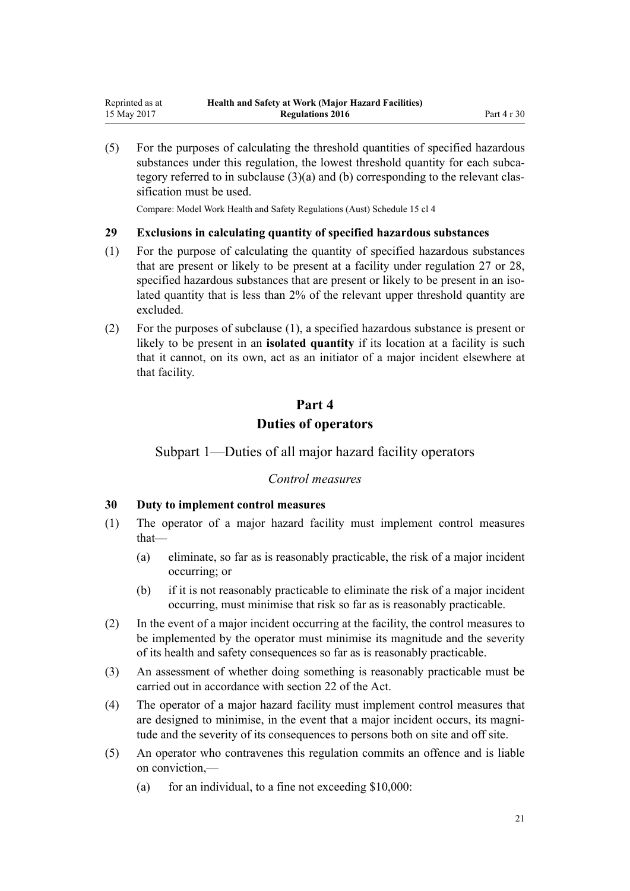<span id="page-20-0"></span>(5) For the purposes of calculating the threshold quantities of specified hazardous substances under this regulation, the lowest threshold quantity for each subcategory referred to in subclause (3)(a) and (b) corresponding to the relevant classification must be used.

Compare: Model Work Health and Safety Regulations (Aust) Schedule 15 cl 4

#### **29 Exclusions in calculating quantity of specified hazardous substances**

- (1) For the purpose of calculating the quantity of specified hazardous substances that are present or likely to be present at a facility under [regulation 27](#page-18-0) or [28](#page-18-0), specified hazardous substances that are present or likely to be present in an isolated quantity that is less than 2% of the relevant upper threshold quantity are excluded.
- (2) For the purposes of subclause (1), a specified hazardous substance is present or likely to be present in an **isolated quantity** if its location at a facility is such that it cannot, on its own, act as an initiator of a major incident elsewhere at that facility.

# **Part 4 Duties of operators**

# Subpart 1—Duties of all major hazard facility operators

# *Control measures*

#### **30 Duty to implement control measures**

- (1) The operator of a major hazard facility must implement control measures that—
	- (a) eliminate, so far as is reasonably practicable, the risk of a major incident occurring; or
	- (b) if it is not reasonably practicable to eliminate the risk of a major incident occurring, must minimise that risk so far as is reasonably practicable.
- (2) In the event of a major incident occurring at the facility, the control measures to be implemented by the operator must minimise its magnitude and the severity of its health and safety consequences so far as is reasonably practicable.
- (3) An assessment of whether doing something is reasonably practicable must be carried out in accordance with [section 22](http://prd-lgnz-nlb.prd.pco.net.nz/pdflink.aspx?id=DLM5976866) of the Act.
- (4) The operator of a major hazard facility must implement control measures that are designed to minimise, in the event that a major incident occurs, its magnitude and the severity of its consequences to persons both on site and off site.
- (5) An operator who contravenes this regulation commits an offence and is liable on conviction,—
	- (a) for an individual, to a fine not exceeding  $$10,000$ :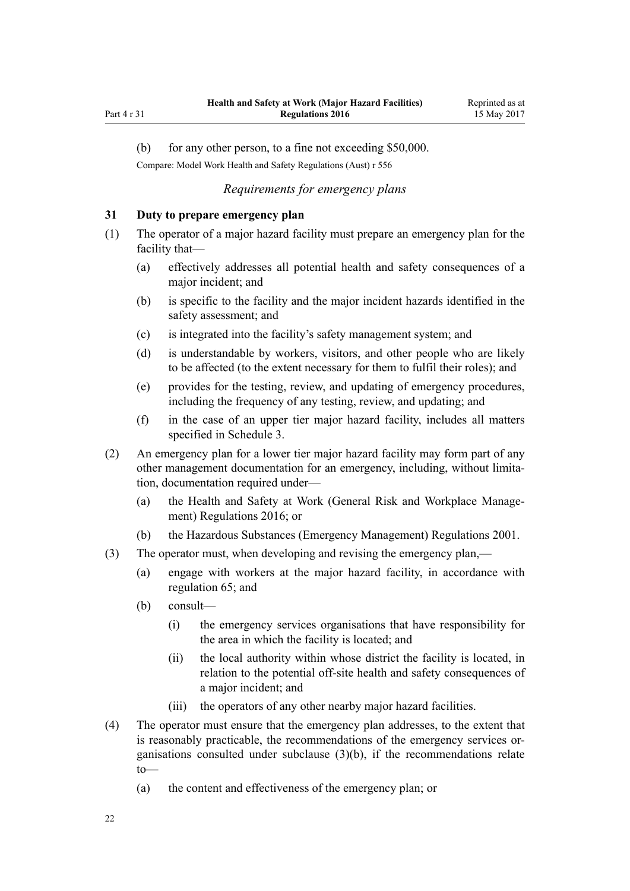<span id="page-21-0"></span>Part 4 r 31

(b) for any other person, to a fine not exceeding \$50,000.

Compare: Model Work Health and Safety Regulations (Aust) r 556

# *Requirements for emergency plans*

### **31 Duty to prepare emergency plan**

- (1) The operator of a major hazard facility must prepare an emergency plan for the facility that—
	- (a) effectively addresses all potential health and safety consequences of a major incident; and
	- (b) is specific to the facility and the major incident hazards identified in the safety assessment; and
	- (c) is integrated into the facility's safety management system; and
	- (d) is understandable by workers, visitors, and other people who are likely to be affected (to the extent necessary for them to fulfil their roles); and
	- (e) provides for the testing, review, and updating of emergency procedures, including the frequency of any testing, review, and updating; and
	- (f) in the case of an upper tier major hazard facility, includes all matters specified in [Schedule 3](#page-60-0).
- (2) An emergency plan for a lower tier major hazard facility may form part of any other management documentation for an emergency, including, without limitation, documentation required under—
	- (a) the [Health and Safety at Work \(General Risk and Workplace Manage](http://prd-lgnz-nlb.prd.pco.net.nz/pdflink.aspx?id=DLM6727529)[ment\) Regulations 2016;](http://prd-lgnz-nlb.prd.pco.net.nz/pdflink.aspx?id=DLM6727529) or
	- (b) the [Hazardous Substances \(Emergency Management\) Regulations 2001.](http://prd-lgnz-nlb.prd.pco.net.nz/pdflink.aspx?id=DLM43172)
- (3) The operator must, when developing and revising the emergency plan,—
	- (a) engage with workers at the major hazard facility, in accordance with [regulation 65](#page-40-0); and
	- (b) consult—
		- (i) the emergency services organisations that have responsibility for the area in which the facility is located; and
		- (ii) the local authority within whose district the facility is located, in relation to the potential off-site health and safety consequences of a major incident; and
		- (iii) the operators of any other nearby major hazard facilities.
- (4) The operator must ensure that the emergency plan addresses, to the extent that is reasonably practicable, the recommendations of the emergency services organisations consulted under subclause (3)(b), if the recommendations relate to—
	- (a) the content and effectiveness of the emergency plan; or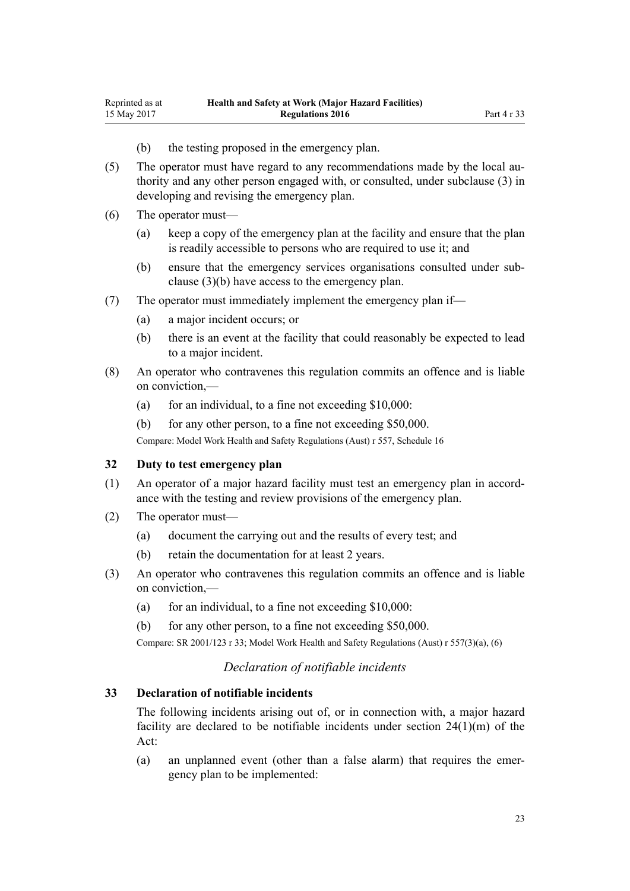- (b) the testing proposed in the emergency plan.
- <span id="page-22-0"></span>(5) The operator must have regard to any recommendations made by the local authority and any other person engaged with, or consulted, under subclause (3) in developing and revising the emergency plan.
- (6) The operator must—
	- (a) keep a copy of the emergency plan at the facility and ensure that the plan is readily accessible to persons who are required to use it; and
	- (b) ensure that the emergency services organisations consulted under subclause (3)(b) have access to the emergency plan.
- (7) The operator must immediately implement the emergency plan if—
	- (a) a major incident occurs; or
	- (b) there is an event at the facility that could reasonably be expected to lead to a major incident.
- (8) An operator who contravenes this regulation commits an offence and is liable on conviction,—
	- (a) for an individual, to a fine not exceeding  $$10,000$ :
	- (b) for any other person, to a fine not exceeding \$50,000.

Compare: Model Work Health and Safety Regulations (Aust) r 557, Schedule 16

#### **32 Duty to test emergency plan**

- (1) An operator of a major hazard facility must test an emergency plan in accordance with the testing and review provisions of the emergency plan.
- (2) The operator must—
	- (a) document the carrying out and the results of every test; and
	- (b) retain the documentation for at least 2 years.
- (3) An operator who contravenes this regulation commits an offence and is liable on conviction,—
	- (a) for an individual, to a fine not exceeding  $$10,000$ :
	- (b) for any other person, to a fine not exceeding \$50,000.

Compare: SR 2001/123 [r 33;](http://prd-lgnz-nlb.prd.pco.net.nz/pdflink.aspx?id=DLM43880) Model Work Health and Safety Regulations (Aust) r 557(3)(a), (6)

# *Declaration of notifiable incidents*

#### **33 Declaration of notifiable incidents**

The following incidents arising out of, or in connection with, a major hazard facility are declared to be notifiable incidents under [section 24\(1\)\(m\)](http://prd-lgnz-nlb.prd.pco.net.nz/pdflink.aspx?id=DLM5976877) of the Act:

(a) an unplanned event (other than a false alarm) that requires the emergency plan to be implemented: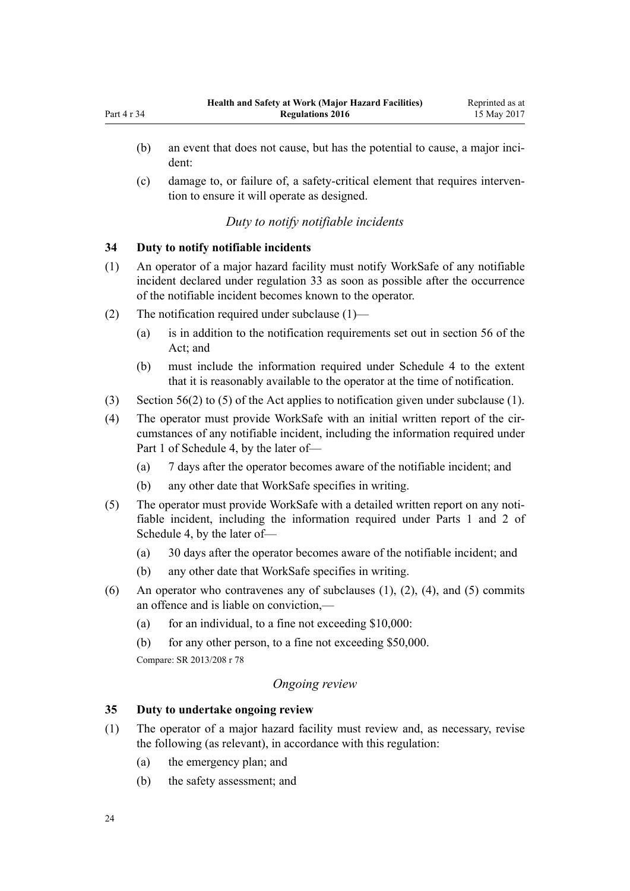<span id="page-23-0"></span>(c) damage to, or failure of, a safety-critical element that requires intervention to ensure it will operate as designed.

# *Duty to notify notifiable incidents*

# **34 Duty to notify notifiable incidents**

- (1) An operator of a major hazard facility must notify WorkSafe of any notifiable incident declared under [regulation 33](#page-22-0) as soon as possible after the occurrence of the notifiable incident becomes known to the operator.
- (2) The notification required under subclause (1)—
	- (a) is in addition to the notification requirements set out in [section 56](http://prd-lgnz-nlb.prd.pco.net.nz/pdflink.aspx?id=DLM6544144) of the Act: and
	- (b) must include the information required under [Schedule 4](#page-62-0) to the extent that it is reasonably available to the operator at the time of notification.
- (3) [Section 56\(2\) to \(5\)](http://prd-lgnz-nlb.prd.pco.net.nz/pdflink.aspx?id=DLM6544144) of the Act applies to notification given under subclause (1).
- (4) The operator must provide WorkSafe with an initial written report of the circumstances of any notifiable incident, including the information required under [Part 1](#page-62-0) of Schedule 4, by the later of—
	- (a) 7 days after the operator becomes aware of the notifiable incident; and
	- (b) any other date that WorkSafe specifies in writing.
- (5) The operator must provide WorkSafe with a detailed written report on any notifiable incident, including the information required under [Parts 1](#page-62-0) and [2](#page-63-0) of Schedule 4, by the later of—
	- (a) 30 days after the operator becomes aware of the notifiable incident; and
	- (b) any other date that WorkSafe specifies in writing.
- (6) An operator who contravenes any of subclauses  $(1)$ ,  $(2)$ ,  $(4)$ , and  $(5)$  commits an offence and is liable on conviction,—
	- (a) for an individual, to a fine not exceeding  $$10,000$ :
	- (b) for any other person, to a fine not exceeding \$50,000.

Compare: SR 2013/208 [r 78](http://prd-lgnz-nlb.prd.pco.net.nz/pdflink.aspx?id=DLM5203500)

# *Ongoing review*

# **35 Duty to undertake ongoing review**

- (1) The operator of a major hazard facility must review and, as necessary, revise the following (as relevant), in accordance with this regulation:
	- (a) the emergency plan; and
	- (b) the safety assessment; and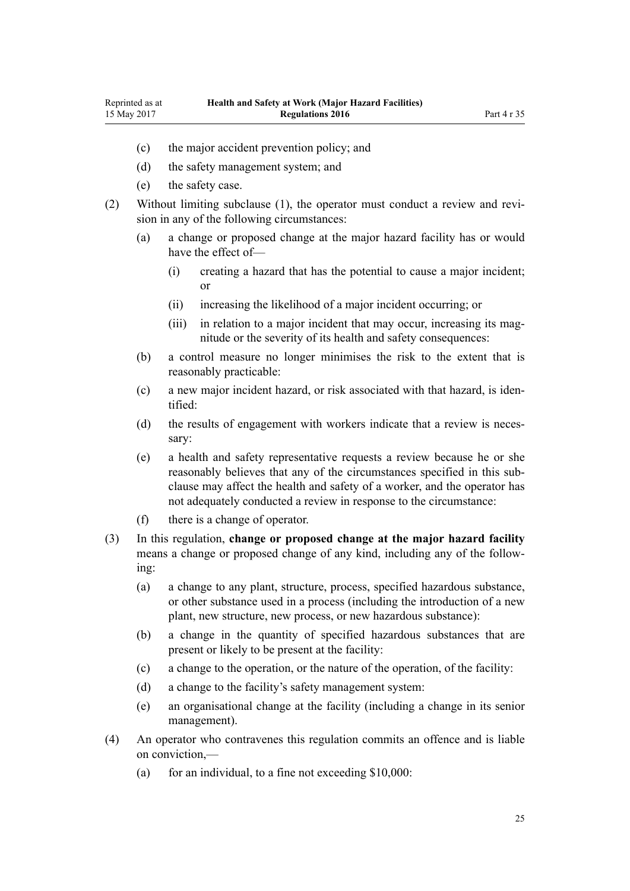- (c) the major accident prevention policy; and
- (d) the safety management system; and
- (e) the safety case.
- (2) Without limiting subclause (1), the operator must conduct a review and revision in any of the following circumstances:
	- (a) a change or proposed change at the major hazard facility has or would have the effect of—
		- (i) creating a hazard that has the potential to cause a major incident; or
		- (ii) increasing the likelihood of a major incident occurring; or
		- (iii) in relation to a major incident that may occur, increasing its magnitude or the severity of its health and safety consequences:
	- (b) a control measure no longer minimises the risk to the extent that is reasonably practicable:
	- (c) a new major incident hazard, or risk associated with that hazard, is identified:
	- (d) the results of engagement with workers indicate that a review is necessary:
	- (e) a health and safety representative requests a review because he or she reasonably believes that any of the circumstances specified in this subclause may affect the health and safety of a worker, and the operator has not adequately conducted a review in response to the circumstance:
	- (f) there is a change of operator.
- (3) In this regulation, **change or proposed change at the major hazard facility** means a change or proposed change of any kind, including any of the following:
	- (a) a change to any plant, structure, process, specified hazardous substance, or other substance used in a process (including the introduction of a new plant, new structure, new process, or new hazardous substance):
	- (b) a change in the quantity of specified hazardous substances that are present or likely to be present at the facility:
	- (c) a change to the operation, or the nature of the operation, of the facility:
	- (d) a change to the facility's safety management system:
	- (e) an organisational change at the facility (including a change in its senior management).
- (4) An operator who contravenes this regulation commits an offence and is liable on conviction,—
	- (a) for an individual, to a fine not exceeding  $$10,000$ :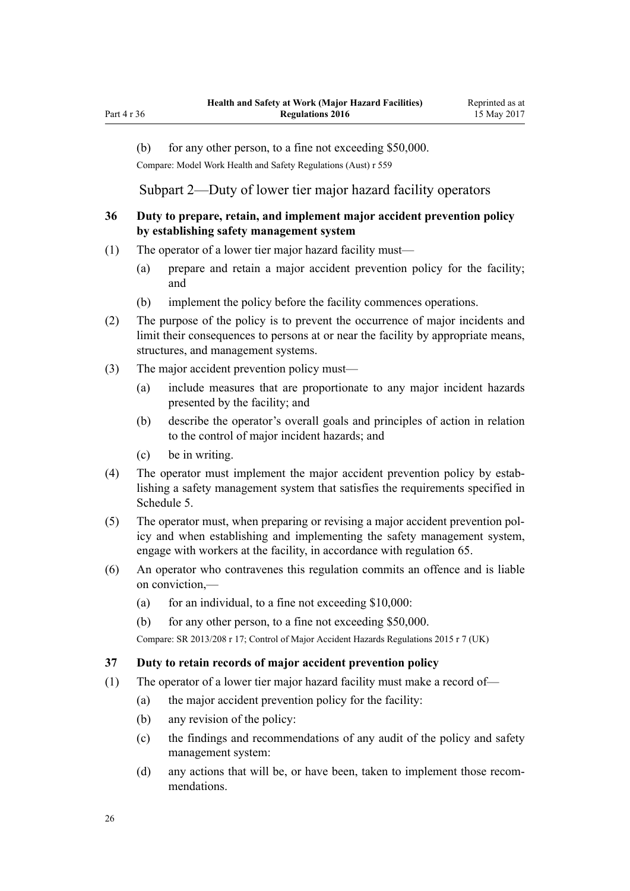<span id="page-25-0"></span>Part 4 r 36

(b) for any other person, to a fine not exceeding \$50,000.

Compare: Model Work Health and Safety Regulations (Aust) r 559

Subpart 2—Duty of lower tier major hazard facility operators

# **36 Duty to prepare, retain, and implement major accident prevention policy by establishing safety management system**

- (1) The operator of a lower tier major hazard facility must—
	- (a) prepare and retain a major accident prevention policy for the facility; and
	- (b) implement the policy before the facility commences operations.
- (2) The purpose of the policy is to prevent the occurrence of major incidents and limit their consequences to persons at or near the facility by appropriate means, structures, and management systems.
- (3) The major accident prevention policy must—
	- (a) include measures that are proportionate to any major incident hazards presented by the facility; and
	- (b) describe the operator's overall goals and principles of action in relation to the control of major incident hazards; and
	- (c) be in writing.
- (4) The operator must implement the major accident prevention policy by establishing a safety management system that satisfies the requirements specified in [Schedule 5.](#page-64-0)
- (5) The operator must, when preparing or revising a major accident prevention policy and when establishing and implementing the safety management system, engage with workers at the facility, in accordance with [regulation 65](#page-40-0).
- (6) An operator who contravenes this regulation commits an offence and is liable on conviction,—
	- (a) for an individual, to a fine not exceeding  $$10,000$ :
	- (b) for any other person, to a fine not exceeding \$50,000.

Compare: SR 2013/208 [r 17;](http://prd-lgnz-nlb.prd.pco.net.nz/pdflink.aspx?id=DLM5202517) Control of Major Accident Hazards Regulations 2015 r 7 (UK)

#### **37 Duty to retain records of major accident prevention policy**

- (1) The operator of a lower tier major hazard facility must make a record of—
	- (a) the major accident prevention policy for the facility:
	- (b) any revision of the policy:
	- (c) the findings and recommendations of any audit of the policy and safety management system:
	- (d) any actions that will be, or have been, taken to implement those recommendations.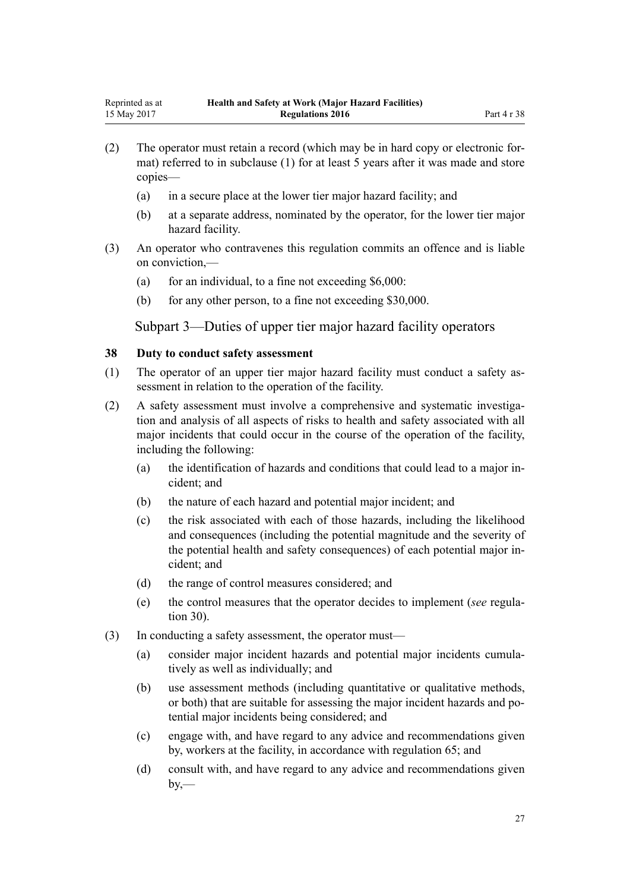- <span id="page-26-0"></span>(2) The operator must retain a record (which may be in hard copy or electronic format) referred to in subclause (1) for at least 5 years after it was made and store copies—
	- (a) in a secure place at the lower tier major hazard facility; and
	- (b) at a separate address, nominated by the operator, for the lower tier major hazard facility.
- (3) An operator who contravenes this regulation commits an offence and is liable on conviction,—
	- (a) for an individual, to a fine not exceeding  $$6,000$ :
	- (b) for any other person, to a fine not exceeding \$30,000.

Subpart 3—Duties of upper tier major hazard facility operators

#### **38 Duty to conduct safety assessment**

- (1) The operator of an upper tier major hazard facility must conduct a safety assessment in relation to the operation of the facility.
- (2) A safety assessment must involve a comprehensive and systematic investigation and analysis of all aspects of risks to health and safety associated with all major incidents that could occur in the course of the operation of the facility, including the following:
	- (a) the identification of hazards and conditions that could lead to a major incident; and
	- (b) the nature of each hazard and potential major incident; and
	- (c) the risk associated with each of those hazards, including the likelihood and consequences (including the potential magnitude and the severity of the potential health and safety consequences) of each potential major incident; and
	- (d) the range of control measures considered; and
	- (e) the control measures that the operator decides to implement (*see* [regula](#page-20-0)[tion 30](#page-20-0)).
- (3) In conducting a safety assessment, the operator must—
	- (a) consider major incident hazards and potential major incidents cumulatively as well as individually; and
	- (b) use assessment methods (including quantitative or qualitative methods, or both) that are suitable for assessing the major incident hazards and potential major incidents being considered; and
	- (c) engage with, and have regard to any advice and recommendations given by, workers at the facility, in accordance with [regulation 65](#page-40-0); and
	- (d) consult with, and have regard to any advice and recommendations given  $by$ —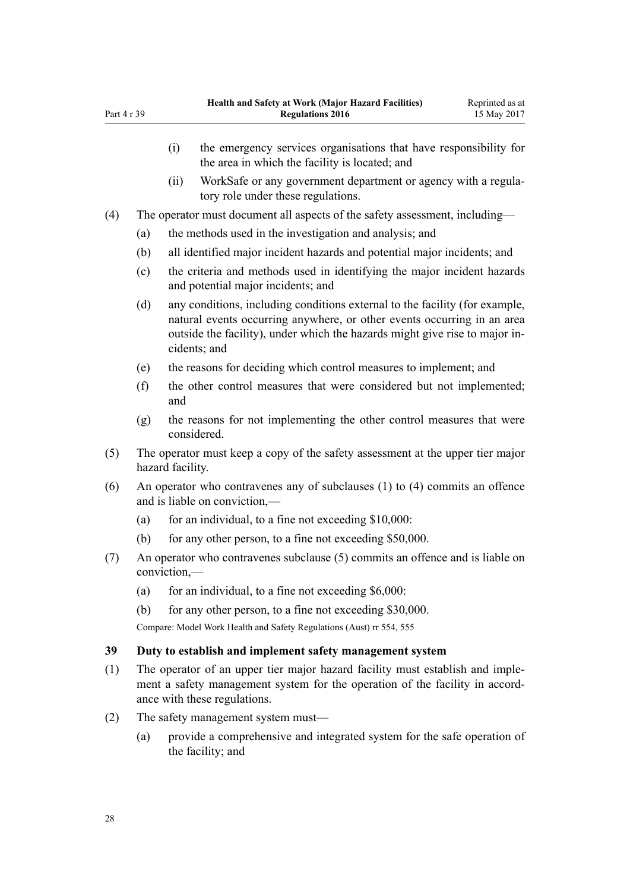|                                      |                                                                             | (i)                                                                                                | the emergency services organisations that have responsibility for<br>the area in which the facility is located; and                                                                                                                                   |  |  |
|--------------------------------------|-----------------------------------------------------------------------------|----------------------------------------------------------------------------------------------------|-------------------------------------------------------------------------------------------------------------------------------------------------------------------------------------------------------------------------------------------------------|--|--|
|                                      |                                                                             | (ii)                                                                                               | WorkSafe or any government department or agency with a regula-<br>tory role under these regulations.                                                                                                                                                  |  |  |
| (4)                                  | The operator must document all aspects of the safety assessment, including— |                                                                                                    |                                                                                                                                                                                                                                                       |  |  |
|                                      | (a)                                                                         |                                                                                                    | the methods used in the investigation and analysis; and                                                                                                                                                                                               |  |  |
|                                      | (b)                                                                         |                                                                                                    | all identified major incident hazards and potential major incidents; and                                                                                                                                                                              |  |  |
|                                      | (c)                                                                         |                                                                                                    | the criteria and methods used in identifying the major incident hazards<br>and potential major incidents; and                                                                                                                                         |  |  |
|                                      | (d)                                                                         |                                                                                                    | any conditions, including conditions external to the facility (for example,<br>natural events occurring anywhere, or other events occurring in an area<br>outside the facility), under which the hazards might give rise to major in-<br>cidents; and |  |  |
|                                      | (e)                                                                         |                                                                                                    | the reasons for deciding which control measures to implement; and                                                                                                                                                                                     |  |  |
|                                      | (f)                                                                         | and                                                                                                | the other control measures that were considered but not implemented;                                                                                                                                                                                  |  |  |
|                                      | (g)                                                                         |                                                                                                    | the reasons for not implementing the other control measures that were<br>considered.                                                                                                                                                                  |  |  |
| (5)                                  |                                                                             | The operator must keep a copy of the safety assessment at the upper tier major<br>hazard facility. |                                                                                                                                                                                                                                                       |  |  |
| (6)<br>and is liable on conviction,— |                                                                             |                                                                                                    | An operator who contravenes any of subclauses (1) to (4) commits an offence                                                                                                                                                                           |  |  |
|                                      | (a)                                                                         |                                                                                                    | for an individual, to a fine not exceeding \$10,000:                                                                                                                                                                                                  |  |  |

- (b) for any other person, to a fine not exceeding \$50,000.
- (7) An operator who contravenes subclause (5) commits an offence and is liable on conviction,—
	- (a) for an individual, to a fine not exceeding  $$6,000$ :

(b) for any other person, to a fine not exceeding \$30,000.

Compare: Model Work Health and Safety Regulations (Aust) rr 554, 555

# **39 Duty to establish and implement safety management system**

- (1) The operator of an upper tier major hazard facility must establish and implement a safety management system for the operation of the facility in accordance with these regulations.
- (2) The safety management system must—
	- (a) provide a comprehensive and integrated system for the safe operation of the facility; and

<span id="page-27-0"></span>Part 4 r 39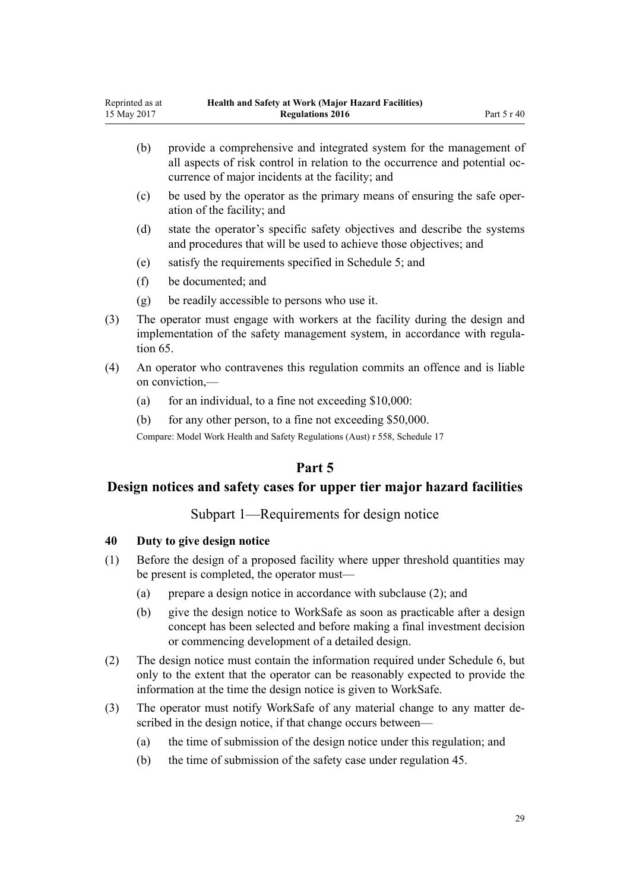- <span id="page-28-0"></span>(b) provide a comprehensive and integrated system for the management of all aspects of risk control in relation to the occurrence and potential occurrence of major incidents at the facility; and
- (c) be used by the operator as the primary means of ensuring the safe operation of the facility; and
- (d) state the operator's specific safety objectives and describe the systems and procedures that will be used to achieve those objectives; and
- (e) satisfy the requirements specified in [Schedule 5;](#page-64-0) and
- (f) be documented; and
- (g) be readily accessible to persons who use it.
- (3) The operator must engage with workers at the facility during the design and implementation of the safety management system, in accordance with [regula](#page-40-0)[tion 65](#page-40-0).
- (4) An operator who contravenes this regulation commits an offence and is liable on conviction,—
	- (a) for an individual, to a fine not exceeding  $$10,000$ :
	- (b) for any other person, to a fine not exceeding \$50,000.

Compare: Model Work Health and Safety Regulations (Aust) r 558, Schedule 17

# **Part 5**

# **Design notices and safety cases for upper tier major hazard facilities**

Subpart 1—Requirements for design notice

#### **40 Duty to give design notice**

- (1) Before the design of a proposed facility where upper threshold quantities may be present is completed, the operator must—
	- (a) prepare a design notice in accordance with subclause (2); and
	- (b) give the design notice to WorkSafe as soon as practicable after a design concept has been selected and before making a final investment decision or commencing development of a detailed design.
- (2) The design notice must contain the information required under [Schedule 6](#page-67-0), but only to the extent that the operator can be reasonably expected to provide the information at the time the design notice is given to WorkSafe.
- (3) The operator must notify WorkSafe of any material change to any matter described in the design notice, if that change occurs between—
	- (a) the time of submission of the design notice under this regulation; and
	- (b) the time of submission of the safety case under [regulation 45.](#page-30-0)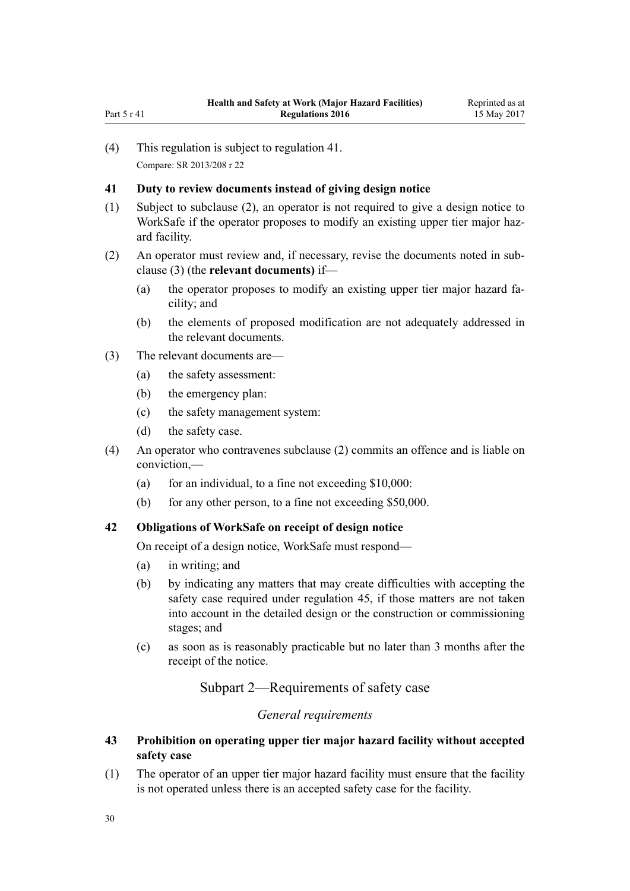(4) This regulation is subject to regulation 41. Compare: SR 2013/208 [r 22](http://prd-lgnz-nlb.prd.pco.net.nz/pdflink.aspx?id=DLM5202577)

<span id="page-29-0"></span>Part 5 r 41

#### **41 Duty to review documents instead of giving design notice**

- (1) Subject to subclause (2), an operator is not required to give a design notice to WorkSafe if the operator proposes to modify an existing upper tier major hazard facility.
- (2) An operator must review and, if necessary, revise the documents noted in subclause (3) (the **relevant documents)** if—
	- (a) the operator proposes to modify an existing upper tier major hazard facility; and
	- (b) the elements of proposed modification are not adequately addressed in the relevant documents.
- (3) The relevant documents are—
	- (a) the safety assessment:
	- (b) the emergency plan:
	- (c) the safety management system:
	- (d) the safety case.
- (4) An operator who contravenes subclause (2) commits an offence and is liable on conviction,—
	- (a) for an individual, to a fine not exceeding  $$10,000$ :
	- (b) for any other person, to a fine not exceeding \$50,000.

# **42 Obligations of WorkSafe on receipt of design notice**

On receipt of a design notice, WorkSafe must respond—

- (a) in writing; and
- (b) by indicating any matters that may create difficulties with accepting the safety case required under [regulation 45,](#page-30-0) if those matters are not taken into account in the detailed design or the construction or commissioning stages; and
- (c) as soon as is reasonably practicable but no later than 3 months after the receipt of the notice.

Subpart 2—Requirements of safety case

# *General requirements*

#### **43 Prohibition on operating upper tier major hazard facility without accepted safety case**

(1) The operator of an upper tier major hazard facility must ensure that the facility is not operated unless there is an accepted safety case for the facility.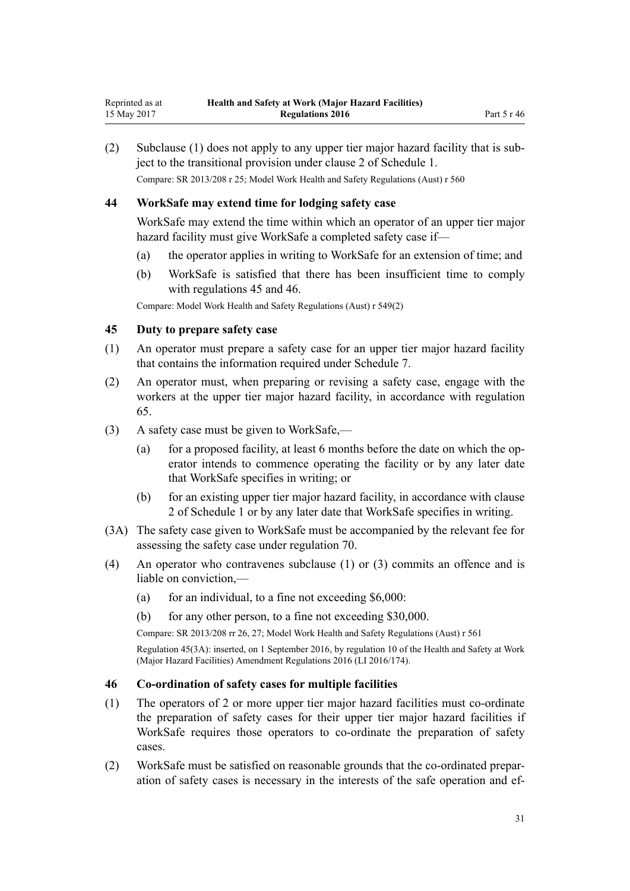<span id="page-30-0"></span>(2) Subclause (1) does not apply to any upper tier major hazard facility that is subject to the transitional provision under [clause 2](#page-47-0) of Schedule 1. Compare: SR 2013/208 [r 25;](http://prd-lgnz-nlb.prd.pco.net.nz/pdflink.aspx?id=DLM5202580) Model Work Health and Safety Regulations (Aust) r 560

#### **44 WorkSafe may extend time for lodging safety case**

WorkSafe may extend the time within which an operator of an upper tier major hazard facility must give WorkSafe a completed safety case if—

- (a) the operator applies in writing to WorkSafe for an extension of time; and
- (b) WorkSafe is satisfied that there has been insufficient time to comply with regulations 45 and 46.

Compare: Model Work Health and Safety Regulations (Aust) r 549(2)

#### **45 Duty to prepare safety case**

- (1) An operator must prepare a safety case for an upper tier major hazard facility that contains the information required under [Schedule 7.](#page-68-0)
- (2) An operator must, when preparing or revising a safety case, engage with the workers at the upper tier major hazard facility, in accordance with [regulation](#page-40-0) [65.](#page-40-0)
- (3) A safety case must be given to WorkSafe,—
	- (a) for a proposed facility, at least 6 months before the date on which the operator intends to commence operating the facility or by any later date that WorkSafe specifies in writing; or
	- (b) for an existing upper tier major hazard facility, in accordance with [clause](#page-47-0) [2](#page-47-0) of Schedule 1 or by any later date that WorkSafe specifies in writing.
- (3A) The safety case given to WorkSafe must be accompanied by the relevant fee for assessing the safety case under [regulation 70.](#page-44-0)
- (4) An operator who contravenes subclause (1) or (3) commits an offence and is liable on conviction,—
	- (a) for an individual, to a fine not exceeding  $$6,000$ :
	- (b) for any other person, to a fine not exceeding \$30,000.

Compare: SR 2013/208 [rr 26,](http://prd-lgnz-nlb.prd.pco.net.nz/pdflink.aspx?id=DLM5202531) [27](http://prd-lgnz-nlb.prd.pco.net.nz/pdflink.aspx?id=DLM5202540); Model Work Health and Safety Regulations (Aust) r 561

Regulation 45(3A): inserted, on 1 September 2016, by [regulation 10](http://prd-lgnz-nlb.prd.pco.net.nz/pdflink.aspx?id=DLM6907715) of the Health and Safety at Work (Major Hazard Facilities) Amendment Regulations 2016 (LI 2016/174).

#### **46 Co-ordination of safety cases for multiple facilities**

- (1) The operators of 2 or more upper tier major hazard facilities must co-ordinate the preparation of safety cases for their upper tier major hazard facilities if WorkSafe requires those operators to co-ordinate the preparation of safety cases.
- (2) WorkSafe must be satisfied on reasonable grounds that the co-ordinated preparation of safety cases is necessary in the interests of the safe operation and ef-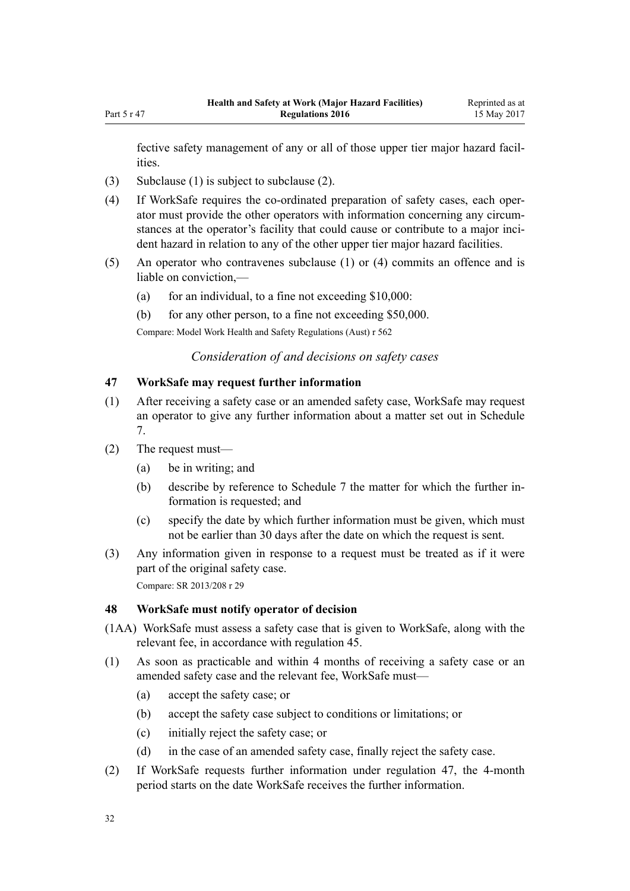<span id="page-31-0"></span>fective safety management of any or all of those upper tier major hazard facilities.

- (3) Subclause (1) is subject to subclause (2).
- (4) If WorkSafe requires the co-ordinated preparation of safety cases, each operator must provide the other operators with information concerning any circumstances at the operator's facility that could cause or contribute to a major incident hazard in relation to any of the other upper tier major hazard facilities.
- (5) An operator who contravenes subclause (1) or (4) commits an offence and is liable on conviction,—
	- (a) for an individual, to a fine not exceeding  $$10,000$ :
	- (b) for any other person, to a fine not exceeding \$50,000.

Compare: Model Work Health and Safety Regulations (Aust) r 562

*Consideration of and decisions on safety cases*

#### **47 WorkSafe may request further information**

- (1) After receiving a safety case or an amended safety case, WorkSafe may request an operator to give any further information about a matter set out in [Schedule](#page-68-0) [7.](#page-68-0)
- (2) The request must—
	- (a) be in writing; and
	- (b) describe by reference to [Schedule 7](#page-68-0) the matter for which the further information is requested; and
	- (c) specify the date by which further information must be given, which must not be earlier than 30 days after the date on which the request is sent.
- (3) Any information given in response to a request must be treated as if it were part of the original safety case. Compare: SR 2013/208 [r 29](http://prd-lgnz-nlb.prd.pco.net.nz/pdflink.aspx?id=DLM5202545)

#### **48 WorkSafe must notify operator of decision**

- (1AA) WorkSafe must assess a safety case that is given to WorkSafe, along with the relevant fee, in accordance with [regulation 45.](#page-30-0)
- (1) As soon as practicable and within 4 months of receiving a safety case or an amended safety case and the relevant fee, WorkSafe must—
	- (a) accept the safety case; or
	- (b) accept the safety case subject to conditions or limitations; or
	- (c) initially reject the safety case; or
	- (d) in the case of an amended safety case, finally reject the safety case.
- (2) If WorkSafe requests further information under regulation 47, the 4-month period starts on the date WorkSafe receives the further information.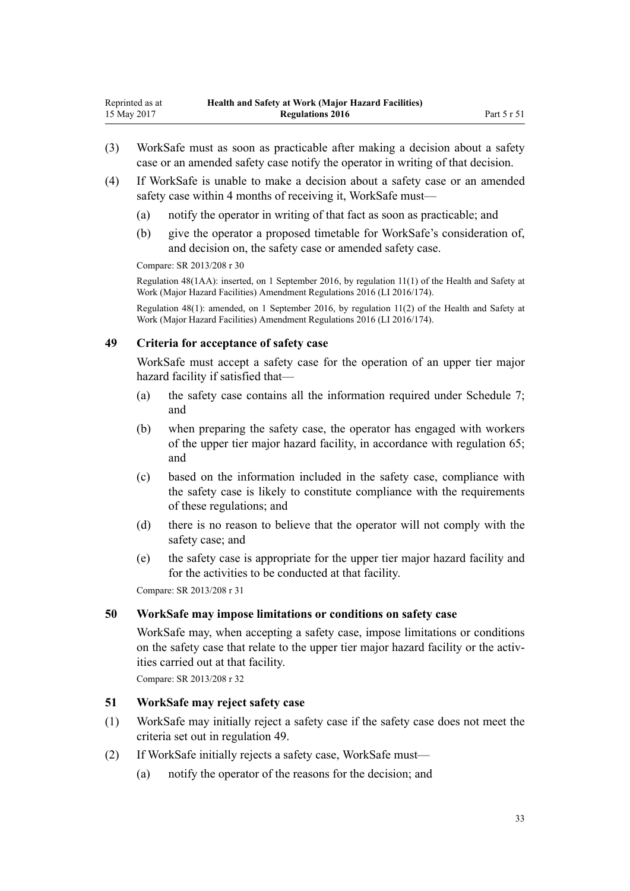- <span id="page-32-0"></span>(3) WorkSafe must as soon as practicable after making a decision about a safety case or an amended safety case notify the operator in writing of that decision.
- (4) If WorkSafe is unable to make a decision about a safety case or an amended safety case within 4 months of receiving it, WorkSafe must—
	- (a) notify the operator in writing of that fact as soon as practicable; and
	- (b) give the operator a proposed timetable for WorkSafe's consideration of, and decision on, the safety case or amended safety case.

Compare: SR 2013/208 [r 30](http://prd-lgnz-nlb.prd.pco.net.nz/pdflink.aspx?id=DLM5202569)

Regulation 48(1AA): inserted, on 1 September 2016, by [regulation 11\(1\)](http://prd-lgnz-nlb.prd.pco.net.nz/pdflink.aspx?id=DLM6907716) of the Health and Safety at Work (Major Hazard Facilities) Amendment Regulations 2016 (LI 2016/174).

Regulation 48(1): amended, on 1 September 2016, by [regulation 11\(2\)](http://prd-lgnz-nlb.prd.pco.net.nz/pdflink.aspx?id=DLM6907716) of the Health and Safety at Work (Major Hazard Facilities) Amendment Regulations 2016 (LI 2016/174).

# **49 Criteria for acceptance of safety case**

WorkSafe must accept a safety case for the operation of an upper tier major hazard facility if satisfied that—

- (a) the safety case contains all the information required under [Schedule 7;](#page-68-0) and
- (b) when preparing the safety case, the operator has engaged with workers of the upper tier major hazard facility, in accordance with [regulation 65;](#page-40-0) and
- (c) based on the information included in the safety case, compliance with the safety case is likely to constitute compliance with the requirements of these regulations; and
- (d) there is no reason to believe that the operator will not comply with the safety case; and
- (e) the safety case is appropriate for the upper tier major hazard facility and for the activities to be conducted at that facility.

Compare: SR 2013/208 [r 31](http://prd-lgnz-nlb.prd.pco.net.nz/pdflink.aspx?id=DLM5202549)

#### **50 WorkSafe may impose limitations or conditions on safety case**

WorkSafe may, when accepting a safety case, impose limitations or conditions on the safety case that relate to the upper tier major hazard facility or the activities carried out at that facility.

Compare: SR 2013/208 [r 32](http://prd-lgnz-nlb.prd.pco.net.nz/pdflink.aspx?id=DLM5202552)

#### **51 WorkSafe may reject safety case**

- (1) WorkSafe may initially reject a safety case if the safety case does not meet the criteria set out in regulation 49.
- (2) If WorkSafe initially rejects a safety case, WorkSafe must—
	- (a) notify the operator of the reasons for the decision; and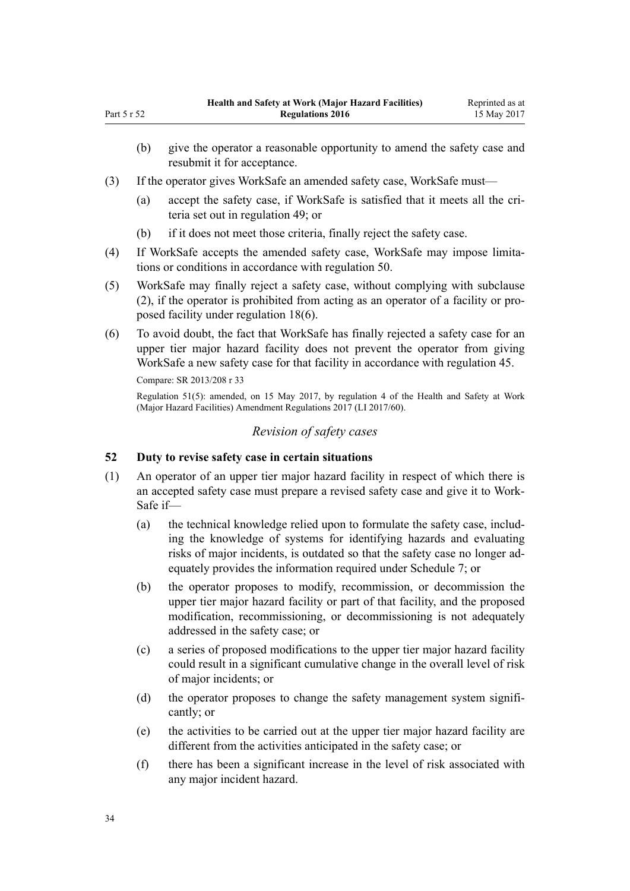- (b) give the operator a reasonable opportunity to amend the safety case and resubmit it for acceptance.
- (3) If the operator gives WorkSafe an amended safety case, WorkSafe must—
	- (a) accept the safety case, if WorkSafe is satisfied that it meets all the criteria set out in [regulation 49;](#page-32-0) or
	- (b) if it does not meet those criteria, finally reject the safety case.
- (4) If WorkSafe accepts the amended safety case, WorkSafe may impose limitations or conditions in accordance with [regulation 50](#page-32-0).
- (5) WorkSafe may finally reject a safety case, without complying with subclause (2), if the operator is prohibited from acting as an operator of a facility or proposed facility under [regulation 18\(6\).](#page-14-0)
- (6) To avoid doubt, the fact that WorkSafe has finally rejected a safety case for an upper tier major hazard facility does not prevent the operator from giving WorkSafe a new safety case for that facility in accordance with [regulation 45](#page-30-0).

Compare: SR 2013/208 [r 33](http://prd-lgnz-nlb.prd.pco.net.nz/pdflink.aspx?id=DLM5202563)

Regulation 51(5): amended, on 15 May 2017, by [regulation 4](http://prd-lgnz-nlb.prd.pco.net.nz/pdflink.aspx?id=DLM7187508) of the Health and Safety at Work (Major Hazard Facilities) Amendment Regulations 2017 (LI 2017/60).

#### *Revision of safety cases*

#### **52 Duty to revise safety case in certain situations**

- (1) An operator of an upper tier major hazard facility in respect of which there is an accepted safety case must prepare a revised safety case and give it to Work-Safe if—
	- (a) the technical knowledge relied upon to formulate the safety case, including the knowledge of systems for identifying hazards and evaluating risks of major incidents, is outdated so that the safety case no longer adequately provides the information required under [Schedule 7;](#page-68-0) or
	- (b) the operator proposes to modify, recommission, or decommission the upper tier major hazard facility or part of that facility, and the proposed modification, recommissioning, or decommissioning is not adequately addressed in the safety case; or
	- (c) a series of proposed modifications to the upper tier major hazard facility could result in a significant cumulative change in the overall level of risk of major incidents; or
	- (d) the operator proposes to change the safety management system significantly; or
	- (e) the activities to be carried out at the upper tier major hazard facility are different from the activities anticipated in the safety case; or
	- (f) there has been a significant increase in the level of risk associated with any major incident hazard.

<span id="page-33-0"></span>Part 5 r 52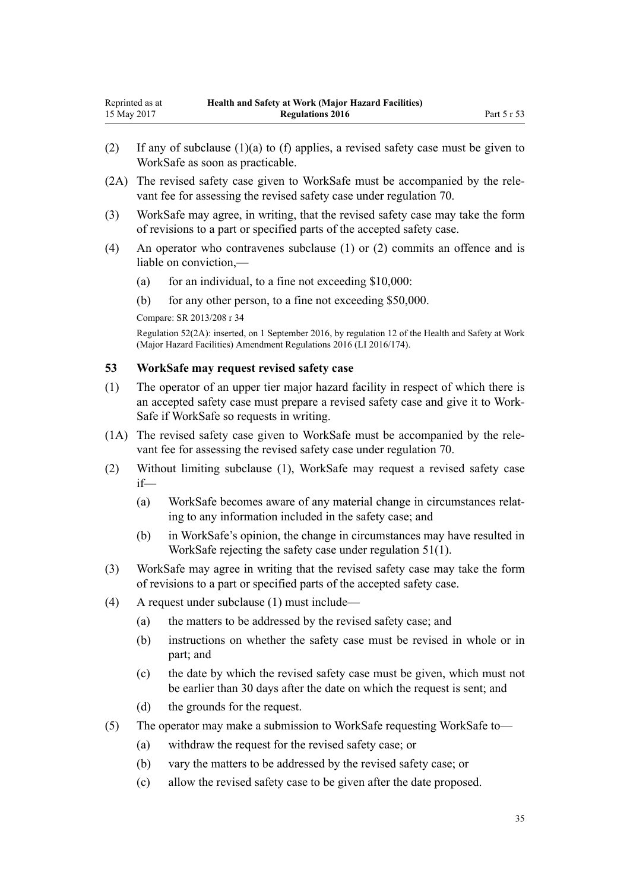- <span id="page-34-0"></span>(2) If any of subclause (1)(a) to (f) applies, a revised safety case must be given to WorkSafe as soon as practicable.
- (2A) The revised safety case given to WorkSafe must be accompanied by the relevant fee for assessing the revised safety case under [regulation 70.](#page-44-0)
- (3) WorkSafe may agree, in writing, that the revised safety case may take the form of revisions to a part or specified parts of the accepted safety case.
- (4) An operator who contravenes subclause (1) or (2) commits an offence and is liable on conviction,—
	- (a) for an individual, to a fine not exceeding  $$10,000$ :
	- (b) for any other person, to a fine not exceeding \$50,000.
	- Compare: SR 2013/208 [r 34](http://prd-lgnz-nlb.prd.pco.net.nz/pdflink.aspx?id=DLM5202558)

Regulation 52(2A): inserted, on 1 September 2016, by [regulation 12](http://prd-lgnz-nlb.prd.pco.net.nz/pdflink.aspx?id=DLM6907717) of the Health and Safety at Work (Major Hazard Facilities) Amendment Regulations 2016 (LI 2016/174).

#### **53 WorkSafe may request revised safety case**

- (1) The operator of an upper tier major hazard facility in respect of which there is an accepted safety case must prepare a revised safety case and give it to Work-Safe if WorkSafe so requests in writing.
- (1A) The revised safety case given to WorkSafe must be accompanied by the relevant fee for assessing the revised safety case under [regulation 70.](#page-44-0)
- (2) Without limiting subclause (1), WorkSafe may request a revised safety case if—
	- (a) WorkSafe becomes aware of any material change in circumstances relating to any information included in the safety case; and
	- (b) in WorkSafe's opinion, the change in circumstances may have resulted in WorkSafe rejecting the safety case under [regulation 51\(1\)](#page-32-0).
- (3) WorkSafe may agree in writing that the revised safety case may take the form of revisions to a part or specified parts of the accepted safety case.
- (4) A request under subclause (1) must include—
	- (a) the matters to be addressed by the revised safety case; and
	- (b) instructions on whether the safety case must be revised in whole or in part; and
	- (c) the date by which the revised safety case must be given, which must not be earlier than 30 days after the date on which the request is sent; and
	- (d) the grounds for the request.
- (5) The operator may make a submission to WorkSafe requesting WorkSafe to—
	- (a) withdraw the request for the revised safety case; or
	- (b) vary the matters to be addressed by the revised safety case; or
	- (c) allow the revised safety case to be given after the date proposed.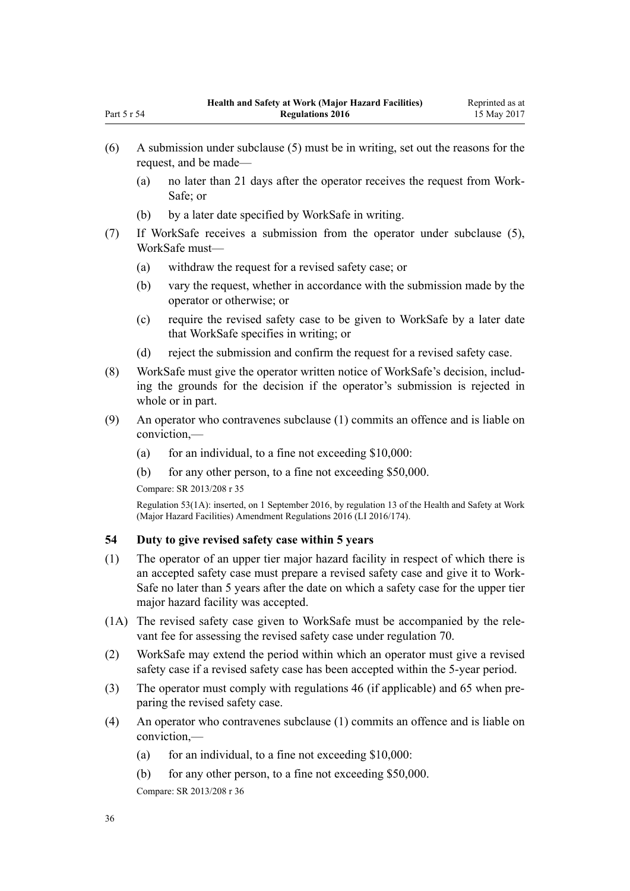- (6) A submission under subclause (5) must be in writing, set out the reasons for the request, and be made—
	- (a) no later than 21 days after the operator receives the request from Work-Safe; or
	- (b) by a later date specified by WorkSafe in writing.
- (7) If WorkSafe receives a submission from the operator under subclause (5), WorkSafe must—
	- (a) withdraw the request for a revised safety case; or
	- (b) vary the request, whether in accordance with the submission made by the operator or otherwise; or
	- (c) require the revised safety case to be given to WorkSafe by a later date that WorkSafe specifies in writing; or
	- (d) reject the submission and confirm the request for a revised safety case.
- (8) WorkSafe must give the operator written notice of WorkSafe's decision, including the grounds for the decision if the operator's submission is rejected in whole or in part.
- (9) An operator who contravenes subclause (1) commits an offence and is liable on conviction,—
	- (a) for an individual, to a fine not exceeding  $$10,000$ :
	- (b) for any other person, to a fine not exceeding \$50,000.

Compare: SR 2013/208 [r 35](http://prd-lgnz-nlb.prd.pco.net.nz/pdflink.aspx?id=DLM5202556)

<span id="page-35-0"></span>Part 5 r 54

Regulation 53(1A): inserted, on 1 September 2016, by [regulation 13](http://prd-lgnz-nlb.prd.pco.net.nz/pdflink.aspx?id=DLM6907718) of the Health and Safety at Work (Major Hazard Facilities) Amendment Regulations 2016 (LI 2016/174).

# **54 Duty to give revised safety case within 5 years**

- (1) The operator of an upper tier major hazard facility in respect of which there is an accepted safety case must prepare a revised safety case and give it to Work-Safe no later than 5 years after the date on which a safety case for the upper tier major hazard facility was accepted.
- (1A) The revised safety case given to WorkSafe must be accompanied by the relevant fee for assessing the revised safety case under [regulation 70.](#page-44-0)
- (2) WorkSafe may extend the period within which an operator must give a revised safety case if a revised safety case has been accepted within the 5-year period.
- (3) The operator must comply with [regulations 46](#page-30-0) (if applicable) and [65](#page-40-0) when preparing the revised safety case.
- (4) An operator who contravenes subclause (1) commits an offence and is liable on conviction,—
	- (a) for an individual, to a fine not exceeding  $$10,000$ :
	- (b) for any other person, to a fine not exceeding \$50,000.

Compare: SR 2013/208 [r 36](http://prd-lgnz-nlb.prd.pco.net.nz/pdflink.aspx?id=DLM5202560)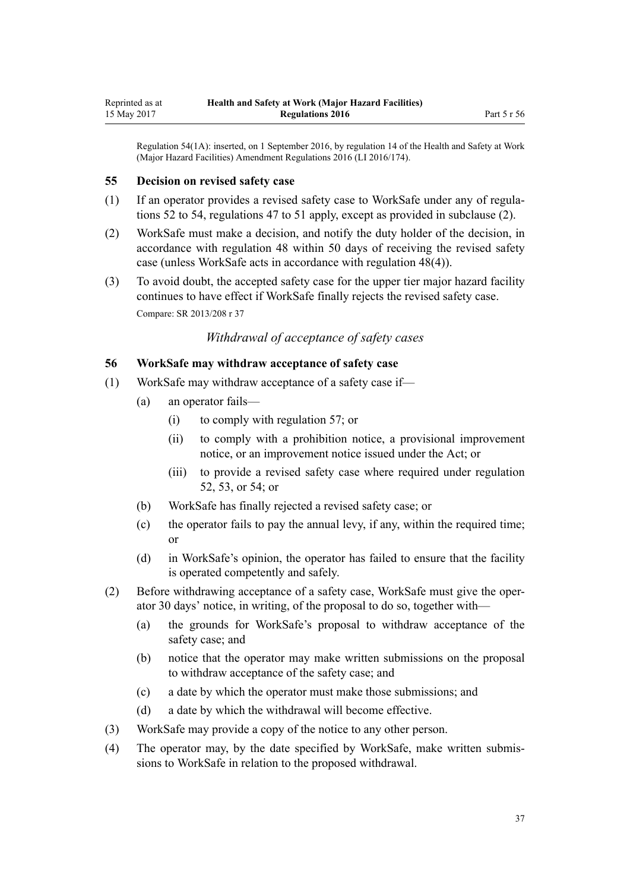<span id="page-36-0"></span>Regulation 54(1A): inserted, on 1 September 2016, by [regulation 14](http://prd-lgnz-nlb.prd.pco.net.nz/pdflink.aspx?id=DLM6907719) of the Health and Safety at Work (Major Hazard Facilities) Amendment Regulations 2016 (LI 2016/174).

#### **55 Decision on revised safety case**

- (1) If an operator provides a revised safety case to WorkSafe under any of [regula](#page-33-0)[tions 52 to 54](#page-33-0), [regulations 47 to 51](#page-31-0) apply, except as provided in subclause (2).
- (2) WorkSafe must make a decision, and notify the duty holder of the decision, in accordance with [regulation 48](#page-31-0) within 50 days of receiving the revised safety case (unless WorkSafe acts in accordance with regulation 48(4)).
- (3) To avoid doubt, the accepted safety case for the upper tier major hazard facility continues to have effect if WorkSafe finally rejects the revised safety case. Compare: SR 2013/208 [r 37](http://prd-lgnz-nlb.prd.pco.net.nz/pdflink.aspx?id=DLM5203762)

#### *Withdrawal of acceptance of safety cases*

#### **56 WorkSafe may withdraw acceptance of safety case**

- (1) WorkSafe may withdraw acceptance of a safety case if—
	- (a) an operator fails—
		- (i) to comply with [regulation 57;](#page-37-0) or
		- (ii) to comply with a prohibition notice, a provisional improvement notice, or an improvement notice issued under the Act; or
		- (iii) to provide a revised safety case where required under [regulation](#page-33-0) [52,](#page-33-0) [53,](#page-34-0) or [54;](#page-35-0) or
	- (b) WorkSafe has finally rejected a revised safety case; or
	- (c) the operator fails to pay the annual levy, if any, within the required time; or
	- (d) in WorkSafe's opinion, the operator has failed to ensure that the facility is operated competently and safely.
- (2) Before withdrawing acceptance of a safety case, WorkSafe must give the operator 30 days' notice, in writing, of the proposal to do so, together with—
	- (a) the grounds for WorkSafe's proposal to withdraw acceptance of the safety case; and
	- (b) notice that the operator may make written submissions on the proposal to withdraw acceptance of the safety case; and
	- (c) a date by which the operator must make those submissions; and
	- (d) a date by which the withdrawal will become effective.
- (3) WorkSafe may provide a copy of the notice to any other person.
- (4) The operator may, by the date specified by WorkSafe, make written submissions to WorkSafe in relation to the proposed withdrawal.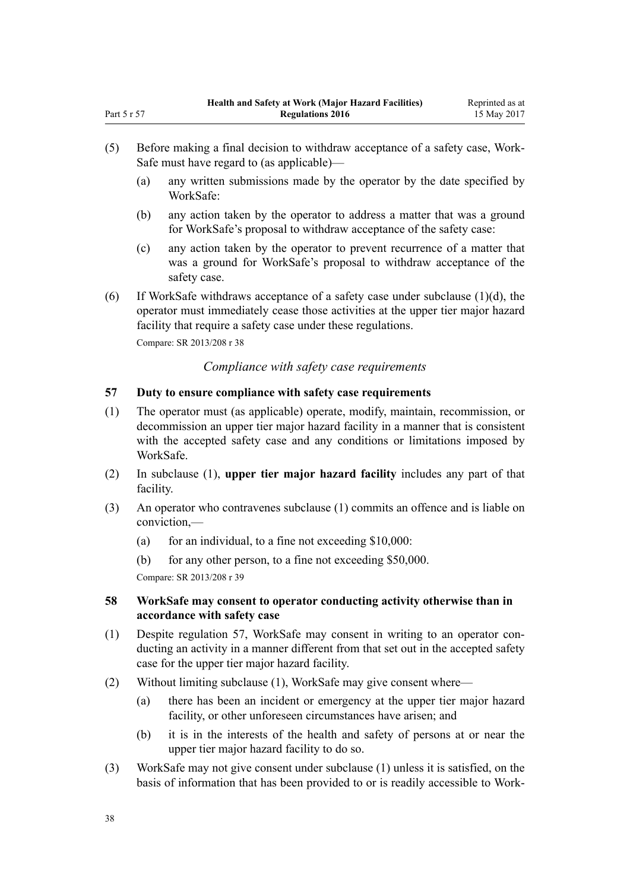- (5) Before making a final decision to withdraw acceptance of a safety case, Work-Safe must have regard to (as applicable)—
	- (a) any written submissions made by the operator by the date specified by WorkSafe:
	- (b) any action taken by the operator to address a matter that was a ground for WorkSafe's proposal to withdraw acceptance of the safety case:
	- (c) any action taken by the operator to prevent recurrence of a matter that was a ground for WorkSafe's proposal to withdraw acceptance of the safety case.
- (6) If WorkSafe withdraws acceptance of a safety case under subclause (1)(d), the operator must immediately cease those activities at the upper tier major hazard facility that require a safety case under these regulations.

Compare: SR 2013/208 [r 38](http://prd-lgnz-nlb.prd.pco.net.nz/pdflink.aspx?id=DLM5203764)

<span id="page-37-0"></span>Part 5 r 57

#### *Compliance with safety case requirements*

#### **57 Duty to ensure compliance with safety case requirements**

- (1) The operator must (as applicable) operate, modify, maintain, recommission, or decommission an upper tier major hazard facility in a manner that is consistent with the accepted safety case and any conditions or limitations imposed by WorkSafe.
- (2) In subclause (1), **upper tier major hazard facility** includes any part of that facility.
- (3) An operator who contravenes subclause (1) commits an offence and is liable on conviction,—
	- (a) for an individual, to a fine not exceeding  $$10,000$ :
	- (b) for any other person, to a fine not exceeding \$50,000.

Compare: SR 2013/208 [r 39](http://prd-lgnz-nlb.prd.pco.net.nz/pdflink.aspx?id=DLM5202571)

#### **58 WorkSafe may consent to operator conducting activity otherwise than in accordance with safety case**

- (1) Despite regulation 57, WorkSafe may consent in writing to an operator conducting an activity in a manner different from that set out in the accepted safety case for the upper tier major hazard facility.
- (2) Without limiting subclause (1), WorkSafe may give consent where—
	- (a) there has been an incident or emergency at the upper tier major hazard facility, or other unforeseen circumstances have arisen; and
	- (b) it is in the interests of the health and safety of persons at or near the upper tier major hazard facility to do so.
- (3) WorkSafe may not give consent under subclause (1) unless it is satisfied, on the basis of information that has been provided to or is readily accessible to Work-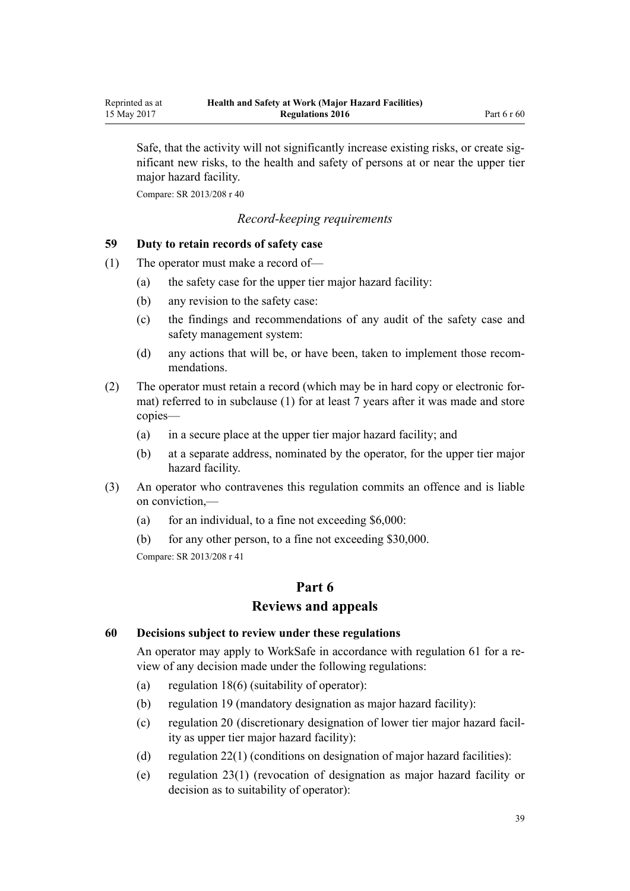Safe, that the activity will not significantly increase existing risks, or create significant new risks, to the health and safety of persons at or near the upper tier major hazard facility.

Compare: SR 2013/208 [r 40](http://prd-lgnz-nlb.prd.pco.net.nz/pdflink.aspx?id=DLM5203766)

#### *Record-keeping requirements*

#### **59 Duty to retain records of safety case**

- (1) The operator must make a record of—
	- (a) the safety case for the upper tier major hazard facility:
	- (b) any revision to the safety case:
	- (c) the findings and recommendations of any audit of the safety case and safety management system:
	- (d) any actions that will be, or have been, taken to implement those recommendations.
- (2) The operator must retain a record (which may be in hard copy or electronic format) referred to in subclause (1) for at least 7 years after it was made and store copies—
	- (a) in a secure place at the upper tier major hazard facility; and
	- (b) at a separate address, nominated by the operator, for the upper tier major hazard facility.
- (3) An operator who contravenes this regulation commits an offence and is liable on conviction,—
	- (a) for an individual, to a fine not exceeding  $$6,000$ :

(b) for any other person, to a fine not exceeding \$30,000. Compare: SR 2013/208 [r 41](http://prd-lgnz-nlb.prd.pco.net.nz/pdflink.aspx?id=DLM5203369)

## **Part 6 Reviews and appeals**

#### **60 Decisions subject to review under these regulations**

An operator may apply to WorkSafe in accordance with [regulation 61](#page-39-0) for a review of any decision made under the following regulations:

- (a) [regulation 18\(6\)](#page-14-0) (suitability of operator):
- (b) [regulation 19](#page-15-0) (mandatory designation as major hazard facility):
- (c) [regulation 20](#page-15-0) (discretionary designation of lower tier major hazard facility as upper tier major hazard facility):
- (d) [regulation 22\(1\)](#page-16-0) (conditions on designation of major hazard facilities):
- (e) [regulation 23\(1\)](#page-16-0) (revocation of designation as major hazard facility or decision as to suitability of operator):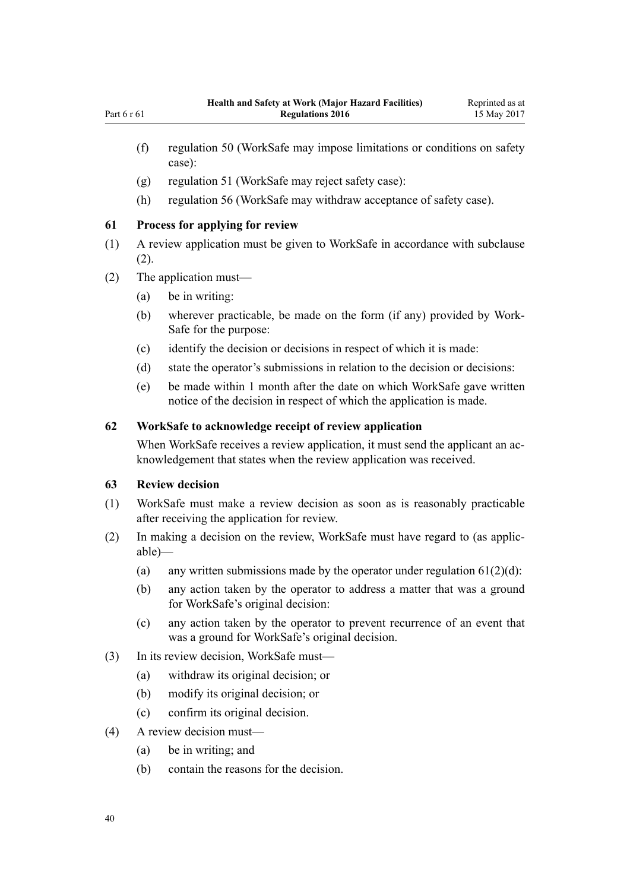- <span id="page-39-0"></span>(f) [regulation 50](#page-32-0) (WorkSafe may impose limitations or conditions on safety case):
- (g) [regulation 51](#page-32-0) (WorkSafe may reject safety case):
- (h) [regulation 56](#page-36-0) (WorkSafe may withdraw acceptance of safety case).

#### **61 Process for applying for review**

- (1) A review application must be given to WorkSafe in accordance with subclause (2).
- (2) The application must—
	- (a) be in writing:
	- (b) wherever practicable, be made on the form (if any) provided by Work-Safe for the purpose:
	- (c) identify the decision or decisions in respect of which it is made:
	- (d) state the operator's submissions in relation to the decision or decisions:
	- (e) be made within 1 month after the date on which WorkSafe gave written notice of the decision in respect of which the application is made.

#### **62 WorkSafe to acknowledge receipt of review application**

When WorkSafe receives a review application, it must send the applicant an acknowledgement that states when the review application was received.

#### **63 Review decision**

- (1) WorkSafe must make a review decision as soon as is reasonably practicable after receiving the application for review.
- (2) In making a decision on the review, WorkSafe must have regard to (as applicable)—
	- (a) any written submissions made by the operator under regulation  $61(2)(d)$ :
	- (b) any action taken by the operator to address a matter that was a ground for WorkSafe's original decision:
	- (c) any action taken by the operator to prevent recurrence of an event that was a ground for WorkSafe's original decision.
- (3) In its review decision, WorkSafe must—
	- (a) withdraw its original decision; or
	- (b) modify its original decision; or
	- (c) confirm its original decision.
- (4) A review decision must—
	- (a) be in writing; and
	- (b) contain the reasons for the decision.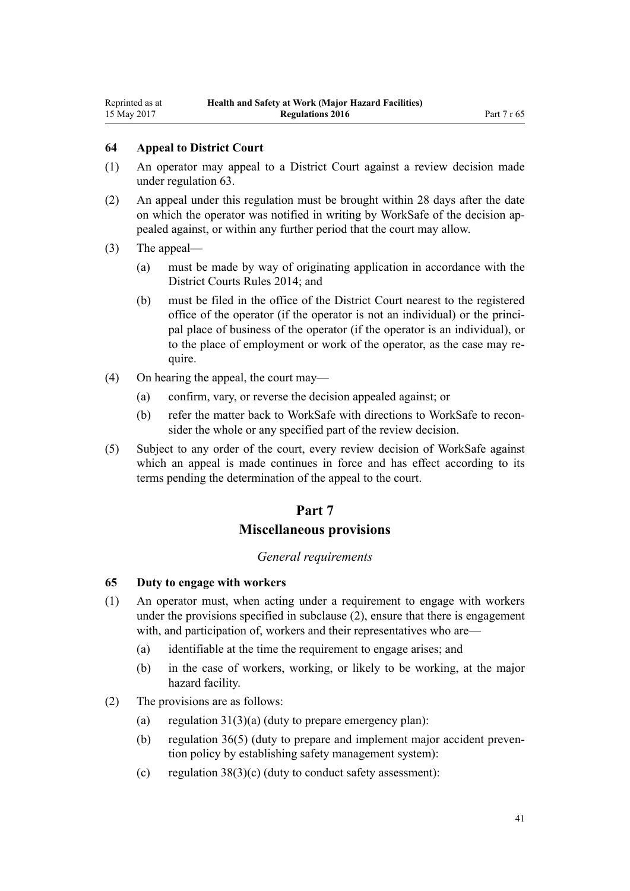#### **64 Appeal to District Court**

- (1) An operator may appeal to a District Court against a review decision made under [regulation 63](#page-39-0).
- (2) An appeal under this regulation must be brought within 28 days after the date on which the operator was notified in writing by WorkSafe of the decision appealed against, or within any further period that the court may allow.
- (3) The appeal—
	- (a) must be made by way of originating application in accordance with the [District Courts Rules 2014](http://prd-lgnz-nlb.prd.pco.net.nz/pdflink.aspx?id=DLM6129566); and
	- (b) must be filed in the office of the District Court nearest to the registered office of the operator (if the operator is not an individual) or the principal place of business of the operator (if the operator is an individual), or to the place of employment or work of the operator, as the case may require.
- (4) On hearing the appeal, the court may—
	- (a) confirm, vary, or reverse the decision appealed against; or
	- (b) refer the matter back to WorkSafe with directions to WorkSafe to reconsider the whole or any specified part of the review decision.
- (5) Subject to any order of the court, every review decision of WorkSafe against which an appeal is made continues in force and has effect according to its terms pending the determination of the appeal to the court.

## **Part 7 Miscellaneous provisions**

# *General requirements*

#### **65 Duty to engage with workers**

- (1) An operator must, when acting under a requirement to engage with workers under the provisions specified in subclause (2), ensure that there is engagement with, and participation of, workers and their representatives who are—
	- (a) identifiable at the time the requirement to engage arises; and
	- (b) in the case of workers, working, or likely to be working, at the major hazard facility.
- (2) The provisions are as follows:
	- (a) regulation  $31(3)(a)$  (duty to prepare emergency plan):
	- (b) [regulation 36\(5\)](#page-25-0) (duty to prepare and implement major accident prevention policy by establishing safety management system):
	- (c) regulation  $38(3)(c)$  (duty to conduct safety assessment):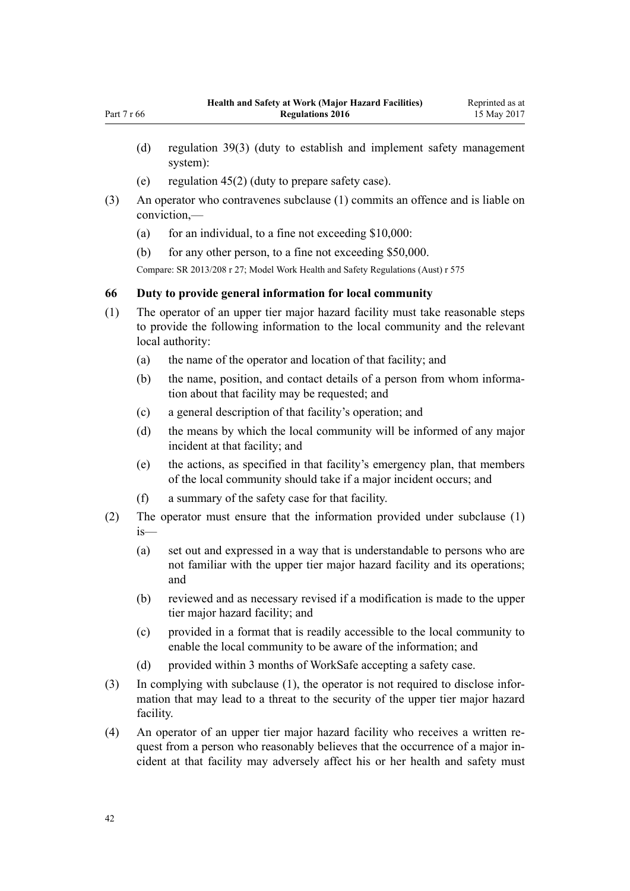- (d) [regulation 39\(3\)](#page-27-0) (duty to establish and implement safety management system):
- (e) [regulation 45\(2\)](#page-30-0) (duty to prepare safety case).
- (3) An operator who contravenes subclause (1) commits an offence and is liable on conviction,—
	- (a) for an individual, to a fine not exceeding  $$10,000$ :
	- (b) for any other person, to a fine not exceeding \$50,000.

Compare: SR 2013/208 [r 27;](http://prd-lgnz-nlb.prd.pco.net.nz/pdflink.aspx?id=DLM5202540) Model Work Health and Safety Regulations (Aust) r 575

#### **66 Duty to provide general information for local community**

- (1) The operator of an upper tier major hazard facility must take reasonable steps to provide the following information to the local community and the relevant local authority:
	- (a) the name of the operator and location of that facility; and
	- (b) the name, position, and contact details of a person from whom information about that facility may be requested; and
	- (c) a general description of that facility's operation; and
	- (d) the means by which the local community will be informed of any major incident at that facility; and
	- (e) the actions, as specified in that facility's emergency plan, that members of the local community should take if a major incident occurs; and
	- (f) a summary of the safety case for that facility.
- (2) The operator must ensure that the information provided under subclause (1) is—
	- (a) set out and expressed in a way that is understandable to persons who are not familiar with the upper tier major hazard facility and its operations; and
	- (b) reviewed and as necessary revised if a modification is made to the upper tier major hazard facility; and
	- (c) provided in a format that is readily accessible to the local community to enable the local community to be aware of the information; and
	- (d) provided within 3 months of WorkSafe accepting a safety case.
- (3) In complying with subclause (1), the operator is not required to disclose information that may lead to a threat to the security of the upper tier major hazard facility.
- (4) An operator of an upper tier major hazard facility who receives a written request from a person who reasonably believes that the occurrence of a major incident at that facility may adversely affect his or her health and safety must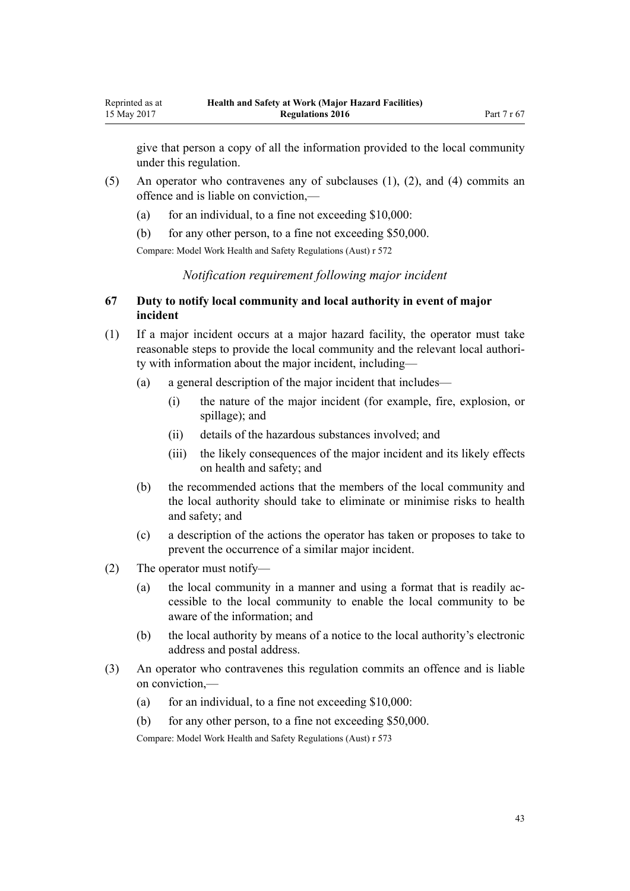give that person a copy of all the information provided to the local community under this regulation.

- (5) An operator who contravenes any of subclauses (1), (2), and (4) commits an offence and is liable on conviction,—
	- (a) for an individual, to a fine not exceeding  $$10,000$ :
	- (b) for any other person, to a fine not exceeding \$50,000.

Compare: Model Work Health and Safety Regulations (Aust) r 572

*Notification requirement following major incident*

#### **67 Duty to notify local community and local authority in event of major incident**

- (1) If a major incident occurs at a major hazard facility, the operator must take reasonable steps to provide the local community and the relevant local authority with information about the major incident, including—
	- (a) a general description of the major incident that includes—
		- (i) the nature of the major incident (for example, fire, explosion, or spillage); and
		- (ii) details of the hazardous substances involved; and
		- (iii) the likely consequences of the major incident and its likely effects on health and safety; and
	- (b) the recommended actions that the members of the local community and the local authority should take to eliminate or minimise risks to health and safety; and
	- (c) a description of the actions the operator has taken or proposes to take to prevent the occurrence of a similar major incident.
- (2) The operator must notify—
	- (a) the local community in a manner and using a format that is readily accessible to the local community to enable the local community to be aware of the information; and
	- (b) the local authority by means of a notice to the local authority's electronic address and postal address.
- (3) An operator who contravenes this regulation commits an offence and is liable on conviction,—
	- (a) for an individual, to a fine not exceeding  $$10,000$ :
	- (b) for any other person, to a fine not exceeding \$50,000.

Compare: Model Work Health and Safety Regulations (Aust) r 573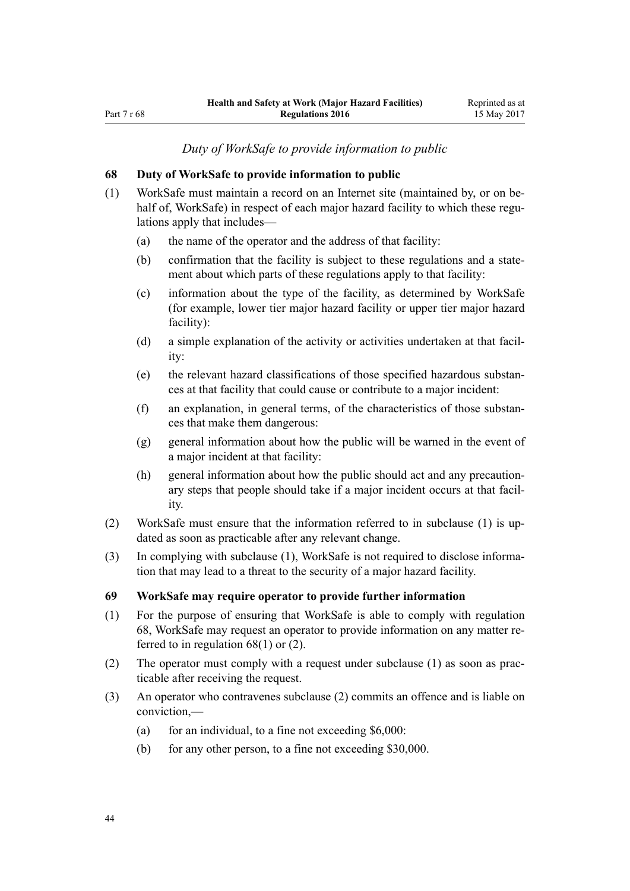*Duty of WorkSafe to provide information to public*

#### **68 Duty of WorkSafe to provide information to public**

- (1) WorkSafe must maintain a record on an Internet site (maintained by, or on behalf of, WorkSafe) in respect of each major hazard facility to which these regulations apply that includes—
	- (a) the name of the operator and the address of that facility:
	- (b) confirmation that the facility is subject to these regulations and a statement about which parts of these regulations apply to that facility:
	- (c) information about the type of the facility, as determined by WorkSafe (for example, lower tier major hazard facility or upper tier major hazard facility):
	- (d) a simple explanation of the activity or activities undertaken at that facility:
	- (e) the relevant hazard classifications of those specified hazardous substances at that facility that could cause or contribute to a major incident:
	- (f) an explanation, in general terms, of the characteristics of those substances that make them dangerous:
	- (g) general information about how the public will be warned in the event of a major incident at that facility:
	- (h) general information about how the public should act and any precautionary steps that people should take if a major incident occurs at that facility.
- (2) WorkSafe must ensure that the information referred to in subclause (1) is updated as soon as practicable after any relevant change.
- (3) In complying with subclause (1), WorkSafe is not required to disclose information that may lead to a threat to the security of a major hazard facility.

#### **69 WorkSafe may require operator to provide further information**

- (1) For the purpose of ensuring that WorkSafe is able to comply with regulation 68, WorkSafe may request an operator to provide information on any matter referred to in regulation 68(1) or (2).
- (2) The operator must comply with a request under subclause (1) as soon as practicable after receiving the request.
- (3) An operator who contravenes subclause (2) commits an offence and is liable on conviction,—
	- (a) for an individual, to a fine not exceeding  $$6,000$ :
	- (b) for any other person, to a fine not exceeding \$30,000.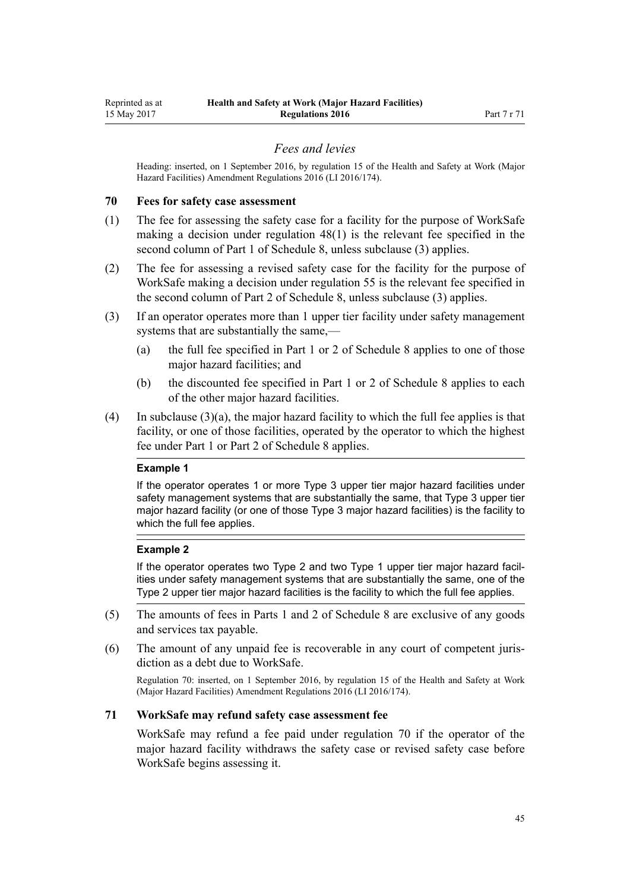#### *Fees and levies*

<span id="page-44-0"></span>Heading: inserted, on 1 September 2016, by [regulation 15](http://prd-lgnz-nlb.prd.pco.net.nz/pdflink.aspx?id=DLM6907720) of the Health and Safety at Work (Major Hazard Facilities) Amendment Regulations 2016 (LI 2016/174).

#### **70 Fees for safety case assessment**

- (1) The fee for assessing the safety case for a facility for the purpose of WorkSafe making a decision under [regulation 48\(1\)](#page-31-0) is the relevant fee specified in the second column of [Part 1](#page-71-0) of Schedule 8, unless subclause (3) applies.
- (2) The fee for assessing a revised safety case for the facility for the purpose of WorkSafe making a decision under [regulation 55](#page-36-0) is the relevant fee specified in the second column of [Part 2](#page-72-0) of Schedule 8, unless subclause (3) applies.
- (3) If an operator operates more than 1 upper tier facility under safety management systems that are substantially the same,—
	- (a) the full fee specified in [Part 1](#page-71-0) or [2](#page-72-0) of Schedule 8 applies to one of those major hazard facilities; and
	- (b) the discounted fee specified in [Part 1](#page-71-0) or [2](#page-72-0) of Schedule 8 applies to each of the other major hazard facilities.
- (4) In subclause  $(3)(a)$ , the major hazard facility to which the full fee applies is that facility, or one of those facilities, operated by the operator to which the highest fee under [Part 1](#page-71-0) or [Part 2](#page-72-0) of Schedule 8 applies.

#### **Example 1**

If the operator operates 1 or more Type 3 upper tier major hazard facilities under safety management systems that are substantially the same, that Type 3 upper tier major hazard facility (or one of those Type 3 major hazard facilities) is the facility to which the full fee applies.

#### **Example 2**

If the operator operates two Type 2 and two Type 1 upper tier major hazard facilities under safety management systems that are substantially the same, one of the Type 2 upper tier major hazard facilities is the facility to which the full fee applies.

- (5) The amounts of fees in [Parts 1](#page-71-0) and [2](#page-72-0) of Schedule 8 are exclusive of any goods and services tax payable.
- (6) The amount of any unpaid fee is recoverable in any court of competent jurisdiction as a debt due to WorkSafe.

Regulation 70: inserted, on 1 September 2016, by [regulation 15](http://prd-lgnz-nlb.prd.pco.net.nz/pdflink.aspx?id=DLM6907720) of the Health and Safety at Work (Major Hazard Facilities) Amendment Regulations 2016 (LI 2016/174).

#### **71 WorkSafe may refund safety case assessment fee**

WorkSafe may refund a fee paid under regulation 70 if the operator of the major hazard facility withdraws the safety case or revised safety case before WorkSafe begins assessing it.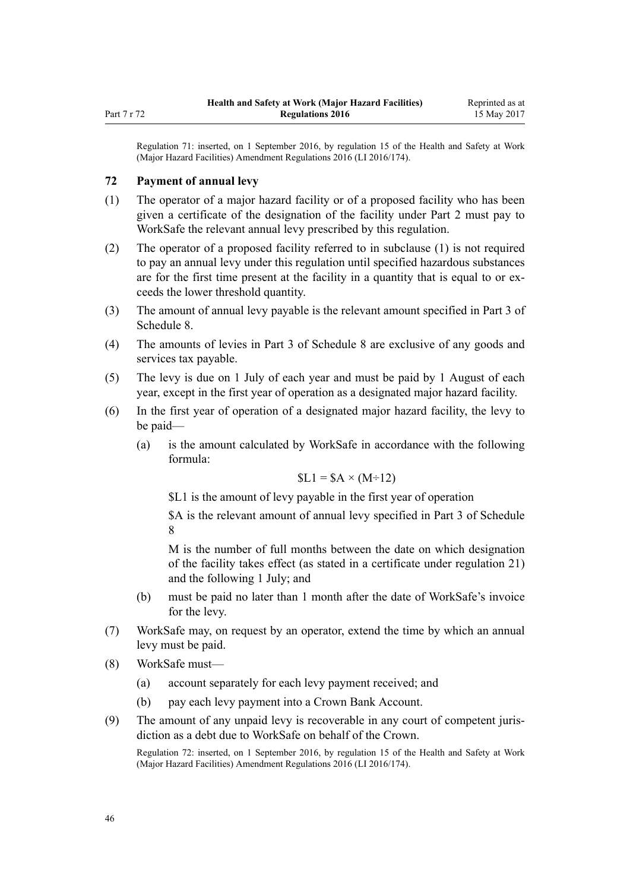<span id="page-45-0"></span>Regulation 71: inserted, on 1 September 2016, by [regulation 15](http://prd-lgnz-nlb.prd.pco.net.nz/pdflink.aspx?id=DLM6907720) of the Health and Safety at Work (Major Hazard Facilities) Amendment Regulations 2016 (LI 2016/174).

#### **72 Payment of annual levy**

- (1) The operator of a major hazard facility or of a proposed facility who has been given a certificate of the designation of the facility under [Part 2](#page-10-0) must pay to WorkSafe the relevant annual levy prescribed by this regulation.
- (2) The operator of a proposed facility referred to in subclause (1) is not required to pay an annual levy under this regulation until specified hazardous substances are for the first time present at the facility in a quantity that is equal to or exceeds the lower threshold quantity.
- (3) The amount of annual levy payable is the relevant amount specified in [Part 3](#page-72-0) of Schedule 8.
- (4) The amounts of levies in [Part 3](#page-72-0) of Schedule 8 are exclusive of any goods and services tax payable.
- (5) The levy is due on 1 July of each year and must be paid by 1 August of each year, except in the first year of operation as a designated major hazard facility.
- (6) In the first year of operation of a designated major hazard facility, the levy to be paid—
	- (a) is the amount calculated by WorkSafe in accordance with the following formula:

$$
SL1 = SA \times (M \div 12)
$$

\$L1 is the amount of levy payable in the first year of operation

\$A is the relevant amount of annual levy specified in [Part 3](#page-72-0) of Schedule 8

M is the number of full months between the date on which designation of the facility takes effect (as stated in a certificate under [regulation 21](#page-15-0)) and the following 1 July; and

- (b) must be paid no later than 1 month after the date of WorkSafe's invoice for the levy.
- (7) WorkSafe may, on request by an operator, extend the time by which an annual levy must be paid.
- (8) WorkSafe must—
	- (a) account separately for each levy payment received; and
	- (b) pay each levy payment into a Crown Bank Account.
- (9) The amount of any unpaid levy is recoverable in any court of competent jurisdiction as a debt due to WorkSafe on behalf of the Crown.

Regulation 72: inserted, on 1 September 2016, by [regulation 15](http://prd-lgnz-nlb.prd.pco.net.nz/pdflink.aspx?id=DLM6907720) of the Health and Safety at Work (Major Hazard Facilities) Amendment Regulations 2016 (LI 2016/174).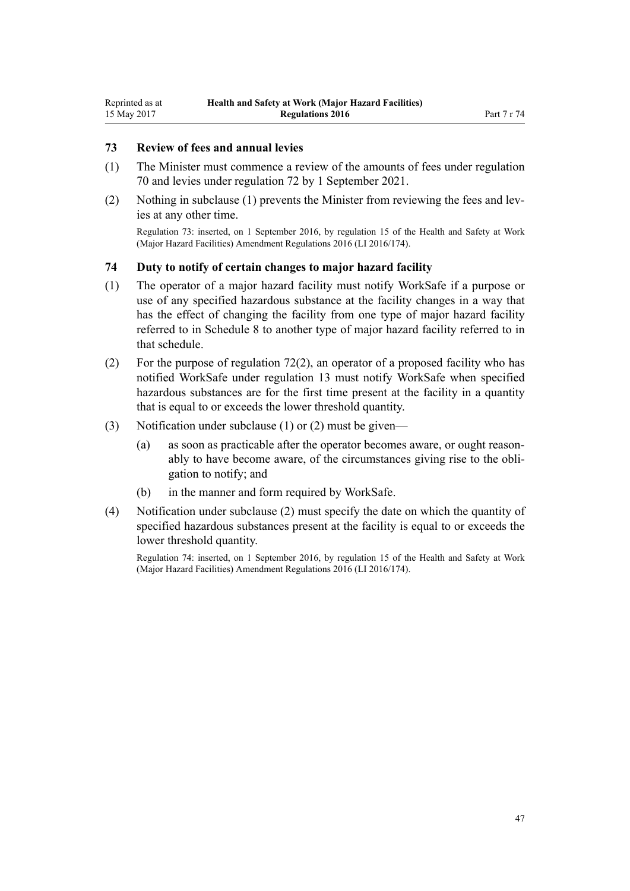#### **73 Review of fees and annual levies**

- (1) The Minister must commence a review of the amounts of fees under [regulation](#page-44-0) [70](#page-44-0) and levies under [regulation 72](#page-45-0) by 1 September 2021.
- (2) Nothing in subclause (1) prevents the Minister from reviewing the fees and levies at any other time.

Regulation 73: inserted, on 1 September 2016, by [regulation 15](http://prd-lgnz-nlb.prd.pco.net.nz/pdflink.aspx?id=DLM6907720) of the Health and Safety at Work (Major Hazard Facilities) Amendment Regulations 2016 (LI 2016/174).

#### **74 Duty to notify of certain changes to major hazard facility**

- (1) The operator of a major hazard facility must notify WorkSafe if a purpose or use of any specified hazardous substance at the facility changes in a way that has the effect of changing the facility from one type of major hazard facility referred to in [Schedule 8](#page-71-0) to another type of major hazard facility referred to in that schedule.
- (2) For the purpose of [regulation 72\(2\)](#page-45-0), an operator of a proposed facility who has notified WorkSafe under [regulation 13](#page-10-0) must notify WorkSafe when specified hazardous substances are for the first time present at the facility in a quantity that is equal to or exceeds the lower threshold quantity.
- (3) Notification under subclause (1) or (2) must be given—
	- (a) as soon as practicable after the operator becomes aware, or ought reasonably to have become aware, of the circumstances giving rise to the obligation to notify; and
	- (b) in the manner and form required by WorkSafe.
- (4) Notification under subclause (2) must specify the date on which the quantity of specified hazardous substances present at the facility is equal to or exceeds the lower threshold quantity.

Regulation 74: inserted, on 1 September 2016, by [regulation 15](http://prd-lgnz-nlb.prd.pco.net.nz/pdflink.aspx?id=DLM6907720) of the Health and Safety at Work (Major Hazard Facilities) Amendment Regulations 2016 (LI 2016/174).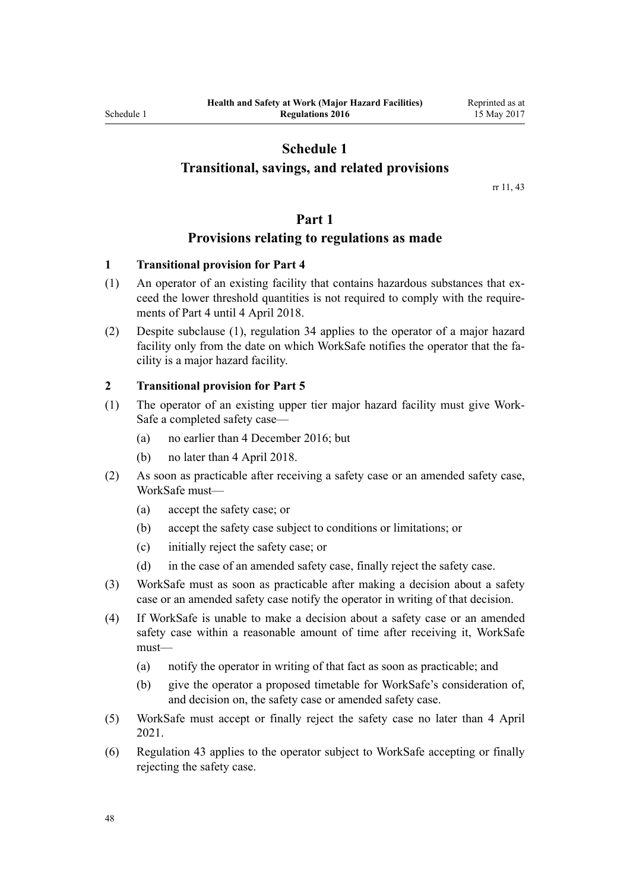#### **Transitional, savings, and related provisions**

rr [11,](#page-9-0) [43](#page-29-0)

#### **Part 1**

#### **Provisions relating to regulations as made**

#### **1 Transitional provision for Part 4**

- (1) An operator of an existing facility that contains hazardous substances that exceed the lower threshold quantities is not required to comply with the requirements of [Part 4](#page-20-0) until 4 April 2018.
- (2) Despite subclause (1), [regulation 34](#page-23-0) applies to the operator of a major hazard facility only from the date on which WorkSafe notifies the operator that the facility is a major hazard facility.

#### **2 Transitional provision for Part 5**

- (1) The operator of an existing upper tier major hazard facility must give Work-Safe a completed safety case—
	- (a) no earlier than 4 December 2016; but
	- (b) no later than 4 April 2018.
- (2) As soon as practicable after receiving a safety case or an amended safety case, WorkSafe must—
	- (a) accept the safety case; or
	- (b) accept the safety case subject to conditions or limitations; or
	- (c) initially reject the safety case; or
	- (d) in the case of an amended safety case, finally reject the safety case.
- (3) WorkSafe must as soon as practicable after making a decision about a safety case or an amended safety case notify the operator in writing of that decision.
- (4) If WorkSafe is unable to make a decision about a safety case or an amended safety case within a reasonable amount of time after receiving it, WorkSafe must—
	- (a) notify the operator in writing of that fact as soon as practicable; and
	- (b) give the operator a proposed timetable for WorkSafe's consideration of, and decision on, the safety case or amended safety case.
- (5) WorkSafe must accept or finally reject the safety case no later than 4 April 2021.
- (6) [Regulation 43](#page-29-0) applies to the operator subject to WorkSafe accepting or finally rejecting the safety case.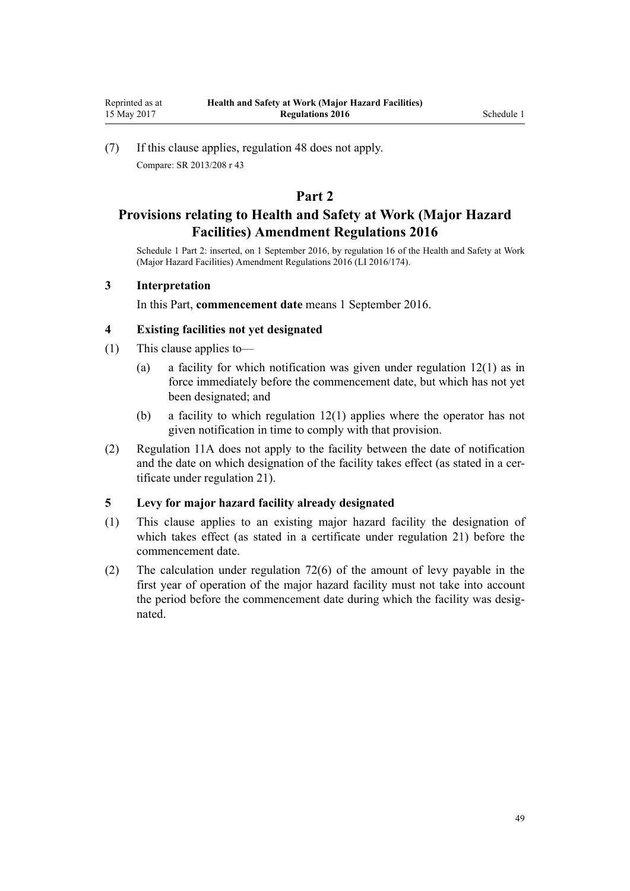(7) If this clause applies, [regulation 48](#page-31-0) does not apply. Compare: SR 2013/208 [r 43](http://prd-lgnz-nlb.prd.pco.net.nz/pdflink.aspx?id=DLM5203770)

### **Part 2**

## **Provisions relating to Health and Safety at Work (Major Hazard Facilities) Amendment Regulations 2016**

Schedule 1 Part 2: inserted, on 1 September 2016, by [regulation 16](http://prd-lgnz-nlb.prd.pco.net.nz/pdflink.aspx?id=DLM6907731) of the Health and Safety at Work (Major Hazard Facilities) Amendment Regulations 2016 (LI 2016/174).

#### **3 Interpretation**

In this Part, **commencement date** means 1 September 2016.

#### **4 Existing facilities not yet designated**

- (1) This clause applies to—
	- (a) a facility for which notification was given under [regulation 12\(1\)](#page-10-0) as in force immediately before the commencement date, but which has not yet been designated; and
	- (b) a facility to which [regulation 12\(1\)](#page-10-0) applies where the operator has not given notification in time to comply with that provision.
- (2) [Regulation 11A](#page-10-0) does not apply to the facility between the date of notification and the date on which designation of the facility takes effect (as stated in a certificate under [regulation 21](#page-15-0)).

#### **5 Levy for major hazard facility already designated**

- (1) This clause applies to an existing major hazard facility the designation of which takes effect (as stated in a certificate under [regulation 21](#page-15-0)) before the commencement date.
- (2) The calculation under [regulation 72\(6\)](#page-45-0) of the amount of levy payable in the first year of operation of the major hazard facility must not take into account the period before the commencement date during which the facility was designated.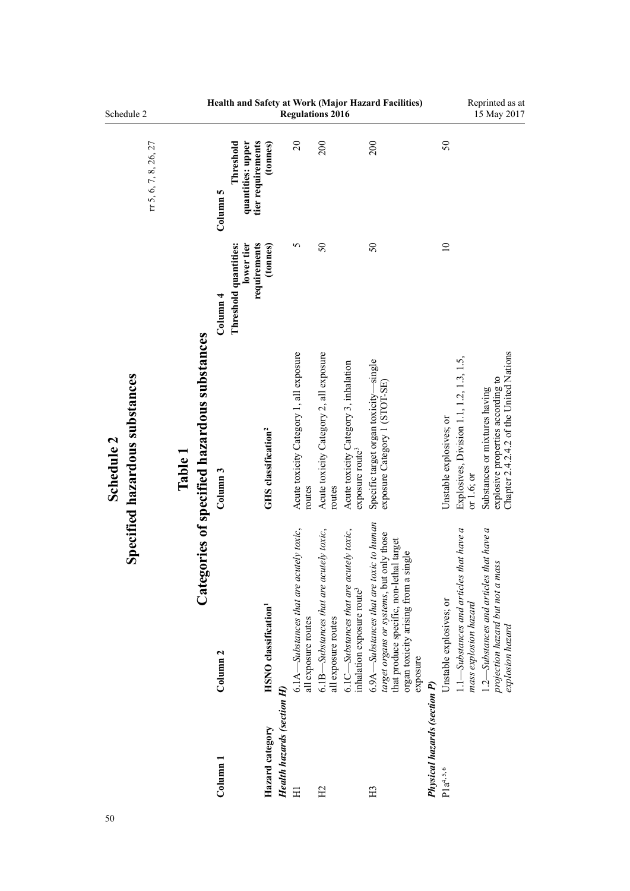| Schedule 2                                   |                       |         |                                              |                                                                               |                                         | <b>Regulations 2016</b>                                        |                                                                |                                                                          | Health and Safety at Work (Major Hazard Facilities)                                                                                                                                 |                                     |                                                                                                | Reprinted as at<br>15 May 2017                                                                                |
|----------------------------------------------|-----------------------|---------|----------------------------------------------|-------------------------------------------------------------------------------|-----------------------------------------|----------------------------------------------------------------|----------------------------------------------------------------|--------------------------------------------------------------------------|-------------------------------------------------------------------------------------------------------------------------------------------------------------------------------------|-------------------------------------|------------------------------------------------------------------------------------------------|---------------------------------------------------------------------------------------------------------------|
|                                              | rr 5, 6, 7, 8, 26, 27 |         |                                              | tier requirements<br>Threshold<br>quantities: upper<br>Column 5               | (tonnes)                                | $\overline{c}$                                                 | 200                                                            |                                                                          | 200                                                                                                                                                                                 |                                     | 50                                                                                             |                                                                                                               |
|                                              |                       |         |                                              | requirements<br>Threshold quantities:<br>lower tier<br>$\frac{1}{2}$ Column 4 | (tonnes)                                | 5                                                              | $\mathcal{S}$                                                  |                                                                          | $\mathcal{S}$                                                                                                                                                                       |                                     | $\approx$                                                                                      |                                                                                                               |
| Specified hazardous substances<br>Schedule 2 |                       | Table 1 | Categories of specified hazardous substances | Column <sub>3</sub>                                                           | GHS classification <sup>2</sup>         | Acute toxicity Category 1, all exposure<br>routes              | Acute toxicity Category 2, all exposure<br>routes              | Acute toxicity Category 3, inhalation<br>exposure route <sup>3</sup>     | Specific target organ toxicity-single<br>exposure Category 1 (STOT-SE)                                                                                                              |                                     | Explosives, Division 1.1, 1.2, 1.3, 1.5,<br>Unstable explosives; or<br>or $1.6$ ; or           | Chapter 2.4.2.4.2 of the United Nations<br>explosive properties according to<br>Substances or mixtures having |
|                                              |                       |         |                                              | Column <sub>2</sub>                                                           | <b>HSNO</b> classification <sup>1</sup> | 6.1A—Substances that are acutely toxic,<br>all exposure routes | 6.1B—Substances that are acutely toxic,<br>all exposure routes | $6.1C$ —Substances that are acutely toxic,<br>inhalation exposure route3 | 6.9A—Substances that are toxic to human<br>target organs or systems, but only those<br>that produce specific, non-lethal target<br>organ toxicity arising from a single<br>exposure |                                     | that have a<br>1.1-Substances and articles<br>Unstable explosives; or<br>mass explosion hazard | $1.2$ —Substances and articles that have a<br>projection hazard but not a mass<br>explosion hazard            |
|                                              |                       |         |                                              | $Column$ $1$                                                                  | Hazard category                         | Health hazards (section H)<br>Ξ                                | H <sub>2</sub>                                                 |                                                                          | H <sub>3</sub>                                                                                                                                                                      | <b>Physical hazards (section P)</b> | $P1a^{4, 5, 6}$                                                                                |                                                                                                               |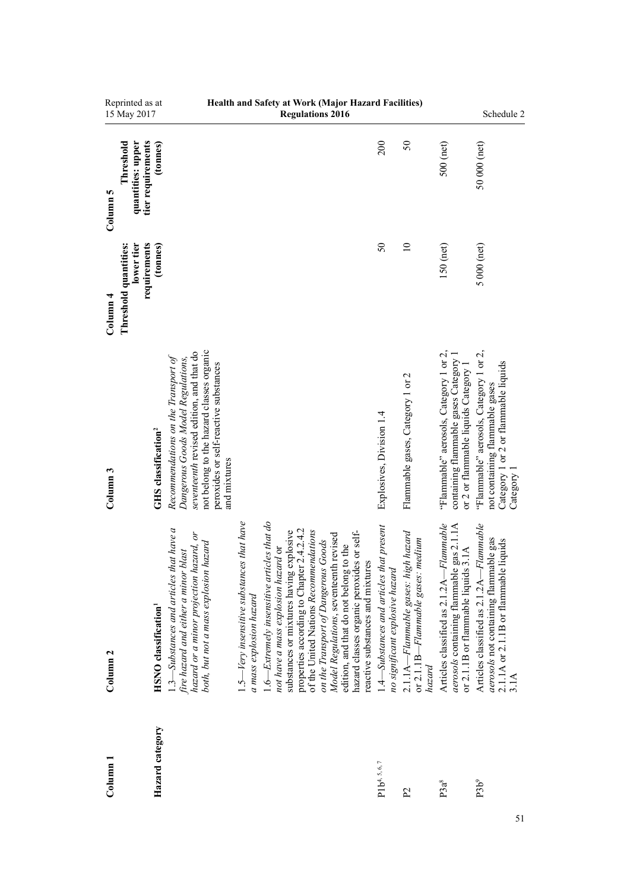| Reprinted as at<br>15 May 2017                                             |                                         |                                                                                                                                                                                                                            |                                                                         | Health and Safety at Work (Major Hazard Facilities)<br><b>Regulations 2016</b>                                                                                                                                                                                                                                                                                                                                                    |                                                                             |                                                                                                      |                                                                                                                                | Schedule 2                                                                                                                     |
|----------------------------------------------------------------------------|-----------------------------------------|----------------------------------------------------------------------------------------------------------------------------------------------------------------------------------------------------------------------------|-------------------------------------------------------------------------|-----------------------------------------------------------------------------------------------------------------------------------------------------------------------------------------------------------------------------------------------------------------------------------------------------------------------------------------------------------------------------------------------------------------------------------|-----------------------------------------------------------------------------|------------------------------------------------------------------------------------------------------|--------------------------------------------------------------------------------------------------------------------------------|--------------------------------------------------------------------------------------------------------------------------------|
| tier requirements<br>quantities: upper<br>Threshold<br>Column 5            | (tonnes)                                |                                                                                                                                                                                                                            |                                                                         |                                                                                                                                                                                                                                                                                                                                                                                                                                   | 200                                                                         | 50                                                                                                   | 500 (net)                                                                                                                      | 50 000 (net)                                                                                                                   |
| lower tier<br>requirements<br>Threshold quantities:<br>Column <sub>4</sub> | (tonnes)                                |                                                                                                                                                                                                                            |                                                                         |                                                                                                                                                                                                                                                                                                                                                                                                                                   | $\mathcal{S}$                                                               | $\equiv$                                                                                             | $150$ (net)                                                                                                                    | $5000$ (net)                                                                                                                   |
| Column <sub>3</sub>                                                        | <b>GHS</b> classification <sup>2</sup>  | not belong to the hazard classes organic<br>seventeenth revised edition, and that do<br>Recommendations on the Transport of<br>Dangerous Goods Model Regulations,<br>peroxides or self-reactive substances<br>and mixtures |                                                                         |                                                                                                                                                                                                                                                                                                                                                                                                                                   | Explosives, Division 1.4                                                    | Flammable gases, Category 1 or 2                                                                     | "Flammable" aerosols, Category 1 or 2,<br>containing flammable gases Category 1<br>or 2 or flammable liquids Category 1        | "Flammable" aerosols, Category 1 or 2,<br>Category 1 or 2 or flammable liquids<br>not containing flammable gases<br>Category 1 |
| Column <sub>2</sub>                                                        | <b>HSNO</b> classification <sup>1</sup> | $1.3$ —Substances and articles that have a<br>hazard or a minor projection hazard, or<br>both, but not a mass explosion hazard<br>fire hazard and either a minor blast                                                     | $1.5$ —Very insensitive substances that have<br>a mass explosion hazard | $1.6$ —Extremely insensitive articles that do<br>properties according to Chapter 2.4.2.4.2<br>of the United Nations Recommendations<br>substances or mixtures having explosive<br>hazard classes organic peroxides or self-<br>Model Regulations, seventeenth revised<br>on the Transport of Dangerous Goods<br>edition, and that do not belong to the<br>not have a mass explosion hazard or<br>reactive substances and mixtures | 1.4—Substances and articles that present<br>no significant explosive hazard | $2.1.1A-Flammable gases: high hazard$<br>medium<br>or 2.1.1 $B$ – <i>Flammable gases</i> :<br>hazard | Flammable<br>aerosols containing flammable gas 2.1.1A<br>or 2.1.1B or flammable liquids 3.1A<br>Articles classified as 2.1.2A- | Flammable<br>aerosols not containing flammable gas<br>2.1.1A or 2.1.1B or flammable liquids<br>Articles classified as 2.1.2A-  |
| $_{\rm Column\,1}$                                                         | Hazard category                         |                                                                                                                                                                                                                            |                                                                         |                                                                                                                                                                                                                                                                                                                                                                                                                                   | $P1b^{4, 5, 6, 7}$                                                          | P <sub>2</sub>                                                                                       | P3a <sup>8</sup>                                                                                                               | P3b <sup>9</sup>                                                                                                               |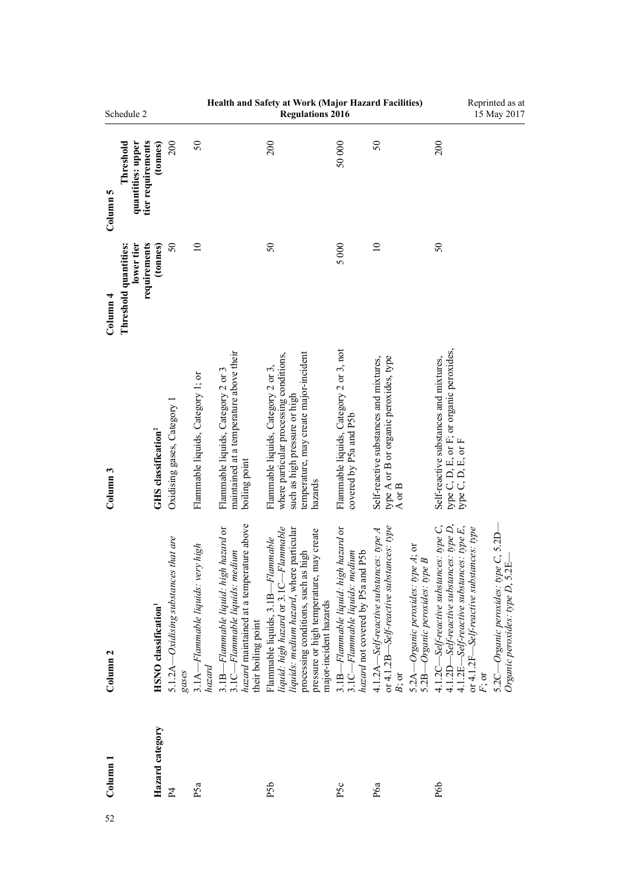|                     | Schedule 2                                          |                                         |                                               |                                               |                                                                                                                                            | Health and Safety at Work (Major Hazard Facilities)<br><b>Regulations 2016</b>                                                                                                                                                         |                                                                                                              |                                                                                                                                                                            |                                                                                                                                                                        | Reprinted as at<br>15 May 2017                                                                                                 |
|---------------------|-----------------------------------------------------|-----------------------------------------|-----------------------------------------------|-----------------------------------------------|--------------------------------------------------------------------------------------------------------------------------------------------|----------------------------------------------------------------------------------------------------------------------------------------------------------------------------------------------------------------------------------------|--------------------------------------------------------------------------------------------------------------|----------------------------------------------------------------------------------------------------------------------------------------------------------------------------|------------------------------------------------------------------------------------------------------------------------------------------------------------------------|--------------------------------------------------------------------------------------------------------------------------------|
| Column 5            | tier requirements<br>quantities: upper<br>Threshold | (tonnes)                                | 200                                           | 50                                            |                                                                                                                                            | 200                                                                                                                                                                                                                                    | 50000                                                                                                        | 50                                                                                                                                                                         | 200                                                                                                                                                                    |                                                                                                                                |
| Column <sub>4</sub> | lower tier<br>requirements<br>Threshold quantities: | (tonnes)                                | $\overline{50}$                               | $\equiv$                                      |                                                                                                                                            | $50\,$                                                                                                                                                                                                                                 | 5000                                                                                                         | $\overline{10}$                                                                                                                                                            | $50\,$                                                                                                                                                                 |                                                                                                                                |
| Column <sub>3</sub> |                                                     | <b>GHS</b> classification <sup>2</sup>  | Oxidising gases, Category 1                   | Flammable liquids, Category 1; or             | maintained at a temperature above their<br>Flammable liquids, Category 2 or 3<br>boiling point                                             | where particular processing conditions,<br>temperature, may create major-incident<br>Flammable liquids, Category 2 or 3,<br>such as high pressure or high<br>hazards                                                                   | Flammable liquids, Category 2 or 3, not<br>covered by P5a and P5b                                            | type A or B or organic peroxides, type<br>Self-reactive substances and mixtures,<br>A or $B$                                                                               | type C, D, E, or F; or organic peroxides,<br>type C, D, E, or F<br>Self-reactive substances and mixtures,                                                              |                                                                                                                                |
| Column <sub>2</sub> |                                                     | <b>HSNO</b> classification <sup>1</sup> | 5.1.2A—Oxidising substances that are<br>gases | $3.1A-Flamnable$ liquids: very high<br>hazard | hazard maintained at a temperature above<br>3.1B-Flammable liquid: high hazard or<br>3.1C—Flammable liquids: medium<br>their boiling point | liquid: high hazard or $3.1C$ —Flammable<br>liquids: medium hazard, where particular<br>pressure or high temperature, may create<br>Flammable liquids, 3.1B-Flammable<br>processing conditions, such as high<br>major-incident hazards | 3.1B-Flammable liquid: high hazard or<br>hazard not covered by P5a and P5b<br>3.1C—Flammable liquids: medium | $4.1.2A$ —Self-reactive substances: type A<br>or $4.1.2B$ —Self-reactive substances: type<br>5.2A-Organic peroxides: type A; or<br>5.2B-Organic peroxides: type B<br>B; or | $4.1.2D-Self\text{-}reactive\text{ substances: type } D,$<br>$4.1.2C -$ Self-reactive substances: type C,<br>$4.1.2E-Self\text{-}reactive\text{ substances: type } E,$ | or 4.1.2F-Self-reactive substances: type<br>5.2C—Organic peroxides: type C, 5.2D—<br>Organic peroxides: type D, 5.2E—<br>F; or |
| Column <sub>1</sub> |                                                     | Hazard category                         | P <sub>4</sub>                                | P <sub>5a</sub>                               |                                                                                                                                            | P <sub>5</sub> b                                                                                                                                                                                                                       | P <sub>5c</sub>                                                                                              | P <sub>6a</sub>                                                                                                                                                            | P6b                                                                                                                                                                    |                                                                                                                                |
| 52                  |                                                     |                                         |                                               |                                               |                                                                                                                                            |                                                                                                                                                                                                                                        |                                                                                                              |                                                                                                                                                                            |                                                                                                                                                                        |                                                                                                                                |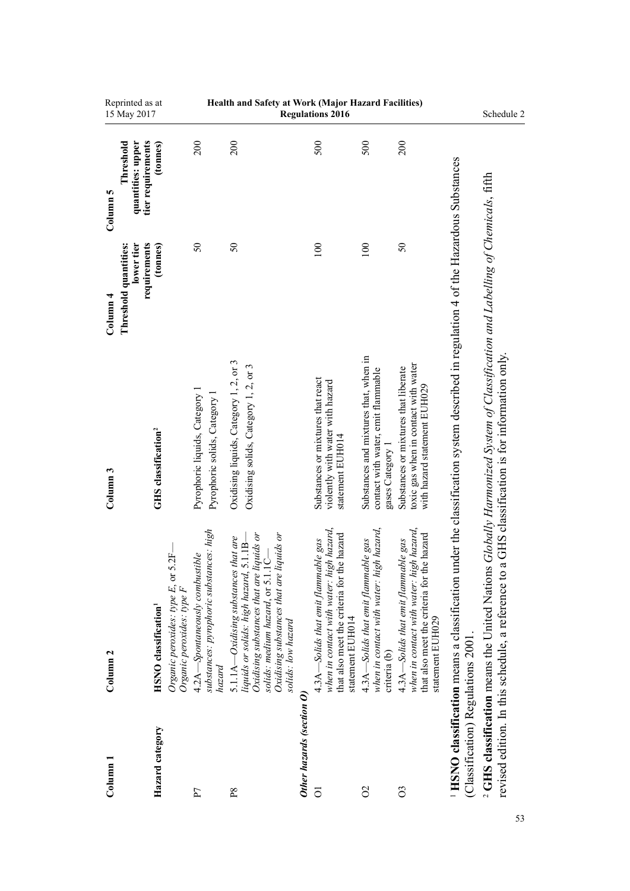| Column                             | Column <sub>2</sub>                                                                                                                                                                                                                                                             | Column <sub>3</sub>                                                                                                             | Column <sub>4</sub>                                 | Column 5                                            |                                                     |
|------------------------------------|---------------------------------------------------------------------------------------------------------------------------------------------------------------------------------------------------------------------------------------------------------------------------------|---------------------------------------------------------------------------------------------------------------------------------|-----------------------------------------------------|-----------------------------------------------------|-----------------------------------------------------|
|                                    |                                                                                                                                                                                                                                                                                 |                                                                                                                                 | lower tier<br>requirements<br>Threshold quantities: | tier requirements<br>quantities: upper<br>Threshold | Reprinted as at<br>15 May 2017                      |
| Hazard category                    | 2F<br>Organic peroxides: type E, or 5<br>Organic peroxides: type F<br><b>HSNO</b> classification <sup>1</sup>                                                                                                                                                                   | <b>GHS</b> classification <sup>2</sup>                                                                                          | (tonnes)                                            | (tonnes)                                            |                                                     |
| P                                  | substances: pyrophoric substances: high<br>4.2A—Spontaneously combustible<br>hazard                                                                                                                                                                                             | Pyrophoric liquids, Category 1<br>Pyrophoric solids, Category                                                                   | $50\,$                                              | 200                                                 |                                                     |
| $_{\rm P8}$                        | Oxidising substances that are liquids or<br>solids: medium hazard, or 5.1.1C—<br>Oxidising substances that are liquids or<br>that are<br>$5.1.1B-$<br>liquids or solids: high hazard, :<br>solids: medium hazard, or 5.1.1<br>5.1.1A—Oxidising substances<br>solids: low hazard | Oxidising liquids, Category 1, 2, or 3<br>Oxidising solids, Category 1, 2, or 3                                                 | $50\,$                                              | 200                                                 | Health and Safety at Work (Major Hazard Facilities) |
| Other hazards (section O           |                                                                                                                                                                                                                                                                                 |                                                                                                                                 |                                                     |                                                     |                                                     |
| $\overline{O}$                     | when in contact with water: high hazard,<br>that also meet the criteria for the hazard<br>4.3A-Solids that emit flammable gas<br>statement EUH014                                                                                                                               | Substances or mixtures that react<br>violently with water with hazard<br>statement EUH014                                       | 100                                                 | 500                                                 | <b>Regulations 2016</b>                             |
| $\delta$                           | when in contact with water: high hazard,<br>4.3A—Solids that emit flammable gas<br>criteria (b)                                                                                                                                                                                 | Substances and mixtures that, when in<br>contact with water, emit flammable<br>gases Category 1                                 | 100                                                 | 500                                                 |                                                     |
| $\overline{O}$                     | when in contact with water: high hazard,<br>e hazard<br>4.3A-Solids that emit flammable gas<br>that also meet the criteria for th<br>statement EUH029                                                                                                                           | toxic gas when in contact with water<br>Substances or mixtures that liberate<br>with hazard statement EUH029                    | $\mathcal{S}$                                       | 200                                                 |                                                     |
| (Classification) Regulations 2001. | <sup>1</sup> HSNO classification means a classification under the classification system described in regulation 4 of the Hazardous Substances                                                                                                                                   |                                                                                                                                 |                                                     |                                                     |                                                     |
|                                    | <sup>2</sup> GHS classification means the United Nations<br>revised edition. In this schedule, a reference to                                                                                                                                                                   | Globally Harmonized System of Classification and Labelling of Chemicals, fifth<br>a GHS classification is for information only. |                                                     |                                                     | Schedule 2                                          |
|                                    |                                                                                                                                                                                                                                                                                 |                                                                                                                                 |                                                     |                                                     |                                                     |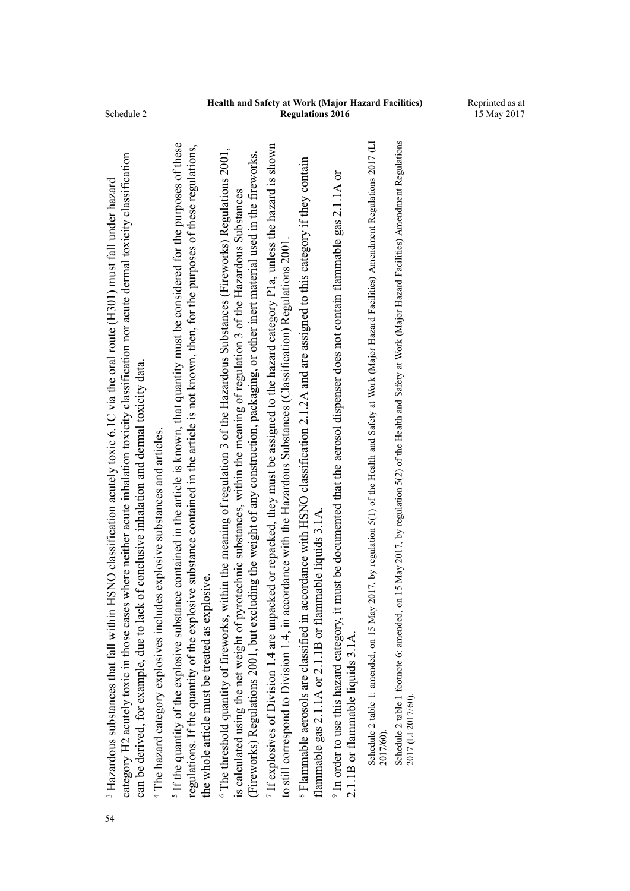| where neither acute inhalation toxicity classification nor acute dermal toxicity classification<br>SNO classification acutely toxic 6.1C via the oral route $(H301)$ must fall under hazard<br>can be derived, for example, due to lack of conclusive inhalation and dermal toxicity data.<br><sup>4</sup> The hazard category explosives includes explosive substances and articles.<br><sup>3</sup> Hazardous substances that fall within H<br>category H2 acutely toxic in those cases |
|-------------------------------------------------------------------------------------------------------------------------------------------------------------------------------------------------------------------------------------------------------------------------------------------------------------------------------------------------------------------------------------------------------------------------------------------------------------------------------------------|
| If the quantity of the explosive substance contained in the article is known, that quantity must be considered for the purposes of these<br>regulations. If the quantity of the explosive substance contained in the article is not known, then, for the purposes of these regulations,<br>the whole article must be treated as explosive.                                                                                                                                                |
| <sup>6</sup> The threshold quantity of fireworks, within the meaning of regulation 3 of the Hazardous Substances (Fireworks) Regulations 2001,<br>(Fireworks) Regulations 2001, but excluding the weight of any construction, packaging, or other inert material used in the fireworks.<br>is calculated using the net weight of pyrotechnic substances, within the meaning of regulation 3 of the Hazardous Substances                                                                   |
| If explosives of Division 1.4 are unpacked or repacked, they must be assigned to the hazard category P1a, unless the hazard is shown<br>to still correspond to Division 1.4, in accordance with the Hazardous Substances (Classification) Regulations 2001.                                                                                                                                                                                                                               |
| <sup>8</sup> Flammable aerosols are classified in accordance with HSNO classification 2.1.2A and are assigned to this category if they contain<br>flammable gas 2.1.1A or 2.1.1B or flammable liquids 3.1A                                                                                                                                                                                                                                                                                |
| In order to use this hazard category, it must be documented that the aerosol dispenser does not contain flammable gas 2.1.1A or<br>$2.1.1B$ or flammable liquids $3.1A$ .                                                                                                                                                                                                                                                                                                                 |
| Schedule 2 table 1: amended, on 15 May 2017, by regulation 5(1) of the Health and Safety at Work (Major Hazard Facilities) Amendment Regulations 2017 (LI<br>2017/60).                                                                                                                                                                                                                                                                                                                    |
| 15 May 2017, by regulation 5(2) of the Health and Safety at Work (Major Hazard Facilities) Amendment Regulations<br>Schedule 2 table 1 footnote 6: amended, on<br>2017 (LI 2017/60)                                                                                                                                                                                                                                                                                                       |
|                                                                                                                                                                                                                                                                                                                                                                                                                                                                                           |

54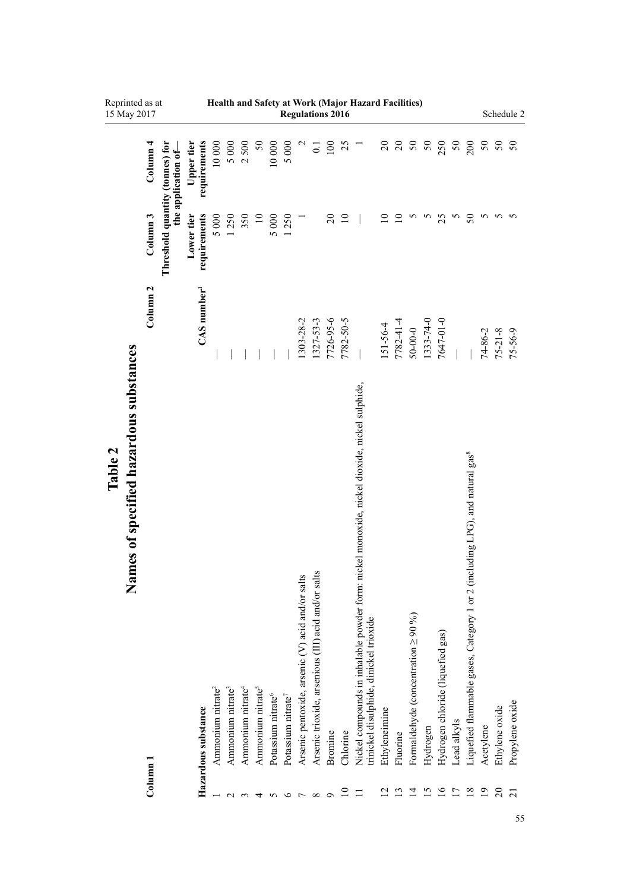|         | Reprinted as at<br>15 May 2017                        |                     |                                 |                            |                               |                               |                               |                               |                                |                                |                                                  | <b>Regulations 2016</b>                             |           |                 | Health and Safety at Work (Major Hazard Facilities)                                                                                     |               |                 |                                           |           |                                   |                |                                                                                          |                |                 | Schedule 2      |
|---------|-------------------------------------------------------|---------------------|---------------------------------|----------------------------|-------------------------------|-------------------------------|-------------------------------|-------------------------------|--------------------------------|--------------------------------|--------------------------------------------------|-----------------------------------------------------|-----------|-----------------|-----------------------------------------------------------------------------------------------------------------------------------------|---------------|-----------------|-------------------------------------------|-----------|-----------------------------------|----------------|------------------------------------------------------------------------------------------|----------------|-----------------|-----------------|
|         |                                                       | Column 4            | the application of-             | requirements<br>Upper tier | 10 000                        | 5 000                         | 2500                          | $50\,$                        | 10 000                         | 5 000                          | $\mathfrak{a}$                                   | $\overline{0}$ .                                    | 100       | 25              | Ξ                                                                                                                                       |               |                 | នននន                                      |           | 250                               | $50\,$         | 200                                                                                      | 50             | $\frac{50}{50}$ |                 |
|         |                                                       | Column <sub>3</sub> | Threshold quantity (tonnes) for | requirements<br>Lower tier | 5 000                         | 1250                          | 350                           | $\overline{10}$               | 5 000                          | 1250                           |                                                  |                                                     | $20\,$    | $\overline{10}$ |                                                                                                                                         |               | $\overline{10}$ |                                           | 5         | 25                                | S              | 50                                                                                       | n              |                 | 5               |
|         |                                                       | Column <sub>2</sub> |                                 | $CAS$ number <sup>1</sup>  |                               |                               |                               |                               |                                |                                | 1303-28-2                                        | 1327-53-3                                           | 7726-95-6 | 7782-50-5       |                                                                                                                                         | 151-56-4      | 7782-41-4       | $50 - 00 - 0$                             | 1333-74-0 | 7647-01-0                         |                |                                                                                          | 74-86-2        | $75 - 21 - 8$   | $75 - 56 - 9$   |
| Table 2 | nes of specified hazardous substances<br>$\mathbf{R}$ | Column 1            |                                 | Hazardous substance        | Ammonium nitrate <sup>2</sup> | Ammonium nitrate <sup>3</sup> | Ammonium nitrate <sup>4</sup> | Ammonium nitrate <sup>5</sup> | Potassium nitrate <sup>6</sup> | Potassium nitrate <sup>7</sup> | Arsenic pentoxide, arsenic (V) acid and/or salts | Arsenic trioxide, arsenious (III) acid and/or salts | Bromine   | Chlorine        | Nickel compounds in inhalable powder form: nickel monoxide, nickel dioxide, nickel sulphide,<br>trinickel disulphide, dinickel trioxide | Ethyleneimine | Fluorine        | Formaldehyde (concentration $\geq 90\%$ ) | Hydrogen  | Hydrogen chloride (liquefied gas) | Lead alkyls    | Liquefied flammable gases, Category 1 or 2 (including LPG), and natural gas <sup>8</sup> | Acetylene      | Ethylene oxide  | Propylene oxide |
|         |                                                       |                     |                                 |                            |                               |                               |                               |                               |                                |                                |                                                  | ${}^{\circ}$                                        |           | $\Xi$           |                                                                                                                                         |               |                 | ュ                                         | S         | $\geq$                            | $\overline{1}$ | $\frac{8}{18}$                                                                           | $\overline{0}$ | $\overline{c}$  | ត               |

55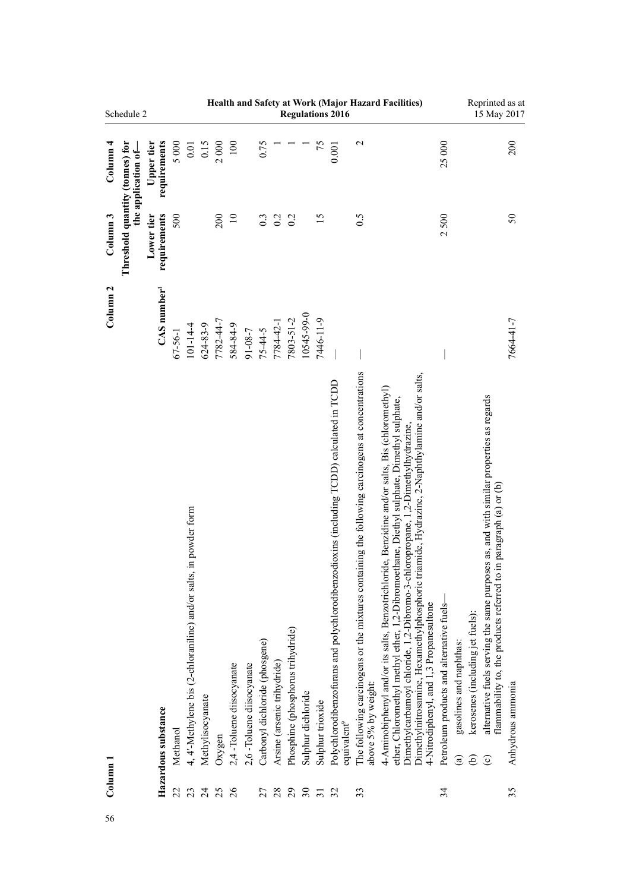|                       | Schedule 2                      |                            |                |                                                                            |                                    |              |                                |                          |                                      |                                   |                                         |                              |                                     | <b>Regulations 2016</b>                                                                                                   |                                                                                                                               | Health and Safety at Work (Major Hazard Facilities)                                                                                                                                                                                                                                                                                                                                                                       |                                                                                                      | Reprinted as at                                                                                                                                                                                                    | 15 May 2017             |
|-----------------------|---------------------------------|----------------------------|----------------|----------------------------------------------------------------------------|------------------------------------|--------------|--------------------------------|--------------------------|--------------------------------------|-----------------------------------|-----------------------------------------|------------------------------|-------------------------------------|---------------------------------------------------------------------------------------------------------------------------|-------------------------------------------------------------------------------------------------------------------------------|---------------------------------------------------------------------------------------------------------------------------------------------------------------------------------------------------------------------------------------------------------------------------------------------------------------------------------------------------------------------------------------------------------------------------|------------------------------------------------------------------------------------------------------|--------------------------------------------------------------------------------------------------------------------------------------------------------------------------------------------------------------------|-------------------------|
| $\frac{1}{2}$ Olumn 4 | the application of-             | requirements<br>Upper tier | 5000           | 0.01                                                                       | 0.15                               | 2000         | $100\,$                        |                          | 0.75                                 |                                   |                                         |                              | 75                                  | 0.001                                                                                                                     | $\mathbf 2$                                                                                                                   |                                                                                                                                                                                                                                                                                                                                                                                                                           | 25000                                                                                                |                                                                                                                                                                                                                    | 200                     |
| Column <sub>3</sub>   | Threshold quantity (tonnes) for | requirements<br>Lower tier | 500            |                                                                            |                                    | 200          | $\overline{10}$                |                          | 0.3                                  | 0.2                               | 0.2                                     |                              | 15                                  |                                                                                                                           | 0.5                                                                                                                           |                                                                                                                                                                                                                                                                                                                                                                                                                           | 2500                                                                                                 |                                                                                                                                                                                                                    | 50                      |
| Column <sub>2</sub>   |                                 | $CAS$ number <sup>1</sup>  | $67 - 56 - 1$  | $101 - 14 - 4$                                                             | 624-83-9                           | 7782-44-7    | 584-84-9                       | 91-08-7                  | $75 - 44 - 5$                        | 7784-42-1                         | 7803-51-2                               | 10545-99-0                   | 7446-11-9                           |                                                                                                                           |                                                                                                                               |                                                                                                                                                                                                                                                                                                                                                                                                                           |                                                                                                      |                                                                                                                                                                                                                    | 7664-41-7               |
| $_{\rm Column\ 1}$    |                                 | Hazardous substance        | Methanol<br>22 | in powder form<br>4, 4'-Methylene bis (2-chloraniline) and/or salts,<br>23 | Methylisocyanate<br>$\overline{c}$ | Oxygen<br>25 | 2,4-Toluene diisocyanate<br>26 | 2,6-Toluene diisocyanate | Carbonyl dichloride (phosgene)<br>27 | Arsine (arsenic trihydride)<br>28 | Phosphine (phosphorus trihydride)<br>29 | Sulphur dichloride<br>$30\,$ | Sulphur trioxide<br>$\overline{31}$ | Polychlorodibenzofurans and polychlorodibenzodioxins (including TCDD) calculated in TCDD<br>equivalent <sup>9</sup><br>32 | The following carcinogens or the mixtures containing the following carcinogens at concentrations<br>above 5% by weight:<br>33 | Dimethylnitrosamine, Hexamethylphosphoric triamide, Hydrazine, 2-Naphthylamine and/or salts,<br>4-Aminobiphenyl and/or its salts, Benzotrichloride, Benzidine and/or salts, Bis (chloromethyl)<br>ether, Chloromethyl methyl ether, 1,2-Dibromoethane, Diethyl sulphate, Dimethyl sulphate,<br>Dimethylcarbamoyl chloride, 1,2-Dibromo-3-chloropropane, 1,2-Dimethylhydrazine,<br>4-Nitrodiphenyl, and 1,3 Propanesultone | Petroleum products and alternative fuels-<br>gasolines and naphthas:<br>$\widehat{\mathbf{e}}$<br>34 | alternative fuels serving the same purposes as, and with similar properties as regards<br>in paragraph (a) or (b)<br>flammability to, the products referred to<br>kerosenes (including jet fuels):<br>ව<br>$\odot$ | Anhydrous ammonia<br>35 |
|                       |                                 |                            |                |                                                                            |                                    |              |                                |                          |                                      |                                   |                                         |                              |                                     |                                                                                                                           |                                                                                                                               |                                                                                                                                                                                                                                                                                                                                                                                                                           |                                                                                                      |                                                                                                                                                                                                                    |                         |
| 56                    |                                 |                            |                |                                                                            |                                    |              |                                |                          |                                      |                                   |                                         |                              |                                     |                                                                                                                           |                                                                                                                               |                                                                                                                                                                                                                                                                                                                                                                                                                           |                                                                                                      |                                                                                                                                                                                                                    |                         |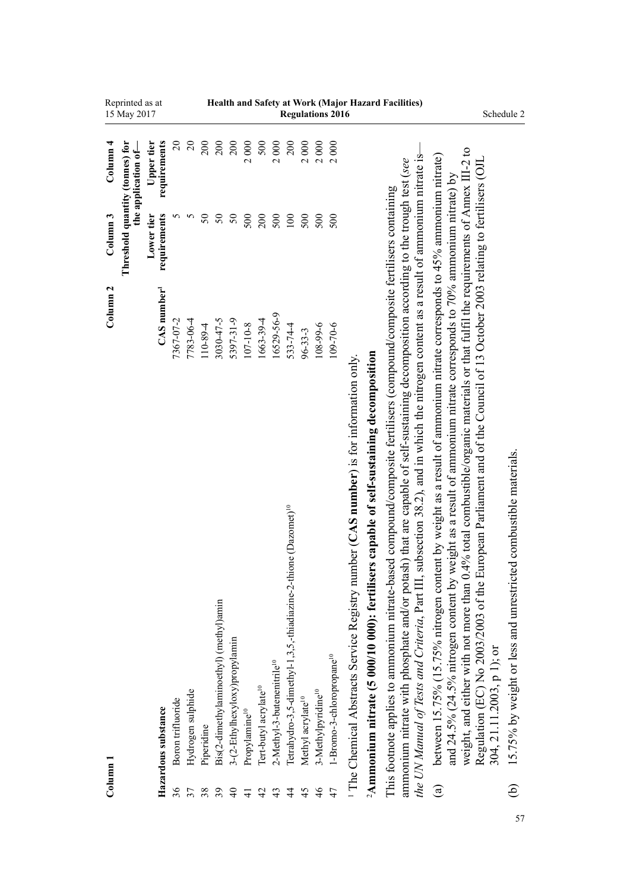| Reprinted as at<br>15 May 2017                                                             | Health and Safety at Work (Major Hazard Facilities)<br><b>Regulations 2016</b>                                                                                                                                                                                                                                                                                                                                                                                                                                                                                                                                                                                                                                                                                                                                                                                                                                                                                                                                                            | Schedule 2                                                                                                                                                                                                                                                                                                                                                                                                                                                                                                                                                                                                       |
|--------------------------------------------------------------------------------------------|-------------------------------------------------------------------------------------------------------------------------------------------------------------------------------------------------------------------------------------------------------------------------------------------------------------------------------------------------------------------------------------------------------------------------------------------------------------------------------------------------------------------------------------------------------------------------------------------------------------------------------------------------------------------------------------------------------------------------------------------------------------------------------------------------------------------------------------------------------------------------------------------------------------------------------------------------------------------------------------------------------------------------------------------|------------------------------------------------------------------------------------------------------------------------------------------------------------------------------------------------------------------------------------------------------------------------------------------------------------------------------------------------------------------------------------------------------------------------------------------------------------------------------------------------------------------------------------------------------------------------------------------------------------------|
| requirements<br>$\overline{c}$<br>Column <sub>4</sub><br>Upper tier<br>the application of- | $\Omega$<br>200<br>200<br>200<br>2000<br>500<br>2000<br>200<br>2000<br>2000<br>2000                                                                                                                                                                                                                                                                                                                                                                                                                                                                                                                                                                                                                                                                                                                                                                                                                                                                                                                                                       |                                                                                                                                                                                                                                                                                                                                                                                                                                                                                                                                                                                                                  |
| Threshold quantity (tonnes) for<br>Column <sub>3</sub><br>requirements<br>5<br>Lower tier  | 5<br>$50\,$<br>$50\,$<br>500<br>$50\,$<br>500<br>200<br>$100\,$<br>500<br>500<br>500                                                                                                                                                                                                                                                                                                                                                                                                                                                                                                                                                                                                                                                                                                                                                                                                                                                                                                                                                      |                                                                                                                                                                                                                                                                                                                                                                                                                                                                                                                                                                                                                  |
| Column <sub>2</sub><br>CAS number <sup>1</sup><br>7367-07-2                                | 16529-56-9<br>7783-06-4<br>5397-31-9<br>3030-47-5<br>1663-39-4<br>$107 - 10 - 8$<br>108-99-6<br>109-70-6<br>533-74-4<br>110-89-4<br>$96 - 33 - 3$                                                                                                                                                                                                                                                                                                                                                                                                                                                                                                                                                                                                                                                                                                                                                                                                                                                                                         |                                                                                                                                                                                                                                                                                                                                                                                                                                                                                                                                                                                                                  |
| Boron trifluoride<br>Hazardous substance<br>Column 1                                       | the UN Manual of Tests and Criteria, Part III, subsection 38.2), and in which the nitrogen content as a result of ammonium nitrate is-<br>ammonium nitrate with phosphate and/or potash) that are capable of self-sustaining decomposition according to the trough test (see<br>This footnote applies to ammonium nitrate-based compound/composite fertilisers (compound/composite fertilisers containing<br><sup>2</sup> Ammonium nitrate (5 000/10 000): fertilisers capable of self-sustaining decomposition<br><sup>1</sup> The Chemical Abstracts Service Registry number (CAS number) is for information only.<br>Tetrahydro-3,5-dimethyl-1,3,5,-thiadiazine-2-thione (Dazomet) <sup>10</sup><br>Bis(2-dimethylaminoethyl) (methyl)amin<br>3-(2-Ethylhexyloxy)propylamin<br>1-Bromo-3-chloropropane <sup>10</sup><br>2-Methyl-3-butenenitrile <sup>10</sup><br>Tert-butyl acrylate <sup>10</sup><br>3-Methylpyridine <sup>10</sup><br>Hydrogen sulphide<br>Methyl acrylate <sup>10</sup><br>Propylamine <sup>10</sup><br>Piperidine | weight, and either with not more than 0.4% total combustible/organic materials or that fulfil the requirements of Annex III-2 to<br>between 15.75% (15.75% nitrogen content by weight as a result of ammonium nitrate corresponds to 45% ammonium nitrate)<br>Regulation (EC) No 2003/2003 of the European Parliament and of the Council of 13 October 2003 relating to fertilisers (OJL<br>and 24.5% (24.5% nitrogen content by weight as a result of ammonium nitrate corresponds to 70% ammonium nitrate) by<br>15.75% by weight or less and unrestricted combustible materials.<br>304, 21.11.2003, p 1); or |
| 36                                                                                         | 46<br>39<br>47<br>37<br>$\Theta$<br>45<br>38<br>$\overline{4}$<br>43<br>4<br>$\overline{4}$                                                                                                                                                                                                                                                                                                                                                                                                                                                                                                                                                                                                                                                                                                                                                                                                                                                                                                                                               | $\widehat{e}$<br>$\mathbf{g}$                                                                                                                                                                                                                                                                                                                                                                                                                                                                                                                                                                                    |

57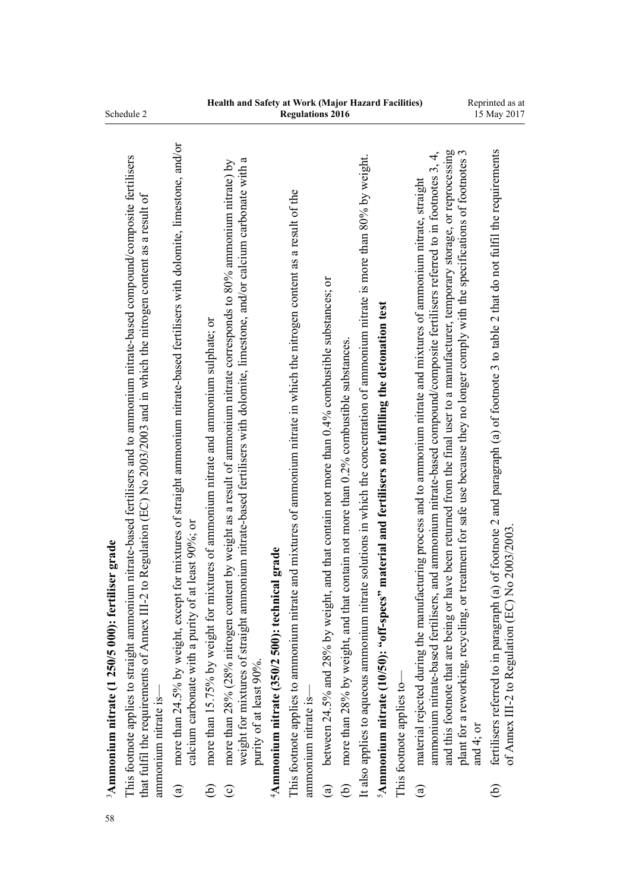| 58 |                        | <sup>3</sup> Ammonium nitrate (1 250/5 000): fertiliser grade                                                                                                                                                                                                                                                                                                                                                                                                                                                                                      |
|----|------------------------|----------------------------------------------------------------------------------------------------------------------------------------------------------------------------------------------------------------------------------------------------------------------------------------------------------------------------------------------------------------------------------------------------------------------------------------------------------------------------------------------------------------------------------------------------|
|    |                        | This footnote applies to straight ammonium nitrate-based fertilisers and to ammonium nitrate-based compound/composite fertilisers<br>that fulfil the requirements of Annex III-2 to Regulation (EC) No 2003/2003 and in which the nitrogen content as a result of<br>ammonium nitrate is-                                                                                                                                                                                                                                                          |
|    | $\mathbf{g}$           | for mixtures of straight ammonium nitrate-based fertilisers with dolomite, limestone, and/or<br>calcium carbonate with a purity of at least 90%; or<br>more than 24.5% by weight, except                                                                                                                                                                                                                                                                                                                                                           |
|    | ව                      | more than 15.75% by weight for mixtures of ammonium nitrate and ammonium sulphate; or                                                                                                                                                                                                                                                                                                                                                                                                                                                              |
|    | $\widehat{\mathbf{c}}$ | weight for mixtures of straight ammonium nitrate-based fertilisers with dolomite, limestone, and/or calcium carbonate with a<br>more than 28% (28% nitrogen content by weight as a result of ammonium nitrate corresponds to 80% ammonium nitrate) by<br>purity of at least 90%.                                                                                                                                                                                                                                                                   |
|    |                        | $4$ Ammonium nitrate (350/2 500): technical grade                                                                                                                                                                                                                                                                                                                                                                                                                                                                                                  |
|    |                        | This footnote applies to ammonium nitrate and mixtures of ammonium nitrate in which the nitrogen content as a result of the<br>ammonium nitrate is-                                                                                                                                                                                                                                                                                                                                                                                                |
|    | $\widehat{a}$          | t, and that contain not more than 0.4% combustible substances; or<br>between $24.5%$ and $28%$ by weight                                                                                                                                                                                                                                                                                                                                                                                                                                           |
|    | ව                      | contain not more than 0.2% combustible substances<br>more than 28% by weight, and that                                                                                                                                                                                                                                                                                                                                                                                                                                                             |
|    |                        | It also applies to aqueous ammonium nitrate solutions in which the concentration of ammonium nitrate is more than 80% by weight.                                                                                                                                                                                                                                                                                                                                                                                                                   |
|    |                        | <sup>5</sup> Ammonium nitrate (10/50): "off-specs" material and fertilisers not fulfilling the detonation test                                                                                                                                                                                                                                                                                                                                                                                                                                     |
|    |                        | This footnote applies to-                                                                                                                                                                                                                                                                                                                                                                                                                                                                                                                          |
|    | $\mathbf{a})$          | ave been returned from the final user to a manufacturer, temporary storage, or reprocessing<br>and ammonium nitrate-based compound/composite fertilisers referred to in footnotes 3, 4,<br>treatment for safe use because they no longer comply with the specifications of footnotes<br>material rejected during the manufacturing process and to ammonium nitrate and mixtures of ammonium nitrate, straight<br>ammonium nitrate-based fertilisers,<br>plant for a reworking, recycling, or<br>and this footnote that are being or h<br>and 4; or |
|    | $\widehat{e}$          | (a) of footnote 2 and paragraph (a) of footnote 3 to table 2 that do not fulfil the requirements<br>No 2003/2003<br>fertilisers referred to in paragraph (<br>of Annex III-2 to Regulation (EC)                                                                                                                                                                                                                                                                                                                                                    |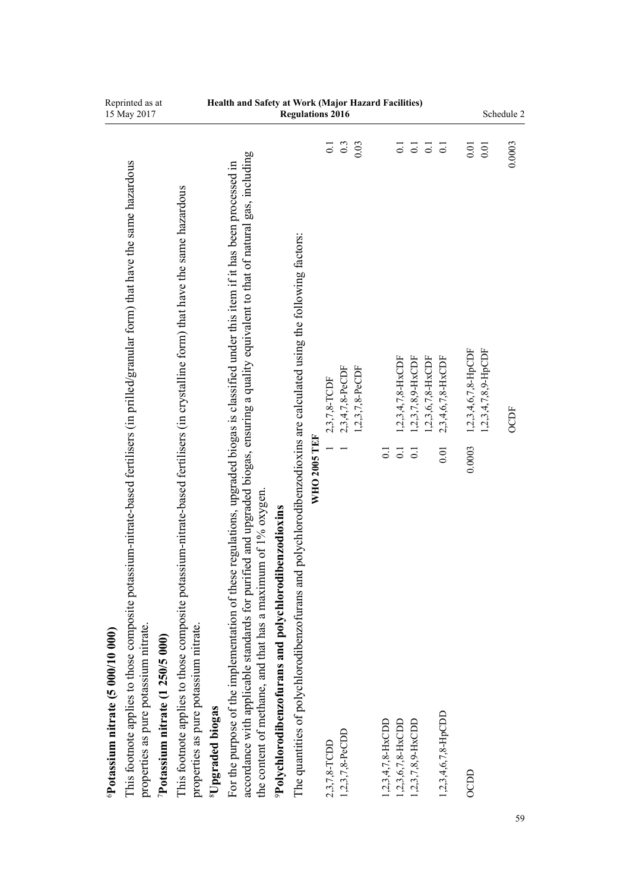| Reprinted as at<br>15 May 2017                                                                                                       |                                                                                                                                 | Health and Safety at Work (Major Hazard Facilities)                                                                                                                                                                              |                                                                   | <b>Regulations 2016</b>                                                                     |                |                 |                 |                      |                                         |                                          |                      |                           |                                  |                        | Schedule 2 |
|--------------------------------------------------------------------------------------------------------------------------------------|---------------------------------------------------------------------------------------------------------------------------------|----------------------------------------------------------------------------------------------------------------------------------------------------------------------------------------------------------------------------------|-------------------------------------------------------------------|---------------------------------------------------------------------------------------------|----------------|-----------------|-----------------|----------------------|-----------------------------------------|------------------------------------------|----------------------|---------------------------|----------------------------------|------------------------|------------|
|                                                                                                                                      |                                                                                                                                 |                                                                                                                                                                                                                                  |                                                                   |                                                                                             | $\overline{0}$ | 0.3             | 0.03            |                      | $\overline{0}$ .                        | $\overline{0}$ .                         | $\overline{0}$ .     | $\overline{0}$ .          | $0.01$                           | $0.01\,$               | 0.0003     |
| This footnote applies to those composite potassium-nitrate-based fertilisers (in prilled/granular form) that have the same hazardous | This footnote applies to those composite potassium-nitrate-based fertilisers (in crystalline form) that have the same hazardous | accordance with applicable standards for purified and upgraded biogas, ensuring a quality equivalent to that of natural gas, including<br>regulations, upgraded biogas is classified under this item if it has been processed in |                                                                   | polychlorodibenzodioxins are calculated using the following factors:<br><b>WHO 2005 TEF</b> | 2,3,7,8-TCDF   | 2,3,4,7,8-PeCDF | 1,2,3,7,8-PeCDF | $\overline{0}$ .     | $1,2,3,4,7,8-HxCDF$<br>$\overline{0}$ . | $1,2,3,7,8,9$ -HxCDF<br>$\overline{0}$ . | $1,2,3,6,7,8$ -HxCDF | 2,3,4,6,7,8-HxCDF<br>0.01 | $1,2,3,4,6,7,8$ -HpCDF<br>0.0003 | $1,2,3,4,7,8,9$ -HpCDF | OCDF       |
| properties as pure potassium nitrate.<br>Potassium nitrate (5 000/10 000)<br>$\frac{7 \text{Pots}}{1 \text{Pots}}$                   | properties as pure potassium nitrate.<br><sup>8</sup> Upgraded biogas                                                           | the content of methane, and that has a maximum of 1% oxygen.<br>For the purpose of the implementation of these                                                                                                                   | <sup>9</sup> Polychlorodibenzofurans and polychlorodibenzodioxins | The quantities of polychlorodibenzofurans and                                               | 2,3,7,8-TCDD   | 1,2,3,7,8-PeCDD |                 | $1,2,3,4,7,8$ -HxCDD | $1,2,3,6,7,8-HxCDD$                     | 1,2,3,7,8,9-HxCDD                        |                      | $1,2,3,4,6,7,8$ -HpCDD    | <b>OCDD</b>                      |                        | 59         |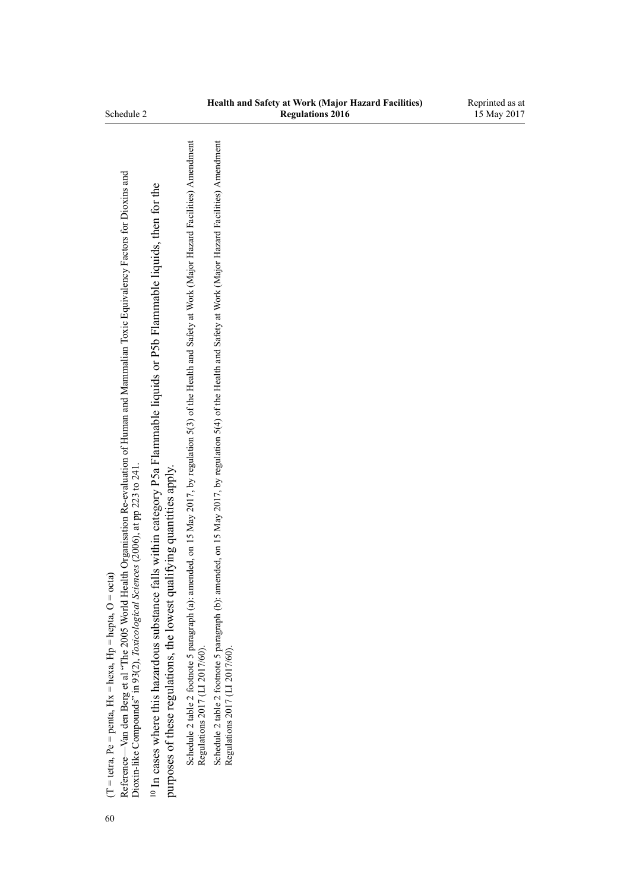60

Schedule 2 table 2 footnote 5 paragraph (a): amended, on 15 May 2017, by [regulation 5\(3\)](http://prd-lgnz-nlb.prd.pco.net.nz/pdflink.aspx?id=DLM7187509) of the Health and Safety at Work (Major Hazard Facilities) Amendment

Schedule 2 table 2 footnote 5 paragraph (a): amended, on 15 May 2017, by regulation 5(3) of the Health and Safety at Work (Major Hazard Facilities) Amendment<br>Regulations 2017 (LI 2017/60).

Schedule 2 table 2 footnote 5 paragraph (b): amended, on 15 May 2017, by [regulation 5\(4\)](http://prd-lgnz-nlb.prd.pco.net.nz/pdflink.aspx?id=DLM7187509) of the Health and Safety at Work (Major Hazard Facilities) Amendment

кеgulaluons 2017 (LL 2017/00).<br>Schedule 2 table 2 footnote 5 paragraph (b): amended, on 15 May 2017, by regulation 5(4) of the Health and Safety at Work (Major Hazard Facilities) Amendment<br>Regulations 2017 (LL 2017/60).

Regulations 2017 (LI 2017/60).

Regulations 2017 (LI 2017/60).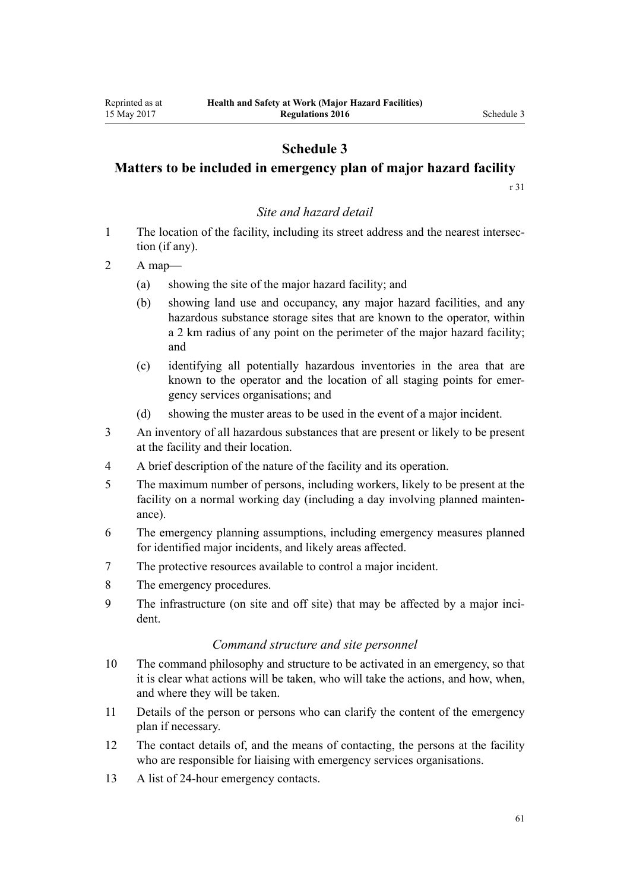## **Matters to be included in emergency plan of major hazard facility**

[r 31](#page-21-0)

#### *Site and hazard detail*

1 The location of the facility, including its street address and the nearest intersection (if any).

2 A map—

- (a) showing the site of the major hazard facility; and
- (b) showing land use and occupancy, any major hazard facilities, and any hazardous substance storage sites that are known to the operator, within a 2 km radius of any point on the perimeter of the major hazard facility; and
- (c) identifying all potentially hazardous inventories in the area that are known to the operator and the location of all staging points for emergency services organisations; and
- (d) showing the muster areas to be used in the event of a major incident.
- 3 An inventory of all hazardous substances that are present or likely to be present at the facility and their location.
- 4 A brief description of the nature of the facility and its operation.
- 5 The maximum number of persons, including workers, likely to be present at the facility on a normal working day (including a day involving planned maintenance).
- 6 The emergency planning assumptions, including emergency measures planned for identified major incidents, and likely areas affected.
- 7 The protective resources available to control a major incident.
- 8 The emergency procedures.
- 9 The infrastructure (on site and off site) that may be affected by a major incident.

#### *Command structure and site personnel*

- 10 The command philosophy and structure to be activated in an emergency, so that it is clear what actions will be taken, who will take the actions, and how, when, and where they will be taken.
- 11 Details of the person or persons who can clarify the content of the emergency plan if necessary.
- 12 The contact details of, and the means of contacting, the persons at the facility who are responsible for liaising with emergency services organisations.
- 13 A list of 24-hour emergency contacts.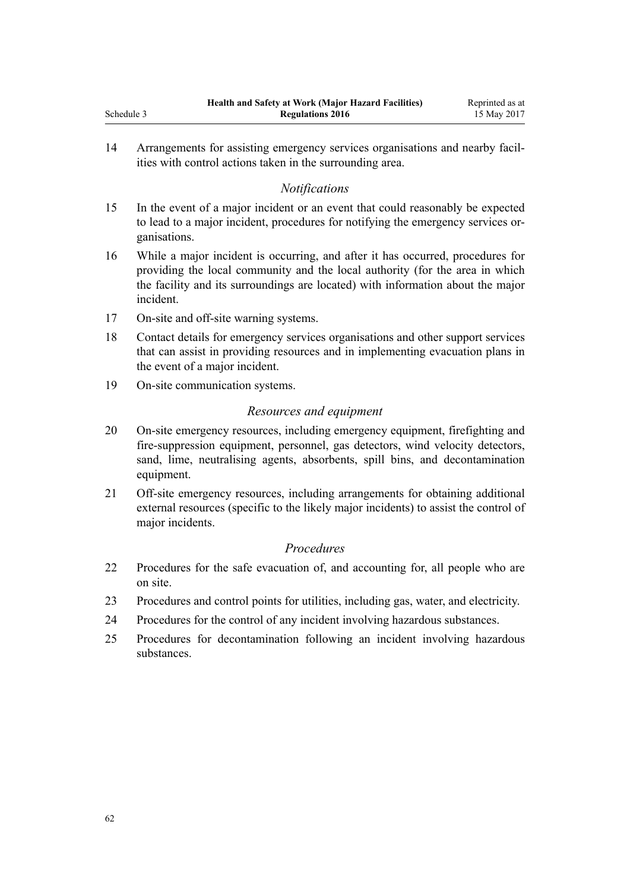14 Arrangements for assisting emergency services organisations and nearby facilities with control actions taken in the surrounding area.

### *Notifications*

- 15 In the event of a major incident or an event that could reasonably be expected to lead to a major incident, procedures for notifying the emergency services organisations.
- 16 While a major incident is occurring, and after it has occurred, procedures for providing the local community and the local authority (for the area in which the facility and its surroundings are located) with information about the major incident.
- 17 On-site and off-site warning systems.
- 18 Contact details for emergency services organisations and other support services that can assist in providing resources and in implementing evacuation plans in the event of a major incident.
- 19 On-site communication systems.

#### *Resources and equipment*

- 20 On-site emergency resources, including emergency equipment, firefighting and fire-suppression equipment, personnel, gas detectors, wind velocity detectors, sand, lime, neutralising agents, absorbents, spill bins, and decontamination equipment.
- 21 Off-site emergency resources, including arrangements for obtaining additional external resources (specific to the likely major incidents) to assist the control of major incidents.

#### *Procedures*

- 22 Procedures for the safe evacuation of, and accounting for, all people who are on site.
- 23 Procedures and control points for utilities, including gas, water, and electricity.
- 24 Procedures for the control of any incident involving hazardous substances.
- 25 Procedures for decontamination following an incident involving hazardous substances.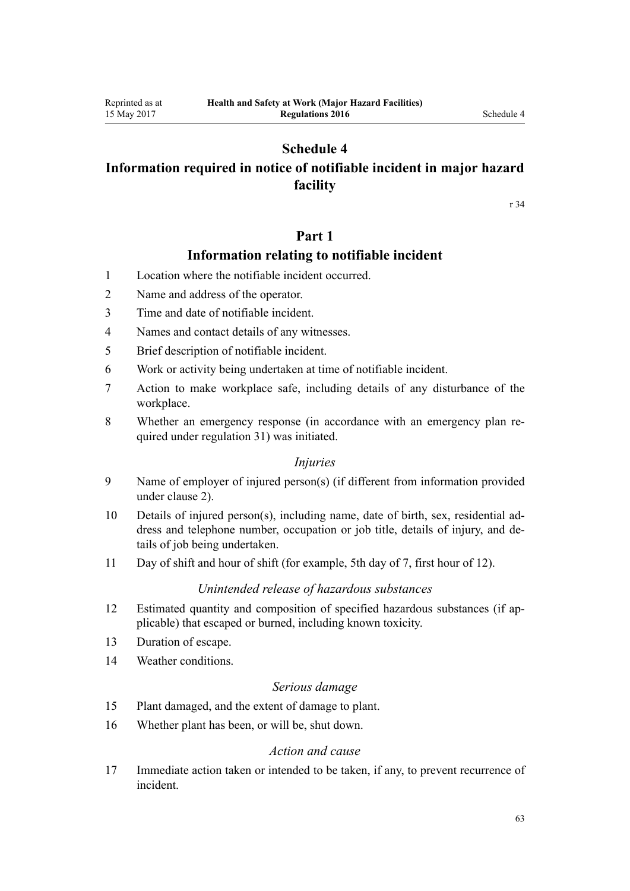## **Information required in notice of notifiable incident in major hazard facility**

[r 34](#page-23-0)

## **Part 1**

## **Information relating to notifiable incident**

- 1 Location where the notifiable incident occurred.
- 2 Name and address of the operator.
- 3 Time and date of notifiable incident.
- 4 Names and contact details of any witnesses.
- 5 Brief description of notifiable incident.
- 6 Work or activity being undertaken at time of notifiable incident.
- 7 Action to make workplace safe, including details of any disturbance of the workplace.
- 8 Whether an emergency response (in accordance with an emergency plan required under [regulation 31\)](#page-21-0) was initiated.

#### *Injuries*

- 9 Name of employer of injured person(s) (if different from information provided under clause 2).
- 10 Details of injured person(s), including name, date of birth, sex, residential address and telephone number, occupation or job title, details of injury, and details of job being undertaken.
- 11 Day of shift and hour of shift (for example, 5th day of 7, first hour of 12).

#### *Unintended release of hazardous substances*

- 12 Estimated quantity and composition of specified hazardous substances (if applicable) that escaped or burned, including known toxicity.
- 13 Duration of escape.
- 14 Weather conditions.

#### *Serious damage*

- 15 Plant damaged, and the extent of damage to plant.
- 16 Whether plant has been, or will be, shut down.

#### *Action and cause*

17 Immediate action taken or intended to be taken, if any, to prevent recurrence of incident.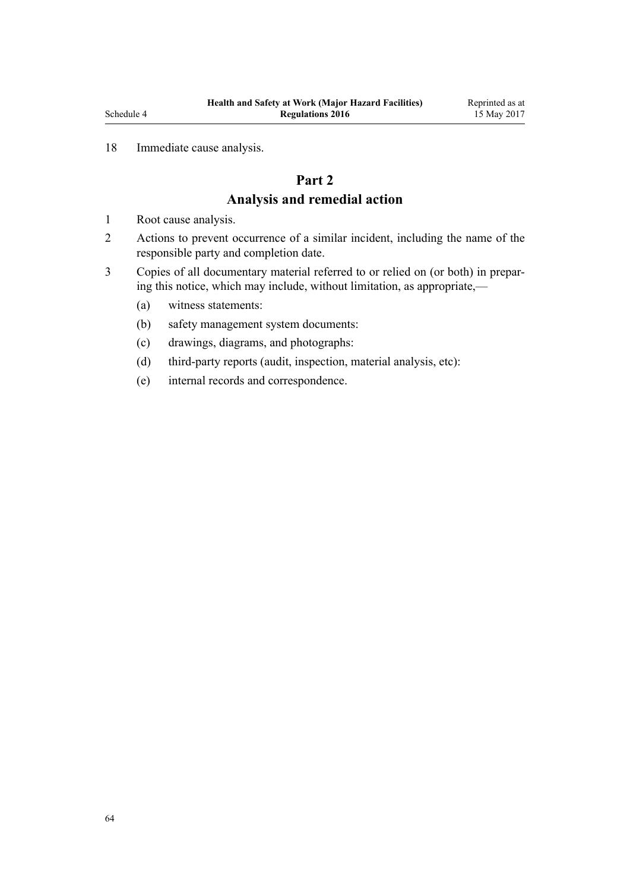## 18 Immediate cause analysis.

## **Part 2 Analysis and remedial action**

- 1 Root cause analysis.
- 2 Actions to prevent occurrence of a similar incident, including the name of the responsible party and completion date.
- 3 Copies of all documentary material referred to or relied on (or both) in preparing this notice, which may include, without limitation, as appropriate,—
	- (a) witness statements:
	- (b) safety management system documents:
	- (c) drawings, diagrams, and photographs:
	- (d) third-party reports (audit, inspection, material analysis, etc):
	- (e) internal records and correspondence.

Reprinted as at 15 May 2017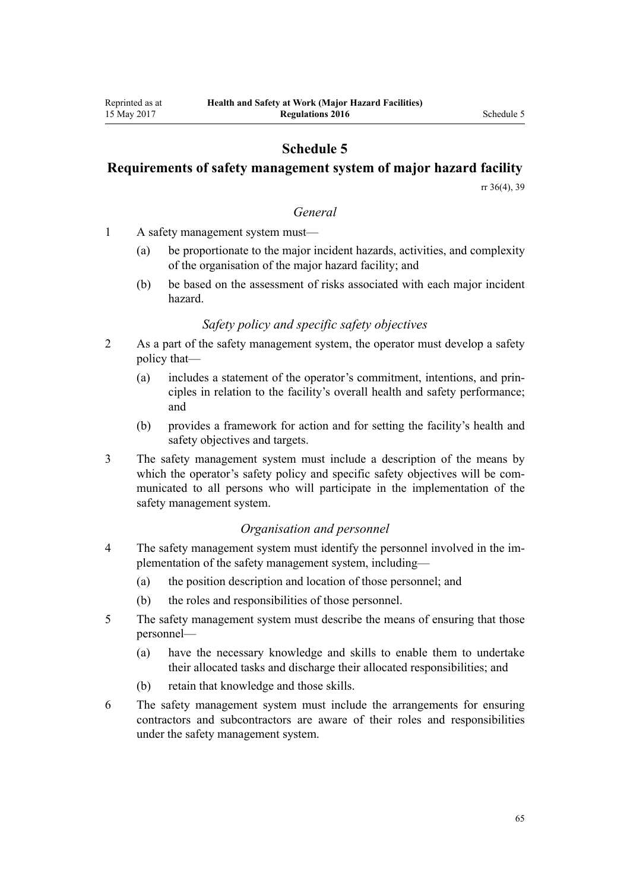## **Requirements of safety management system of major hazard facility**

[rr 36\(4\),](#page-25-0) [39](#page-27-0)

#### *General*

- 1 A safety management system must—
	- (a) be proportionate to the major incident hazards, activities, and complexity of the organisation of the major hazard facility; and
	- (b) be based on the assessment of risks associated with each major incident hazard.

#### *Safety policy and specific safety objectives*

- 2 As a part of the safety management system, the operator must develop a safety policy that—
	- (a) includes a statement of the operator's commitment, intentions, and principles in relation to the facility's overall health and safety performance; and
	- (b) provides a framework for action and for setting the facility's health and safety objectives and targets.
- 3 The safety management system must include a description of the means by which the operator's safety policy and specific safety objectives will be communicated to all persons who will participate in the implementation of the safety management system.

#### *Organisation and personnel*

- 4 The safety management system must identify the personnel involved in the implementation of the safety management system, including—
	- (a) the position description and location of those personnel; and
	- (b) the roles and responsibilities of those personnel.
- 5 The safety management system must describe the means of ensuring that those personnel—
	- (a) have the necessary knowledge and skills to enable them to undertake their allocated tasks and discharge their allocated responsibilities; and
	- (b) retain that knowledge and those skills.
- 6 The safety management system must include the arrangements for ensuring contractors and subcontractors are aware of their roles and responsibilities under the safety management system.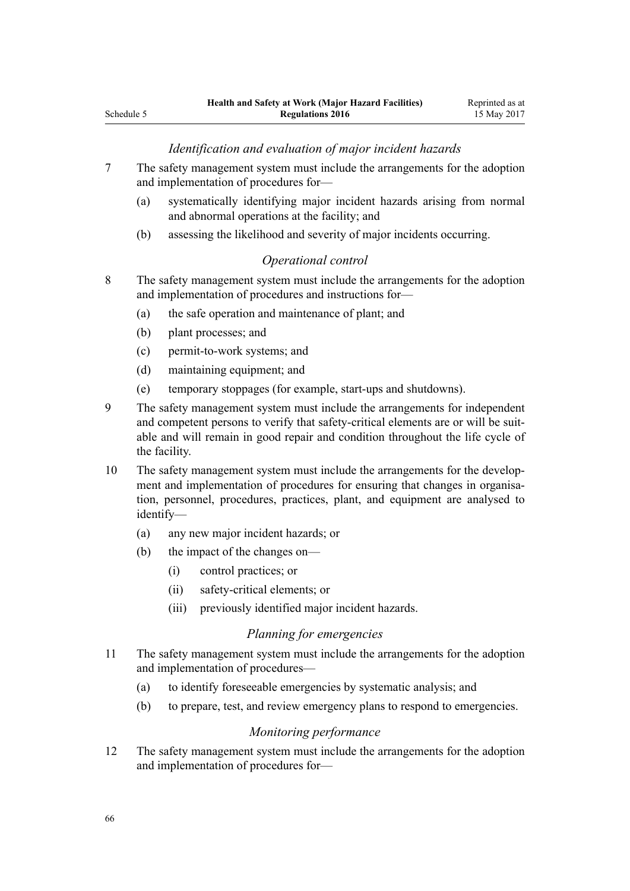#### *Identification and evaluation of major incident hazards*

- 7 The safety management system must include the arrangements for the adoption and implementation of procedures for—
	- (a) systematically identifying major incident hazards arising from normal and abnormal operations at the facility; and
	- (b) assessing the likelihood and severity of major incidents occurring.

#### *Operational control*

- 8 The safety management system must include the arrangements for the adoption and implementation of procedures and instructions for—
	- (a) the safe operation and maintenance of plant; and
	- (b) plant processes; and
	- (c) permit-to-work systems; and
	- (d) maintaining equipment; and
	- (e) temporary stoppages (for example, start-ups and shutdowns).
- 9 The safety management system must include the arrangements for independent and competent persons to verify that safety-critical elements are or will be suitable and will remain in good repair and condition throughout the life cycle of the facility.
- 10 The safety management system must include the arrangements for the development and implementation of procedures for ensuring that changes in organisation, personnel, procedures, practices, plant, and equipment are analysed to identify—
	- (a) any new major incident hazards; or
	- (b) the impact of the changes on—
		- (i) control practices; or
		- (ii) safety-critical elements; or
		- (iii) previously identified major incident hazards.

#### *Planning for emergencies*

- 11 The safety management system must include the arrangements for the adoption and implementation of procedures—
	- (a) to identify foreseeable emergencies by systematic analysis; and
	- (b) to prepare, test, and review emergency plans to respond to emergencies.

#### *Monitoring performance*

12 The safety management system must include the arrangements for the adoption and implementation of procedures for—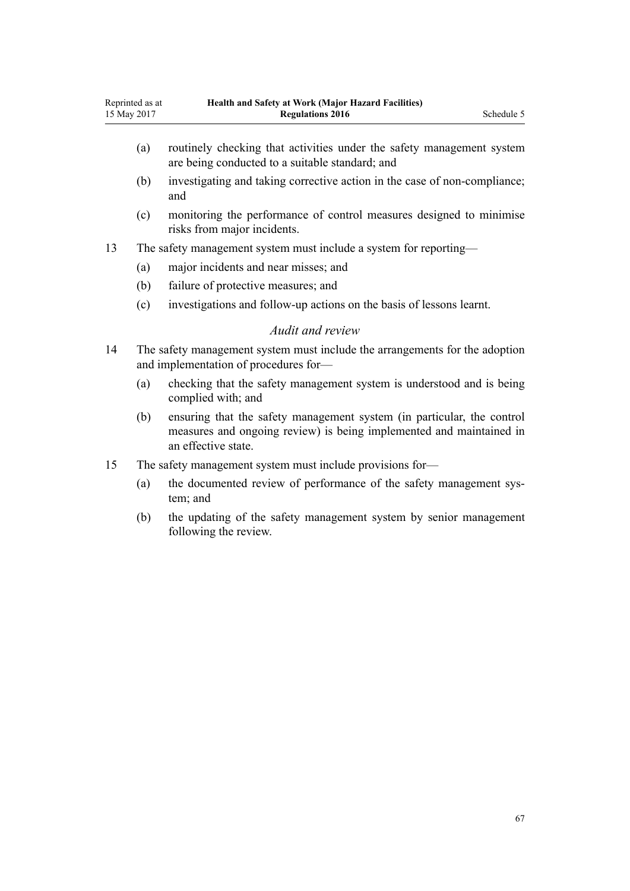- (a) routinely checking that activities under the safety management system are being conducted to a suitable standard; and
- (b) investigating and taking corrective action in the case of non-compliance; and
- (c) monitoring the performance of control measures designed to minimise risks from major incidents.
- 13 The safety management system must include a system for reporting—
	- (a) major incidents and near misses; and
	- (b) failure of protective measures; and
	- (c) investigations and follow-up actions on the basis of lessons learnt.

#### *Audit and review*

- 14 The safety management system must include the arrangements for the adoption and implementation of procedures for—
	- (a) checking that the safety management system is understood and is being complied with; and
	- (b) ensuring that the safety management system (in particular, the control measures and ongoing review) is being implemented and maintained in an effective state.
- 15 The safety management system must include provisions for—
	- (a) the documented review of performance of the safety management system; and
	- (b) the updating of the safety management system by senior management following the review.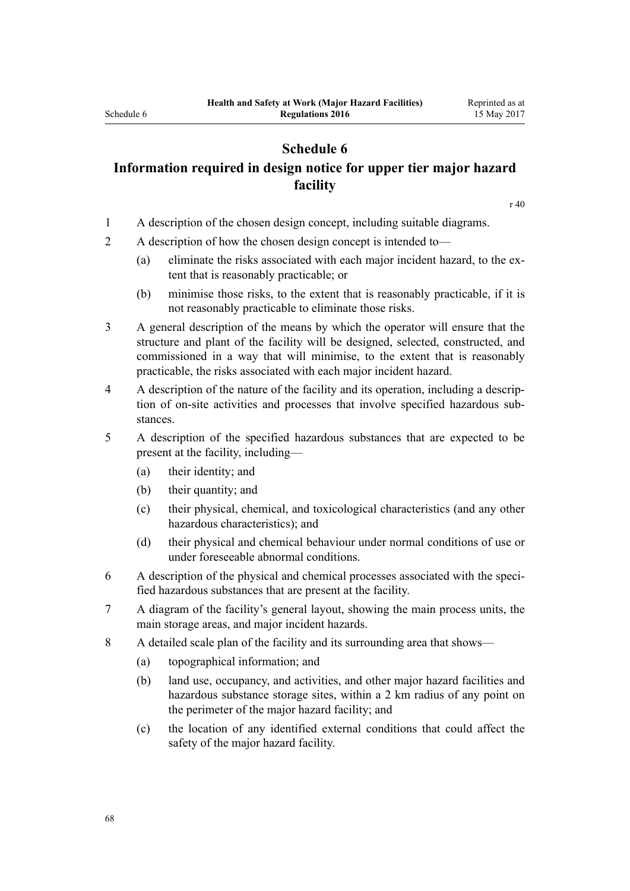## **Information required in design notice for upper tier major hazard facility**

[r 40](#page-28-0)

- 1 A description of the chosen design concept, including suitable diagrams.
- 2 A description of how the chosen design concept is intended to—
	- (a) eliminate the risks associated with each major incident hazard, to the extent that is reasonably practicable; or
	- (b) minimise those risks, to the extent that is reasonably practicable, if it is not reasonably practicable to eliminate those risks.
- 3 A general description of the means by which the operator will ensure that the structure and plant of the facility will be designed, selected, constructed, and commissioned in a way that will minimise, to the extent that is reasonably practicable, the risks associated with each major incident hazard.
- 4 A description of the nature of the facility and its operation, including a description of on-site activities and processes that involve specified hazardous substances.
- 5 A description of the specified hazardous substances that are expected to be present at the facility, including—
	- (a) their identity; and
	- (b) their quantity; and
	- (c) their physical, chemical, and toxicological characteristics (and any other hazardous characteristics); and
	- (d) their physical and chemical behaviour under normal conditions of use or under foreseeable abnormal conditions.
- 6 A description of the physical and chemical processes associated with the specified hazardous substances that are present at the facility.
- 7 A diagram of the facility's general layout, showing the main process units, the main storage areas, and major incident hazards.
- 8 A detailed scale plan of the facility and its surrounding area that shows—
	- (a) topographical information; and
	- (b) land use, occupancy, and activities, and other major hazard facilities and hazardous substance storage sites, within a 2 km radius of any point on the perimeter of the major hazard facility; and
	- (c) the location of any identified external conditions that could affect the safety of the major hazard facility.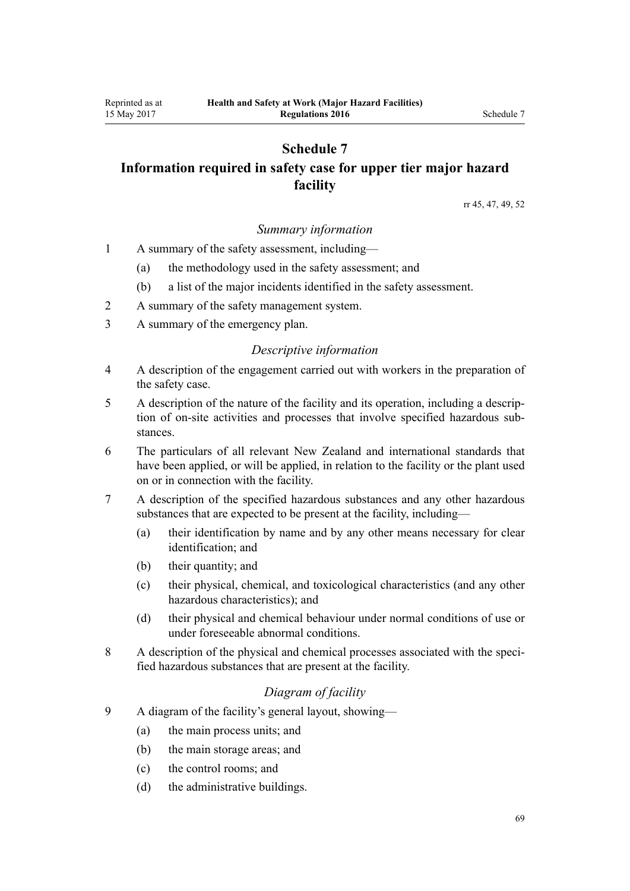## **Schedule 7 Information required in safety case for upper tier major hazard facility**

[rr 45,](#page-30-0) [47](#page-31-0), [49,](#page-32-0) [52](#page-33-0)

#### *Summary information*

1 A summary of the safety assessment, including—

- (a) the methodology used in the safety assessment; and
- (b) a list of the major incidents identified in the safety assessment.
- 2 A summary of the safety management system.
- 3 A summary of the emergency plan.

#### *Descriptive information*

- 4 A description of the engagement carried out with workers in the preparation of the safety case.
- 5 A description of the nature of the facility and its operation, including a description of on-site activities and processes that involve specified hazardous substances.
- 6 The particulars of all relevant New Zealand and international standards that have been applied, or will be applied, in relation to the facility or the plant used on or in connection with the facility.
- 7 A description of the specified hazardous substances and any other hazardous substances that are expected to be present at the facility, including—
	- (a) their identification by name and by any other means necessary for clear identification; and
	- (b) their quantity; and
	- (c) their physical, chemical, and toxicological characteristics (and any other hazardous characteristics); and
	- (d) their physical and chemical behaviour under normal conditions of use or under foreseeable abnormal conditions.
- 8 A description of the physical and chemical processes associated with the specified hazardous substances that are present at the facility.

## *Diagram of facility*

- 9 A diagram of the facility's general layout, showing—
	- (a) the main process units; and
	- (b) the main storage areas; and
	- (c) the control rooms; and
	- (d) the administrative buildings.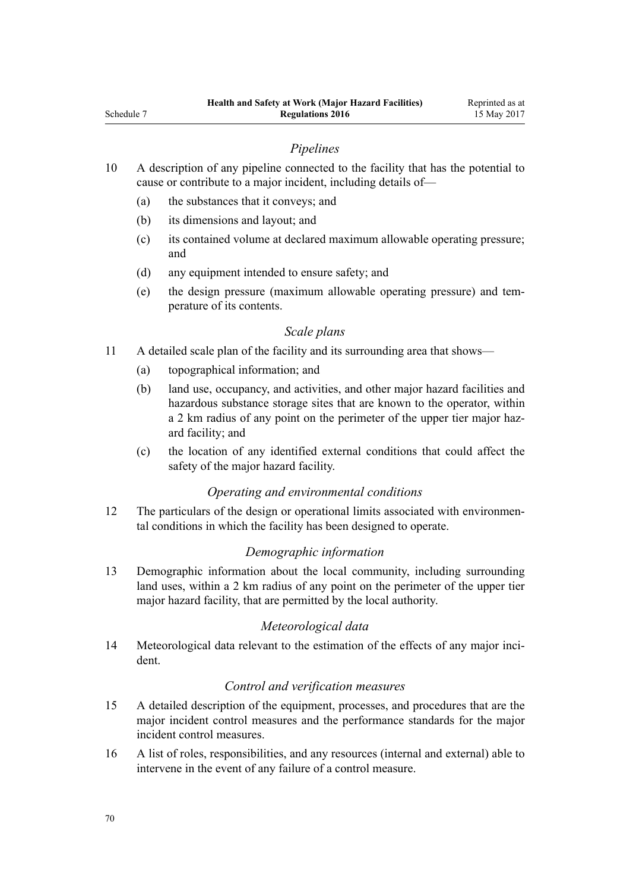#### *Pipelines*

- 10 A description of any pipeline connected to the facility that has the potential to cause or contribute to a major incident, including details of—
	- (a) the substances that it conveys; and
	- (b) its dimensions and layout; and
	- (c) its contained volume at declared maximum allowable operating pressure; and
	- (d) any equipment intended to ensure safety; and
	- (e) the design pressure (maximum allowable operating pressure) and temperature of its contents.

#### *Scale plans*

- 11 A detailed scale plan of the facility and its surrounding area that shows—
	- (a) topographical information; and
	- (b) land use, occupancy, and activities, and other major hazard facilities and hazardous substance storage sites that are known to the operator, within a 2 km radius of any point on the perimeter of the upper tier major hazard facility; and
	- (c) the location of any identified external conditions that could affect the safety of the major hazard facility.

#### *Operating and environmental conditions*

12 The particulars of the design or operational limits associated with environmental conditions in which the facility has been designed to operate.

#### *Demographic information*

13 Demographic information about the local community, including surrounding land uses, within a 2 km radius of any point on the perimeter of the upper tier major hazard facility, that are permitted by the local authority.

#### *Meteorological data*

14 Meteorological data relevant to the estimation of the effects of any major incident.

#### *Control and verification measures*

- 15 A detailed description of the equipment, processes, and procedures that are the major incident control measures and the performance standards for the major incident control measures.
- 16 A list of roles, responsibilities, and any resources (internal and external) able to intervene in the event of any failure of a control measure.

Schedule 7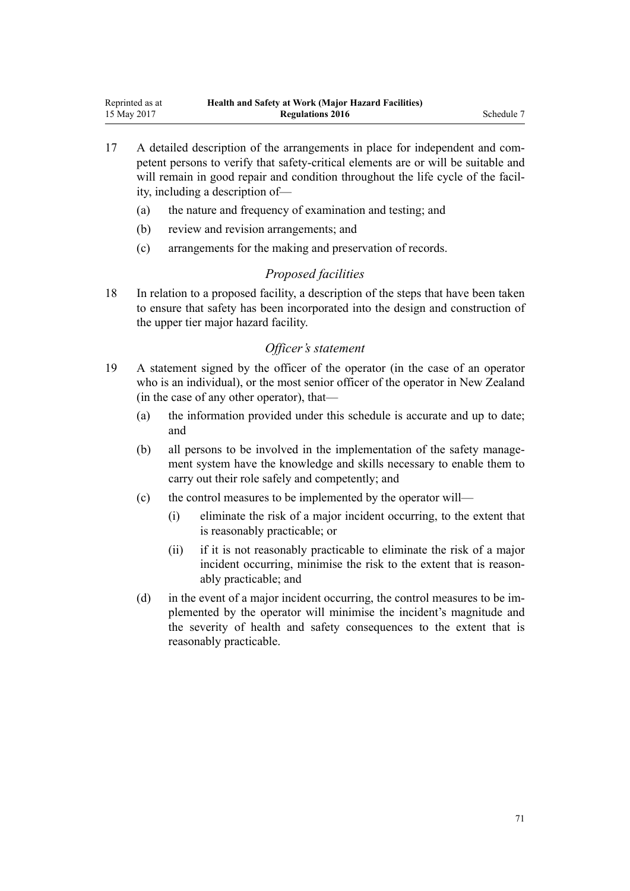- 17 A detailed description of the arrangements in place for independent and competent persons to verify that safety-critical elements are or will be suitable and will remain in good repair and condition throughout the life cycle of the facility, including a description of—
	- (a) the nature and frequency of examination and testing; and
	- (b) review and revision arrangements; and
	- (c) arrangements for the making and preservation of records.

### *Proposed facilities*

18 In relation to a proposed facility, a description of the steps that have been taken to ensure that safety has been incorporated into the design and construction of the upper tier major hazard facility.

#### *Officer's statement*

- 19 A statement signed by the officer of the operator (in the case of an operator who is an individual), or the most senior officer of the operator in New Zealand (in the case of any other operator), that—
	- (a) the information provided under this schedule is accurate and up to date; and
	- (b) all persons to be involved in the implementation of the safety management system have the knowledge and skills necessary to enable them to carry out their role safely and competently; and
	- (c) the control measures to be implemented by the operator will—
		- (i) eliminate the risk of a major incident occurring, to the extent that is reasonably practicable; or
		- (ii) if it is not reasonably practicable to eliminate the risk of a major incident occurring, minimise the risk to the extent that is reasonably practicable; and
	- (d) in the event of a major incident occurring, the control measures to be implemented by the operator will minimise the incident's magnitude and the severity of health and safety consequences to the extent that is reasonably practicable.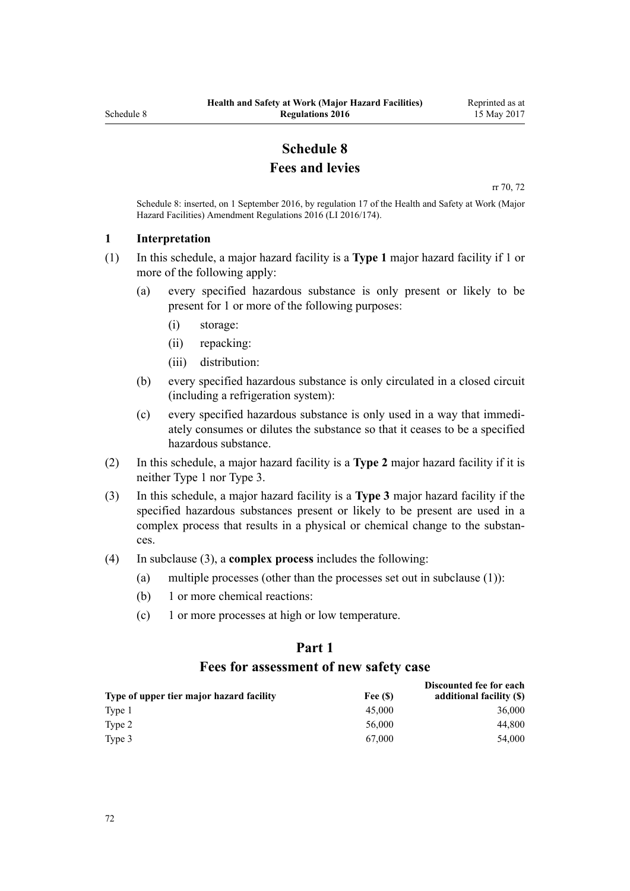## **Schedule 8 Fees and levies**

[rr 70,](#page-44-0) [72](#page-45-0)

<span id="page-71-0"></span>Schedule 8: inserted, on 1 September 2016, by [regulation 17](http://prd-lgnz-nlb.prd.pco.net.nz/pdflink.aspx?id=DLM6907732) of the Health and Safety at Work (Major Hazard Facilities) Amendment Regulations 2016 (LI 2016/174).

#### **1 Interpretation**

- (1) In this schedule, a major hazard facility is a **Type 1** major hazard facility if 1 or more of the following apply:
	- (a) every specified hazardous substance is only present or likely to be present for 1 or more of the following purposes:
		- (i) storage:
		- (ii) repacking:
		- (iii) distribution:
	- (b) every specified hazardous substance is only circulated in a closed circuit (including a refrigeration system):
	- (c) every specified hazardous substance is only used in a way that immediately consumes or dilutes the substance so that it ceases to be a specified hazardous substance.
- (2) In this schedule, a major hazard facility is a **Type 2** major hazard facility if it is neither Type 1 nor Type 3.
- (3) In this schedule, a major hazard facility is a **Type 3** major hazard facility if the specified hazardous substances present or likely to be present are used in a complex process that results in a physical or chemical change to the substances.
- (4) In subclause (3), a **complex process** includes the following:
	- (a) multiple processes (other than the processes set out in subclause (1)):
	- (b) 1 or more chemical reactions:
	- (c) 1 or more processes at high or low temperature.

## **Part 1 Fees for assessment of new safety case**

|                                          |         | Discounted fee for each  |
|------------------------------------------|---------|--------------------------|
| Type of upper tier major hazard facility | Fee (S) | additional facility (\$) |
| Type 1                                   | 45,000  | 36,000                   |
| Type 2                                   | 56,000  | 44.800                   |
| Type 3                                   | 67.000  | 54.000                   |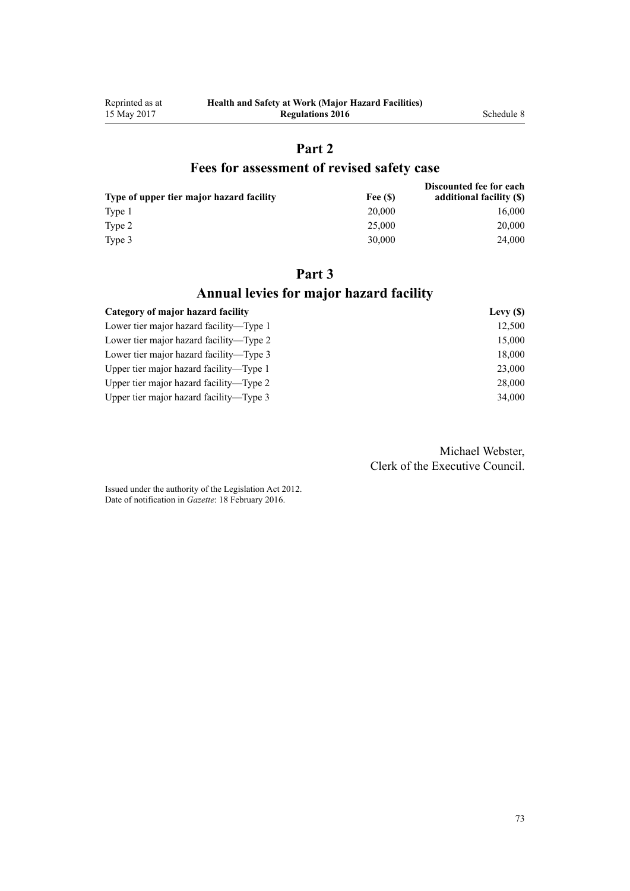# **Part 2**

## **Fees for assessment of revised safety case**

| Type of upper tier major hazard facility | Fee (S) | Discounted fee for each<br>additional facility (\$) |
|------------------------------------------|---------|-----------------------------------------------------|
|                                          |         |                                                     |
| Type 1                                   | 20,000  | 16,000                                              |
| Type 2                                   | 25,000  | 20,000                                              |
| Type 3                                   | 30.000  | 24,000                                              |

## **Part 3 Annual levies for major hazard facility**

| Category of major hazard facility       | Levy $(S)$ |
|-----------------------------------------|------------|
| Lower tier major hazard facility—Type 1 | 12,500     |
| Lower tier major hazard facility—Type 2 | 15,000     |
| Lower tier major hazard facility—Type 3 | 18,000     |
| Upper tier major hazard facility—Type 1 | 23,000     |
| Upper tier major hazard facility—Type 2 | 28,000     |
| Upper tier major hazard facility—Type 3 | 34,000     |

Michael Webster, Clerk of the Executive Council.

Issued under the authority of the [Legislation Act 2012](http://prd-lgnz-nlb.prd.pco.net.nz/pdflink.aspx?id=DLM2997643). Date of notification in *Gazette*: 18 February 2016.